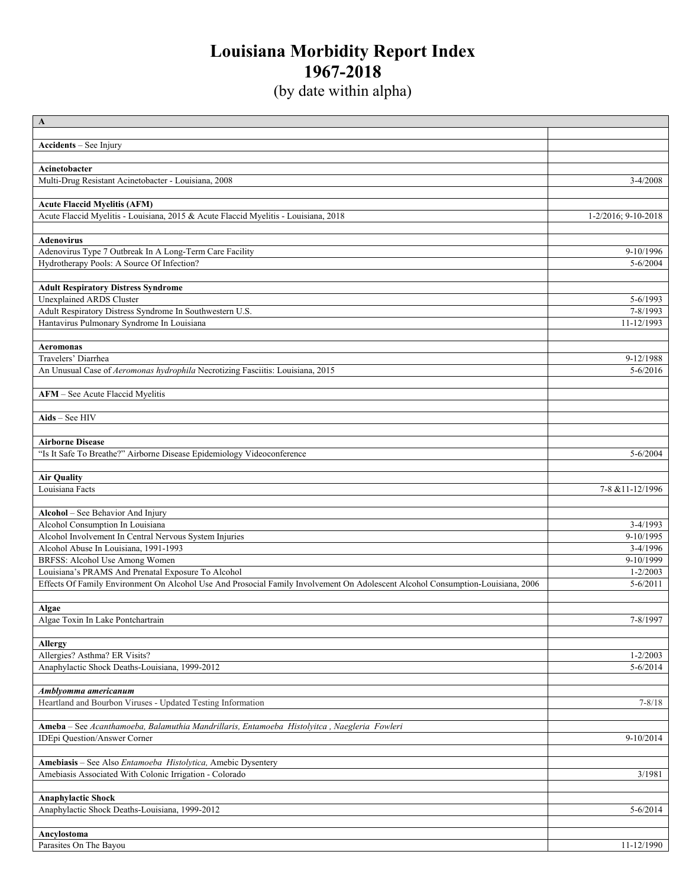## **Louisiana Morbidity Report Index 1967-2018**

(by date within alpha)

| $\mathbf{A}$                                                                                                                    |                     |
|---------------------------------------------------------------------------------------------------------------------------------|---------------------|
|                                                                                                                                 |                     |
| Accidents - See Injury                                                                                                          |                     |
|                                                                                                                                 |                     |
| Acinetobacter                                                                                                                   |                     |
| Multi-Drug Resistant Acinetobacter - Louisiana, 2008                                                                            | $3-4/2008$          |
|                                                                                                                                 |                     |
| <b>Acute Flaccid Myelitis (AFM)</b>                                                                                             |                     |
| Acute Flaccid Myelitis - Louisiana, 2015 & Acute Flaccid Myelitis - Louisiana, 2018                                             | 1-2/2016; 9-10-2018 |
|                                                                                                                                 |                     |
| <b>Adenovirus</b>                                                                                                               |                     |
| Adenovirus Type 7 Outbreak In A Long-Term Care Facility                                                                         | 9-10/1996           |
| Hydrotherapy Pools: A Source Of Infection?                                                                                      | $5 - 6/2004$        |
|                                                                                                                                 |                     |
| <b>Adult Respiratory Distress Syndrome</b>                                                                                      |                     |
| <b>Unexplained ARDS Cluster</b>                                                                                                 | 5-6/1993            |
| Adult Respiratory Distress Syndrome In Southwestern U.S.                                                                        | 7-8/1993            |
| Hantavirus Pulmonary Syndrome In Louisiana                                                                                      | 11-12/1993          |
|                                                                                                                                 |                     |
| <b>Aeromonas</b>                                                                                                                |                     |
| Travelers' Diarrhea                                                                                                             | 9-12/1988           |
| An Unusual Case of Aeromonas hydrophila Necrotizing Fasciitis: Louisiana, 2015                                                  | $5 - 6/2016$        |
|                                                                                                                                 |                     |
| AFM - See Acute Flaccid Myelitis                                                                                                |                     |
|                                                                                                                                 |                     |
| Aids - See HIV                                                                                                                  |                     |
|                                                                                                                                 |                     |
| <b>Airborne Disease</b>                                                                                                         |                     |
|                                                                                                                                 |                     |
| "Is It Safe To Breathe?" Airborne Disease Epidemiology Videoconference                                                          | $5 - 6/2004$        |
|                                                                                                                                 |                     |
| <b>Air Quality</b>                                                                                                              |                     |
| Louisiana Facts                                                                                                                 | 7-8 & 11-12/1996    |
|                                                                                                                                 |                     |
| Alcohol - See Behavior And Injury                                                                                               |                     |
| Alcohol Consumption In Louisiana                                                                                                | $3-4/1993$          |
| Alcohol Involvement In Central Nervous System Injuries                                                                          | 9-10/1995           |
| Alcohol Abuse In Louisiana, 1991-1993                                                                                           | $3-4/1996$          |
| BRFSS: Alcohol Use Among Women                                                                                                  | 9-10/1999           |
| Louisiana's PRAMS And Prenatal Exposure To Alcohol                                                                              | $1 - 2/2003$        |
| Effects Of Family Environment On Alcohol Use And Prosocial Family Involvement On Adolescent Alcohol Consumption-Louisiana, 2006 | $5 - 6/2011$        |
|                                                                                                                                 |                     |
| Algae                                                                                                                           |                     |
| Algae Toxin In Lake Pontchartrain                                                                                               | 7-8/1997            |
|                                                                                                                                 |                     |
| <b>Allergy</b>                                                                                                                  |                     |
| Allergies? Asthma? ER Visits?                                                                                                   | $1 - 2/2003$        |
| Anaphylactic Shock Deaths-Louisiana, 1999-2012                                                                                  | $5 - 6/2014$        |
|                                                                                                                                 |                     |
| Amblyomma americanum                                                                                                            |                     |
| Heartland and Bourbon Viruses - Updated Testing Information                                                                     | $7 - 8/18$          |
|                                                                                                                                 |                     |
| Ameba - See Acanthamoeba, Balamuthia Mandrillaris, Entamoeba Histolyitca , Naegleria Fowleri                                    |                     |
| <b>IDEpi Question/Answer Corner</b>                                                                                             | 9-10/2014           |
|                                                                                                                                 |                     |
| Amebiasis - See Also Entamoeba Histolytica, Amebic Dysentery                                                                    |                     |
| Amebiasis Associated With Colonic Irrigation - Colorado                                                                         | 3/1981              |
|                                                                                                                                 |                     |
| <b>Anaphylactic Shock</b>                                                                                                       |                     |
| Anaphylactic Shock Deaths-Louisiana, 1999-2012                                                                                  | $5 - 6/2014$        |
|                                                                                                                                 |                     |
|                                                                                                                                 |                     |
| Ancylostoma                                                                                                                     |                     |
| Parasites On The Bayou                                                                                                          | 11-12/1990          |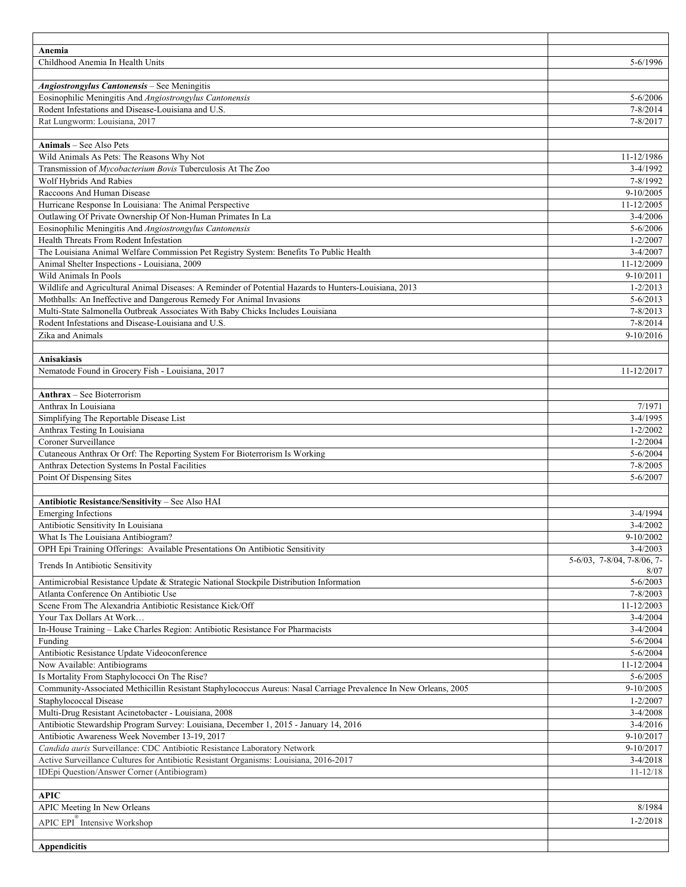| Anemia                                                                                                                                                                       |                                       |
|------------------------------------------------------------------------------------------------------------------------------------------------------------------------------|---------------------------------------|
| Childhood Anemia In Health Units                                                                                                                                             | 5-6/1996                              |
|                                                                                                                                                                              |                                       |
| Angiostrongylus Cantonensis - See Meningitis<br>Eosinophilic Meningitis And Angiostrongylus Cantonensis                                                                      | $5 - 6/2006$                          |
| Rodent Infestations and Disease-Louisiana and U.S.                                                                                                                           | $7 - 8/2014$                          |
| Rat Lungworm: Louisiana, 2017                                                                                                                                                | $7 - 8/2017$                          |
|                                                                                                                                                                              |                                       |
| <b>Animals</b> – See Also Pets                                                                                                                                               |                                       |
| Wild Animals As Pets: The Reasons Why Not                                                                                                                                    | 11-12/1986                            |
| Transmission of Mycobacterium Bovis Tuberculosis At The Zoo                                                                                                                  | $3-4/1992$                            |
| Wolf Hybrids And Rabies                                                                                                                                                      | 7-8/1992                              |
| Raccoons And Human Disease                                                                                                                                                   | 9-10/2005                             |
| Hurricane Response In Louisiana: The Animal Perspective                                                                                                                      | 11-12/2005                            |
| Outlawing Of Private Ownership Of Non-Human Primates In La                                                                                                                   | $3-4/2006$                            |
| Eosinophilic Meningitis And Angiostrongylus Cantonensis                                                                                                                      | $5 - 6/2006$                          |
| Health Threats From Rodent Infestation                                                                                                                                       | $1 - 2/2007$                          |
| The Louisiana Animal Welfare Commission Pet Registry System: Benefits To Public Health                                                                                       | $3-4/2007$                            |
| Animal Shelter Inspections - Louisiana, 2009                                                                                                                                 | 11-12/2009                            |
| Wild Animals In Pools                                                                                                                                                        | $9-10/2011$                           |
| Wildlife and Agricultural Animal Diseases: A Reminder of Potential Hazards to Hunters-Louisiana, 2013<br>Mothballs: An Ineffective and Dangerous Remedy For Animal Invasions | $1 - 2/2013$<br>$5 - 6/2013$          |
| Multi-State Salmonella Outbreak Associates With Baby Chicks Includes Louisiana                                                                                               | $7 - 8/2013$                          |
| Rodent Infestations and Disease-Louisiana and U.S.                                                                                                                           | $7 - 8/2014$                          |
| Zika and Animals                                                                                                                                                             | 9-10/2016                             |
|                                                                                                                                                                              |                                       |
| <b>Anisakiasis</b>                                                                                                                                                           |                                       |
| Nematode Found in Grocery Fish - Louisiana, 2017                                                                                                                             | 11-12/2017                            |
|                                                                                                                                                                              |                                       |
| <b>Anthrax</b> – See Bioterrorism                                                                                                                                            |                                       |
| Anthrax In Louisiana                                                                                                                                                         | 7/1971                                |
| Simplifying The Reportable Disease List                                                                                                                                      | $3-4/1995$                            |
| Anthrax Testing In Louisiana                                                                                                                                                 | $1 - 2/2002$                          |
| Coroner Surveillance                                                                                                                                                         | $1 - 2/2004$                          |
| Cutaneous Anthrax Or Orf: The Reporting System For Bioterrorism Is Working                                                                                                   | $5 - 6/2004$                          |
| Anthrax Detection Systems In Postal Facilities<br>Point Of Dispensing Sites                                                                                                  | $7 - 8/2005$<br>5-6/2007              |
|                                                                                                                                                                              |                                       |
| Antibiotic Resistance/Sensitivity - See Also HAI                                                                                                                             |                                       |
| <b>Emerging Infections</b>                                                                                                                                                   | $3-4/1994$                            |
| Antibiotic Sensitivity In Louisiana                                                                                                                                          | 3-4/2002                              |
| What Is The Louisiana Antibiogram?                                                                                                                                           | $9-10/2002$                           |
| OPH Epi Training Offerings: Available Presentations On Antibiotic Sensitivity                                                                                                | $3-4/2003$                            |
| Trends In Antibiotic Sensitivity                                                                                                                                             | $5-6/03$ , $7-8/04$ , $7-8/06$ , $7-$ |
|                                                                                                                                                                              | 8/07                                  |
| Antimicrobial Resistance Update & Strategic National Stockpile Distribution Information                                                                                      | $5 - 6/2003$                          |
| Atlanta Conference On Antibiotic Use<br>Scene From The Alexandria Antibiotic Resistance Kick/Off                                                                             | 7-8/2003<br>11-12/2003                |
| Your Tax Dollars At Work                                                                                                                                                     | $3-4/2004$                            |
| In-House Training - Lake Charles Region: Antibiotic Resistance For Pharmacists                                                                                               | $3-4/2004$                            |
| Funding                                                                                                                                                                      | $5 - 6/2004$                          |
| Antibiotic Resistance Update Videoconference                                                                                                                                 | $5 - 6/2004$                          |
| Now Available: Antibiograms                                                                                                                                                  | 11-12/2004                            |
| Is Mortality From Staphylococci On The Rise?                                                                                                                                 | $5 - 6/2005$                          |
| Community-Associated Methicillin Resistant Staphylococcus Aureus: Nasal Carriage Prevalence In New Orleans, 2005                                                             | 9-10/2005                             |
| Staphylococcal Disease                                                                                                                                                       | $1 - 2/2007$                          |
| Multi-Drug Resistant Acinetobacter - Louisiana, 2008                                                                                                                         | $3-4/2008$                            |
| Antibiotic Stewardship Program Survey: Louisiana, December 1, 2015 - January 14, 2016                                                                                        | $3-4/2016$                            |
| Antibiotic Awareness Week November 13-19, 2017                                                                                                                               | 9-10/2017                             |
| Candida auris Surveillance: CDC Antibiotic Resistance Laboratory Network                                                                                                     | 9-10/2017                             |
| Active Surveillance Cultures for Antibiotic Resistant Organisms: Louisiana, 2016-2017<br>IDEpi Question/Answer Corner (Antibiogram)                                          | $3-4/2018$<br>$11 - 12/18$            |
|                                                                                                                                                                              |                                       |
| <b>APIC</b>                                                                                                                                                                  |                                       |
| APIC Meeting In New Orleans                                                                                                                                                  | 8/1984                                |
| APIC EPI <sup>I</sup> Intensive Workshop                                                                                                                                     | $1 - 2/2018$                          |
|                                                                                                                                                                              |                                       |
| <b>Appendicitis</b>                                                                                                                                                          |                                       |
|                                                                                                                                                                              |                                       |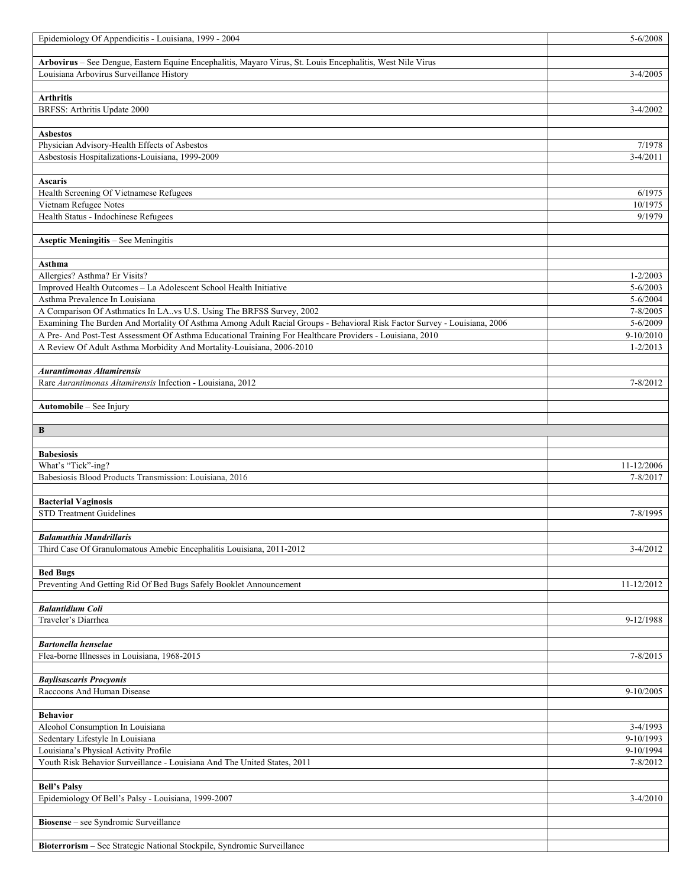| Epidemiology Of Appendicitis - Louisiana, 1999 - 2004                                                                                                  | 5-6/2008                     |
|--------------------------------------------------------------------------------------------------------------------------------------------------------|------------------------------|
|                                                                                                                                                        |                              |
| Arbovirus - See Dengue, Eastern Equine Encephalitis, Mayaro Virus, St. Louis Encephalitis, West Nile Virus<br>Louisiana Arbovirus Surveillance History | $3-4/2005$                   |
|                                                                                                                                                        |                              |
| <b>Arthritis</b>                                                                                                                                       |                              |
| BRFSS: Arthritis Update 2000                                                                                                                           | $3-4/2002$                   |
|                                                                                                                                                        |                              |
| <b>Asbestos</b><br>Physician Advisory-Health Effects of Asbestos                                                                                       | 7/1978                       |
| Asbestosis Hospitalizations-Louisiana, 1999-2009                                                                                                       | $3-4/2011$                   |
|                                                                                                                                                        |                              |
| Ascaris                                                                                                                                                |                              |
| Health Screening Of Vietnamese Refugees                                                                                                                | 6/1975                       |
| Vietnam Refugee Notes<br>Health Status - Indochinese Refugees                                                                                          | 10/1975<br>9/1979            |
|                                                                                                                                                        |                              |
| Aseptic Meningitis - See Meningitis                                                                                                                    |                              |
|                                                                                                                                                        |                              |
| Asthma                                                                                                                                                 |                              |
| Allergies? Asthma? Er Visits?<br>Improved Health Outcomes - La Adolescent School Health Initiative                                                     | $1 - 2/2003$<br>$5 - 6/2003$ |
| Asthma Prevalence In Louisiana                                                                                                                         | $5 - 6/2004$                 |
| A Comparison Of Asthmatics In LA. vs U.S. Using The BRFSS Survey, 2002                                                                                 | $7 - 8/2005$                 |
| Examining The Burden And Mortality Of Asthma Among Adult Racial Groups - Behavioral Risk Factor Survey - Louisiana, 2006                               | $5 - 6/2009$                 |
| A Pre- And Post-Test Assessment Of Asthma Educational Training For Healthcare Providers - Louisiana, 2010                                              | 9-10/2010                    |
| A Review Of Adult Asthma Morbidity And Mortality-Louisiana, 2006-2010                                                                                  | $1 - 2/2013$                 |
| <b>Aurantimonas Altamirensis</b>                                                                                                                       |                              |
| Rare Aurantimonas Altamirensis Infection - Louisiana, 2012                                                                                             | $7 - 8/2012$                 |
|                                                                                                                                                        |                              |
| Automobile - See Injury                                                                                                                                |                              |
|                                                                                                                                                        |                              |
| B                                                                                                                                                      |                              |
|                                                                                                                                                        |                              |
| <b>Babesiosis</b>                                                                                                                                      |                              |
| What's "Tick"-ing?                                                                                                                                     | 11-12/2006                   |
| Babesiosis Blood Products Transmission: Louisiana, 2016                                                                                                | 7-8/2017                     |
|                                                                                                                                                        |                              |
| <b>Bacterial Vaginosis</b>                                                                                                                             |                              |
| <b>STD Treatment Guidelines</b>                                                                                                                        | 7-8/1995                     |
| <b>Balamuthia Mandrillaris</b>                                                                                                                         |                              |
| Third Case Of Granulomatous Amebic Encephalitis Louisiana, 2011-2012                                                                                   | $3-4/2012$                   |
|                                                                                                                                                        |                              |
| <b>Bed Bugs</b>                                                                                                                                        |                              |
| Preventing And Getting Rid Of Bed Bugs Safely Booklet Announcement                                                                                     | 11-12/2012                   |
| <b>Balantidium Coli</b>                                                                                                                                |                              |
| Traveler's Diarrhea                                                                                                                                    | 9-12/1988                    |
|                                                                                                                                                        |                              |
| <b>Bartonella henselae</b>                                                                                                                             | 7-8/2015                     |
| Flea-borne Illnesses in Louisiana, 1968-2015                                                                                                           |                              |
| <b>Baylisascaris Procyonis</b>                                                                                                                         |                              |
| Raccoons And Human Disease                                                                                                                             | $9-10/2005$                  |
| <b>Behavior</b>                                                                                                                                        |                              |
| Alcohol Consumption In Louisiana                                                                                                                       | $3-4/1993$                   |
| Sedentary Lifestyle In Louisiana                                                                                                                       | 9-10/1993                    |
| Louisiana's Physical Activity Profile                                                                                                                  | 9-10/1994                    |
| Youth Risk Behavior Surveillance - Louisiana And The United States, 2011                                                                               | $7 - 8/2012$                 |
|                                                                                                                                                        |                              |
| <b>Bell's Palsy</b><br>Epidemiology Of Bell's Palsy - Louisiana, 1999-2007                                                                             | $3-4/2010$                   |
|                                                                                                                                                        |                              |
| Biosense – see Syndromic Surveillance                                                                                                                  |                              |
| Bioterrorism - See Strategic National Stockpile, Syndromic Surveillance                                                                                |                              |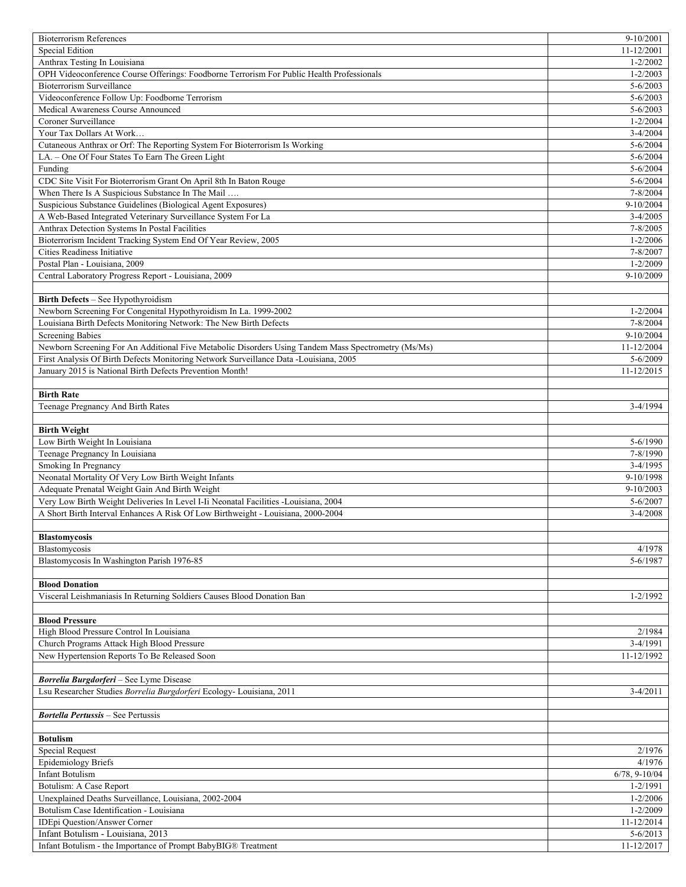| <b>Bioterrorism References</b>                                                                      | 9-10/2001                  |
|-----------------------------------------------------------------------------------------------------|----------------------------|
| Special Edition                                                                                     | 11-12/2001                 |
| Anthrax Testing In Louisiana                                                                        | $1 - 2/2002$               |
| OPH Videoconference Course Offerings: Foodborne Terrorism For Public Health Professionals           | $1 - 2/2003$               |
| <b>Bioterrorism Surveillance</b>                                                                    | $5 - 6/2003$               |
| Videoconference Follow Up: Foodborne Terrorism                                                      | $5 - 6/2003$               |
| Medical Awareness Course Announced                                                                  | $5 - 6/2003$               |
| Coroner Surveillance                                                                                | $1 - 2/2004$               |
| Your Tax Dollars At Work                                                                            | $3 - 4/2004$               |
| Cutaneous Anthrax or Orf: The Reporting System For Bioterrorism Is Working                          | $5 - 6/2004$               |
| LA. - One Of Four States To Earn The Green Light                                                    | 5-6/2004                   |
| Funding                                                                                             | $5 - 6/2004$               |
|                                                                                                     |                            |
| CDC Site Visit For Bioterrorism Grant On April 8th In Baton Rouge                                   | 5-6/2004                   |
| When There Is A Suspicious Substance In The Mail                                                    | 7-8/2004                   |
| Suspicious Substance Guidelines (Biological Agent Exposures)                                        | 9-10/2004                  |
| A Web-Based Integrated Veterinary Surveillance System For La                                        | $3-4/2005$                 |
| Anthrax Detection Systems In Postal Facilities                                                      | 7-8/2005                   |
| Bioterrorism Incident Tracking System End Of Year Review, 2005                                      | $1 - 2/2006$               |
| Cities Readiness Initiative                                                                         | 7-8/2007                   |
| Postal Plan - Louisiana, 2009                                                                       | $1 - 2/2009$               |
| Central Laboratory Progress Report - Louisiana, 2009                                                | 9-10/2009                  |
|                                                                                                     |                            |
| Birth Defects - See Hypothyroidism                                                                  |                            |
| Newborn Screening For Congenital Hypothyroidism In La. 1999-2002                                    | $1 - 2/2004$               |
| Louisiana Birth Defects Monitoring Network: The New Birth Defects                                   | 7-8/2004                   |
|                                                                                                     |                            |
| <b>Screening Babies</b>                                                                             | 9-10/2004                  |
| Newborn Screening For An Additional Five Metabolic Disorders Using Tandem Mass Spectrometry (Ms/Ms) | 11-12/2004                 |
| First Analysis Of Birth Defects Monitoring Network Surveillance Data -Louisiana, 2005               | 5-6/2009                   |
| January 2015 is National Birth Defects Prevention Month!                                            | 11-12/2015                 |
|                                                                                                     |                            |
| <b>Birth Rate</b>                                                                                   |                            |
| Teenage Pregnancy And Birth Rates                                                                   | $3-4/1994$                 |
|                                                                                                     |                            |
| <b>Birth Weight</b>                                                                                 |                            |
| Low Birth Weight In Louisiana                                                                       | 5-6/1990                   |
| Teenage Pregnancy In Louisiana                                                                      | 7-8/1990                   |
| Smoking In Pregnancy                                                                                | $3-4/1995$                 |
| Neonatal Mortality Of Very Low Birth Weight Infants                                                 | 9-10/1998                  |
| Adequate Prenatal Weight Gain And Birth Weight                                                      | $9-10/2003$                |
|                                                                                                     |                            |
| Very Low Birth Weight Deliveries In Level I-Ii Neonatal Facilities -Louisiana, 2004                 | 5-6/2007                   |
| A Short Birth Interval Enhances A Risk Of Low Birthweight - Louisiana, 2000-2004                    | $3-4/2008$                 |
|                                                                                                     |                            |
| <b>Blastomycosis</b>                                                                                |                            |
| Blastomycosis                                                                                       | 4/1978                     |
| Blastomycosis In Washington Parish 1976-85                                                          | 5-6/1987                   |
|                                                                                                     |                            |
| <b>Blood Donation</b>                                                                               |                            |
| Visceral Leishmaniasis In Returning Soldiers Causes Blood Donation Ban                              | 1-2/1992                   |
|                                                                                                     |                            |
| <b>Blood Pressure</b>                                                                               |                            |
| High Blood Pressure Control In Louisiana                                                            | 2/1984                     |
|                                                                                                     | 3-4/1991                   |
| Church Programs Attack High Blood Pressure                                                          |                            |
| New Hypertension Reports To Be Released Soon                                                        | 11-12/1992                 |
|                                                                                                     |                            |
| <b>Borrelia Burgdorferi</b> - See Lyme Disease                                                      |                            |
| Lsu Researcher Studies Borrelia Burgdorferi Ecology- Louisiana, 2011                                | $3-4/2011$                 |
|                                                                                                     |                            |
| <b>Bortella Pertussis - See Pertussis</b>                                                           |                            |
|                                                                                                     |                            |
| <b>Botulism</b>                                                                                     |                            |
| Special Request                                                                                     |                            |
|                                                                                                     | 2/1976                     |
|                                                                                                     |                            |
| <b>Epidemiology Briefs</b>                                                                          | 4/1976                     |
| <b>Infant Botulism</b>                                                                              | $6/78, 9-10/04$            |
| Botulism: A Case Report                                                                             | $1 - 2/1991$               |
| Unexplained Deaths Surveillance, Louisiana, 2002-2004                                               | $1 - 2/2006$               |
| Botulism Case Identification - Louisiana                                                            | $1 - 2/2009$               |
| IDEpi Question/Answer Corner                                                                        | 11-12/2014                 |
| Infant Botulism - Louisiana, 2013<br>Infant Botulism - the Importance of Prompt BabyBIG® Treatment  | $5 - 6/2013$<br>11-12/2017 |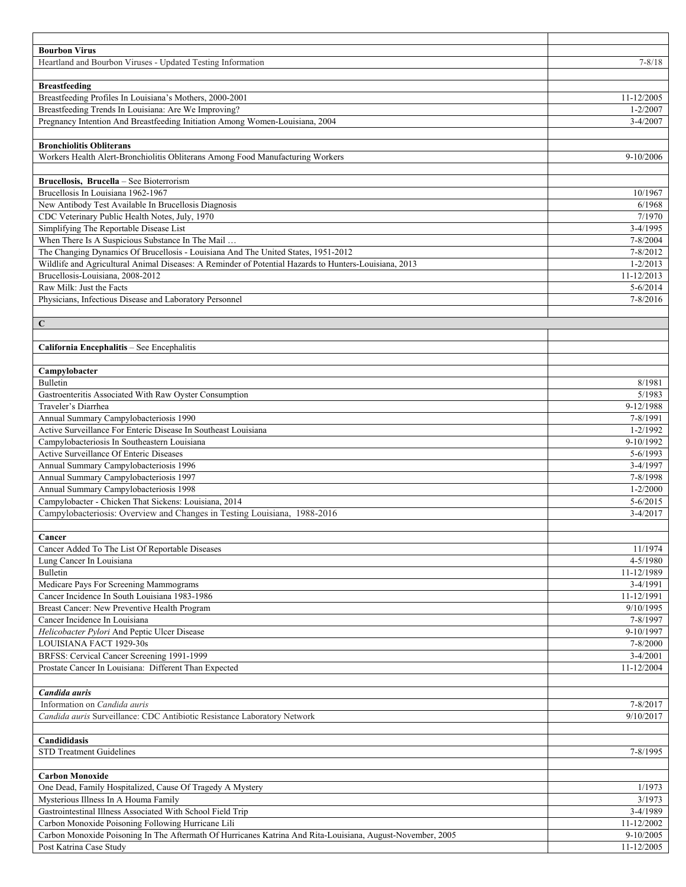| Heartland and Bourbon Viruses - Updated Testing Information<br>$7 - 8/18$<br><b>Breastfeeding</b><br>Breastfeeding Profiles In Louisiana's Mothers, 2000-2001<br>11-12/2005<br>Breastfeeding Trends In Louisiana: Are We Improving?<br>$1 - 2/2007$<br>Pregnancy Intention And Breastfeeding Initiation Among Women-Louisiana, 2004<br>$3-4/2007$<br><b>Bronchiolitis Obliterans</b><br>Workers Health Alert-Bronchiolitis Obliterans Among Food Manufacturing Workers<br>9-10/2006<br>Brucellosis, Brucella - See Bioterrorism<br>Brucellosis In Louisiana 1962-1967<br>10/1967<br>New Antibody Test Available In Brucellosis Diagnosis<br>6/1968<br>CDC Veterinary Public Health Notes, July, 1970<br>7/1970<br>Simplifying The Reportable Disease List<br>$3-4/1995$<br>When There Is A Suspicious Substance In The Mail<br>7-8/2004<br>The Changing Dynamics Of Brucellosis - Louisiana And The United States, 1951-2012<br>7-8/2012<br>Wildlife and Agricultural Animal Diseases: A Reminder of Potential Hazards to Hunters-Louisiana, 2013<br>$1 - 2/2013$<br>Brucellosis-Louisiana, 2008-2012<br>11-12/2013<br>Raw Milk: Just the Facts<br>$5 - 6/2014$<br>Physicians, Infectious Disease and Laboratory Personnel<br>$7 - 8/2016$<br>C<br>California Encephalitis - See Encephalitis<br>Campylobacter<br><b>Bulletin</b><br>8/1981<br>5/1983<br>Gastroenteritis Associated With Raw Oyster Consumption<br>Traveler's Diarrhea<br>9-12/1988<br>Annual Summary Campylobacteriosis 1990<br>7-8/1991<br>Active Surveillance For Enteric Disease In Southeast Louisiana<br>$\overline{1}$ -2/1992<br>Campylobacteriosis In Southeastern Louisiana<br>9-10/1992<br>Active Surveillance Of Enteric Diseases<br>5-6/1993<br>Annual Summary Campylobacteriosis 1996<br>3-4/1997<br>Annual Summary Campylobacteriosis 1997<br>7-8/1998<br>Annual Summary Campylobacteriosis 1998<br>$1 - 2/2000$<br>Campylobacter - Chicken That Sickens: Louisiana, 2014<br>$5 - 6/2015$<br>Campylobacteriosis: Overview and Changes in Testing Louisiana, 1988-2016<br>3-4/2017<br>Cancer<br>Cancer Added To The List Of Reportable Diseases<br>11/1974<br>4-5/1980<br>Lung Cancer In Louisiana<br><b>Bulletin</b><br>11-12/1989<br>3-4/1991<br>Medicare Pays For Screening Mammograms<br>Cancer Incidence In South Louisiana 1983-1986<br>11-12/1991<br>Breast Cancer: New Preventive Health Program<br>9/10/1995<br>Cancer Incidence In Louisiana<br>7-8/1997<br>Helicobacter Pylori And Peptic Ulcer Disease<br>9-10/1997<br>7-8/2000<br>LOUISIANA FACT 1929-30s<br>$3-4/2001$<br>BRFSS: Cervical Cancer Screening 1991-1999<br>Prostate Cancer In Louisiana: Different Than Expected<br>11-12/2004<br>Candida auris<br>Information on Candida auris<br>7-8/2017<br>Candida auris Surveillance: CDC Antibiotic Resistance Laboratory Network<br>9/10/2017<br>Candididasis<br><b>STD Treatment Guidelines</b><br>7-8/1995<br><b>Carbon Monoxide</b><br>One Dead, Family Hospitalized, Cause Of Tragedy A Mystery<br>1/1973<br>Mysterious Illness In A Houma Family<br>3/1973<br>Gastrointestinal Illness Associated With School Field Trip<br>3-4/1989<br>Carbon Monoxide Poisoning Following Hurricane Lili<br>11-12/2002<br>Carbon Monoxide Poisoning In The Aftermath Of Hurricanes Katrina And Rita-Louisiana, August-November, 2005<br>9-10/2005 |                         |                |
|------------------------------------------------------------------------------------------------------------------------------------------------------------------------------------------------------------------------------------------------------------------------------------------------------------------------------------------------------------------------------------------------------------------------------------------------------------------------------------------------------------------------------------------------------------------------------------------------------------------------------------------------------------------------------------------------------------------------------------------------------------------------------------------------------------------------------------------------------------------------------------------------------------------------------------------------------------------------------------------------------------------------------------------------------------------------------------------------------------------------------------------------------------------------------------------------------------------------------------------------------------------------------------------------------------------------------------------------------------------------------------------------------------------------------------------------------------------------------------------------------------------------------------------------------------------------------------------------------------------------------------------------------------------------------------------------------------------------------------------------------------------------------------------------------------------------------------------------------------------------------------------------------------------------------------------------------------------------------------------------------------------------------------------------------------------------------------------------------------------------------------------------------------------------------------------------------------------------------------------------------------------------------------------------------------------------------------------------------------------------------------------------------------------------------------------------------------------------------------------------------------------------------------------------------------------------------------------------------------------------------------------------------------------------------------------------------------------------------------------------------------------------------------------------------------------------------------------------------------------------------------------------------------------------------------------------------------------------------------------------------------------------------------------------------------------------------------------------------------------------------------------------------------------------------------------------------------------------------------------------------------------------------------------------------------------------------------------|-------------------------|----------------|
|                                                                                                                                                                                                                                                                                                                                                                                                                                                                                                                                                                                                                                                                                                                                                                                                                                                                                                                                                                                                                                                                                                                                                                                                                                                                                                                                                                                                                                                                                                                                                                                                                                                                                                                                                                                                                                                                                                                                                                                                                                                                                                                                                                                                                                                                                                                                                                                                                                                                                                                                                                                                                                                                                                                                                                                                                                                                                                                                                                                                                                                                                                                                                                                                                                                                                                                                          | <b>Bourbon Virus</b>    |                |
|                                                                                                                                                                                                                                                                                                                                                                                                                                                                                                                                                                                                                                                                                                                                                                                                                                                                                                                                                                                                                                                                                                                                                                                                                                                                                                                                                                                                                                                                                                                                                                                                                                                                                                                                                                                                                                                                                                                                                                                                                                                                                                                                                                                                                                                                                                                                                                                                                                                                                                                                                                                                                                                                                                                                                                                                                                                                                                                                                                                                                                                                                                                                                                                                                                                                                                                                          |                         |                |
|                                                                                                                                                                                                                                                                                                                                                                                                                                                                                                                                                                                                                                                                                                                                                                                                                                                                                                                                                                                                                                                                                                                                                                                                                                                                                                                                                                                                                                                                                                                                                                                                                                                                                                                                                                                                                                                                                                                                                                                                                                                                                                                                                                                                                                                                                                                                                                                                                                                                                                                                                                                                                                                                                                                                                                                                                                                                                                                                                                                                                                                                                                                                                                                                                                                                                                                                          |                         |                |
|                                                                                                                                                                                                                                                                                                                                                                                                                                                                                                                                                                                                                                                                                                                                                                                                                                                                                                                                                                                                                                                                                                                                                                                                                                                                                                                                                                                                                                                                                                                                                                                                                                                                                                                                                                                                                                                                                                                                                                                                                                                                                                                                                                                                                                                                                                                                                                                                                                                                                                                                                                                                                                                                                                                                                                                                                                                                                                                                                                                                                                                                                                                                                                                                                                                                                                                                          |                         |                |
|                                                                                                                                                                                                                                                                                                                                                                                                                                                                                                                                                                                                                                                                                                                                                                                                                                                                                                                                                                                                                                                                                                                                                                                                                                                                                                                                                                                                                                                                                                                                                                                                                                                                                                                                                                                                                                                                                                                                                                                                                                                                                                                                                                                                                                                                                                                                                                                                                                                                                                                                                                                                                                                                                                                                                                                                                                                                                                                                                                                                                                                                                                                                                                                                                                                                                                                                          |                         |                |
|                                                                                                                                                                                                                                                                                                                                                                                                                                                                                                                                                                                                                                                                                                                                                                                                                                                                                                                                                                                                                                                                                                                                                                                                                                                                                                                                                                                                                                                                                                                                                                                                                                                                                                                                                                                                                                                                                                                                                                                                                                                                                                                                                                                                                                                                                                                                                                                                                                                                                                                                                                                                                                                                                                                                                                                                                                                                                                                                                                                                                                                                                                                                                                                                                                                                                                                                          |                         |                |
|                                                                                                                                                                                                                                                                                                                                                                                                                                                                                                                                                                                                                                                                                                                                                                                                                                                                                                                                                                                                                                                                                                                                                                                                                                                                                                                                                                                                                                                                                                                                                                                                                                                                                                                                                                                                                                                                                                                                                                                                                                                                                                                                                                                                                                                                                                                                                                                                                                                                                                                                                                                                                                                                                                                                                                                                                                                                                                                                                                                                                                                                                                                                                                                                                                                                                                                                          |                         |                |
|                                                                                                                                                                                                                                                                                                                                                                                                                                                                                                                                                                                                                                                                                                                                                                                                                                                                                                                                                                                                                                                                                                                                                                                                                                                                                                                                                                                                                                                                                                                                                                                                                                                                                                                                                                                                                                                                                                                                                                                                                                                                                                                                                                                                                                                                                                                                                                                                                                                                                                                                                                                                                                                                                                                                                                                                                                                                                                                                                                                                                                                                                                                                                                                                                                                                                                                                          |                         |                |
|                                                                                                                                                                                                                                                                                                                                                                                                                                                                                                                                                                                                                                                                                                                                                                                                                                                                                                                                                                                                                                                                                                                                                                                                                                                                                                                                                                                                                                                                                                                                                                                                                                                                                                                                                                                                                                                                                                                                                                                                                                                                                                                                                                                                                                                                                                                                                                                                                                                                                                                                                                                                                                                                                                                                                                                                                                                                                                                                                                                                                                                                                                                                                                                                                                                                                                                                          |                         |                |
|                                                                                                                                                                                                                                                                                                                                                                                                                                                                                                                                                                                                                                                                                                                                                                                                                                                                                                                                                                                                                                                                                                                                                                                                                                                                                                                                                                                                                                                                                                                                                                                                                                                                                                                                                                                                                                                                                                                                                                                                                                                                                                                                                                                                                                                                                                                                                                                                                                                                                                                                                                                                                                                                                                                                                                                                                                                                                                                                                                                                                                                                                                                                                                                                                                                                                                                                          |                         |                |
|                                                                                                                                                                                                                                                                                                                                                                                                                                                                                                                                                                                                                                                                                                                                                                                                                                                                                                                                                                                                                                                                                                                                                                                                                                                                                                                                                                                                                                                                                                                                                                                                                                                                                                                                                                                                                                                                                                                                                                                                                                                                                                                                                                                                                                                                                                                                                                                                                                                                                                                                                                                                                                                                                                                                                                                                                                                                                                                                                                                                                                                                                                                                                                                                                                                                                                                                          |                         |                |
|                                                                                                                                                                                                                                                                                                                                                                                                                                                                                                                                                                                                                                                                                                                                                                                                                                                                                                                                                                                                                                                                                                                                                                                                                                                                                                                                                                                                                                                                                                                                                                                                                                                                                                                                                                                                                                                                                                                                                                                                                                                                                                                                                                                                                                                                                                                                                                                                                                                                                                                                                                                                                                                                                                                                                                                                                                                                                                                                                                                                                                                                                                                                                                                                                                                                                                                                          |                         |                |
|                                                                                                                                                                                                                                                                                                                                                                                                                                                                                                                                                                                                                                                                                                                                                                                                                                                                                                                                                                                                                                                                                                                                                                                                                                                                                                                                                                                                                                                                                                                                                                                                                                                                                                                                                                                                                                                                                                                                                                                                                                                                                                                                                                                                                                                                                                                                                                                                                                                                                                                                                                                                                                                                                                                                                                                                                                                                                                                                                                                                                                                                                                                                                                                                                                                                                                                                          |                         |                |
|                                                                                                                                                                                                                                                                                                                                                                                                                                                                                                                                                                                                                                                                                                                                                                                                                                                                                                                                                                                                                                                                                                                                                                                                                                                                                                                                                                                                                                                                                                                                                                                                                                                                                                                                                                                                                                                                                                                                                                                                                                                                                                                                                                                                                                                                                                                                                                                                                                                                                                                                                                                                                                                                                                                                                                                                                                                                                                                                                                                                                                                                                                                                                                                                                                                                                                                                          |                         |                |
|                                                                                                                                                                                                                                                                                                                                                                                                                                                                                                                                                                                                                                                                                                                                                                                                                                                                                                                                                                                                                                                                                                                                                                                                                                                                                                                                                                                                                                                                                                                                                                                                                                                                                                                                                                                                                                                                                                                                                                                                                                                                                                                                                                                                                                                                                                                                                                                                                                                                                                                                                                                                                                                                                                                                                                                                                                                                                                                                                                                                                                                                                                                                                                                                                                                                                                                                          |                         |                |
|                                                                                                                                                                                                                                                                                                                                                                                                                                                                                                                                                                                                                                                                                                                                                                                                                                                                                                                                                                                                                                                                                                                                                                                                                                                                                                                                                                                                                                                                                                                                                                                                                                                                                                                                                                                                                                                                                                                                                                                                                                                                                                                                                                                                                                                                                                                                                                                                                                                                                                                                                                                                                                                                                                                                                                                                                                                                                                                                                                                                                                                                                                                                                                                                                                                                                                                                          |                         |                |
|                                                                                                                                                                                                                                                                                                                                                                                                                                                                                                                                                                                                                                                                                                                                                                                                                                                                                                                                                                                                                                                                                                                                                                                                                                                                                                                                                                                                                                                                                                                                                                                                                                                                                                                                                                                                                                                                                                                                                                                                                                                                                                                                                                                                                                                                                                                                                                                                                                                                                                                                                                                                                                                                                                                                                                                                                                                                                                                                                                                                                                                                                                                                                                                                                                                                                                                                          |                         |                |
|                                                                                                                                                                                                                                                                                                                                                                                                                                                                                                                                                                                                                                                                                                                                                                                                                                                                                                                                                                                                                                                                                                                                                                                                                                                                                                                                                                                                                                                                                                                                                                                                                                                                                                                                                                                                                                                                                                                                                                                                                                                                                                                                                                                                                                                                                                                                                                                                                                                                                                                                                                                                                                                                                                                                                                                                                                                                                                                                                                                                                                                                                                                                                                                                                                                                                                                                          |                         |                |
|                                                                                                                                                                                                                                                                                                                                                                                                                                                                                                                                                                                                                                                                                                                                                                                                                                                                                                                                                                                                                                                                                                                                                                                                                                                                                                                                                                                                                                                                                                                                                                                                                                                                                                                                                                                                                                                                                                                                                                                                                                                                                                                                                                                                                                                                                                                                                                                                                                                                                                                                                                                                                                                                                                                                                                                                                                                                                                                                                                                                                                                                                                                                                                                                                                                                                                                                          |                         |                |
|                                                                                                                                                                                                                                                                                                                                                                                                                                                                                                                                                                                                                                                                                                                                                                                                                                                                                                                                                                                                                                                                                                                                                                                                                                                                                                                                                                                                                                                                                                                                                                                                                                                                                                                                                                                                                                                                                                                                                                                                                                                                                                                                                                                                                                                                                                                                                                                                                                                                                                                                                                                                                                                                                                                                                                                                                                                                                                                                                                                                                                                                                                                                                                                                                                                                                                                                          |                         |                |
|                                                                                                                                                                                                                                                                                                                                                                                                                                                                                                                                                                                                                                                                                                                                                                                                                                                                                                                                                                                                                                                                                                                                                                                                                                                                                                                                                                                                                                                                                                                                                                                                                                                                                                                                                                                                                                                                                                                                                                                                                                                                                                                                                                                                                                                                                                                                                                                                                                                                                                                                                                                                                                                                                                                                                                                                                                                                                                                                                                                                                                                                                                                                                                                                                                                                                                                                          |                         |                |
|                                                                                                                                                                                                                                                                                                                                                                                                                                                                                                                                                                                                                                                                                                                                                                                                                                                                                                                                                                                                                                                                                                                                                                                                                                                                                                                                                                                                                                                                                                                                                                                                                                                                                                                                                                                                                                                                                                                                                                                                                                                                                                                                                                                                                                                                                                                                                                                                                                                                                                                                                                                                                                                                                                                                                                                                                                                                                                                                                                                                                                                                                                                                                                                                                                                                                                                                          |                         |                |
|                                                                                                                                                                                                                                                                                                                                                                                                                                                                                                                                                                                                                                                                                                                                                                                                                                                                                                                                                                                                                                                                                                                                                                                                                                                                                                                                                                                                                                                                                                                                                                                                                                                                                                                                                                                                                                                                                                                                                                                                                                                                                                                                                                                                                                                                                                                                                                                                                                                                                                                                                                                                                                                                                                                                                                                                                                                                                                                                                                                                                                                                                                                                                                                                                                                                                                                                          |                         |                |
|                                                                                                                                                                                                                                                                                                                                                                                                                                                                                                                                                                                                                                                                                                                                                                                                                                                                                                                                                                                                                                                                                                                                                                                                                                                                                                                                                                                                                                                                                                                                                                                                                                                                                                                                                                                                                                                                                                                                                                                                                                                                                                                                                                                                                                                                                                                                                                                                                                                                                                                                                                                                                                                                                                                                                                                                                                                                                                                                                                                                                                                                                                                                                                                                                                                                                                                                          |                         |                |
|                                                                                                                                                                                                                                                                                                                                                                                                                                                                                                                                                                                                                                                                                                                                                                                                                                                                                                                                                                                                                                                                                                                                                                                                                                                                                                                                                                                                                                                                                                                                                                                                                                                                                                                                                                                                                                                                                                                                                                                                                                                                                                                                                                                                                                                                                                                                                                                                                                                                                                                                                                                                                                                                                                                                                                                                                                                                                                                                                                                                                                                                                                                                                                                                                                                                                                                                          |                         |                |
|                                                                                                                                                                                                                                                                                                                                                                                                                                                                                                                                                                                                                                                                                                                                                                                                                                                                                                                                                                                                                                                                                                                                                                                                                                                                                                                                                                                                                                                                                                                                                                                                                                                                                                                                                                                                                                                                                                                                                                                                                                                                                                                                                                                                                                                                                                                                                                                                                                                                                                                                                                                                                                                                                                                                                                                                                                                                                                                                                                                                                                                                                                                                                                                                                                                                                                                                          |                         |                |
|                                                                                                                                                                                                                                                                                                                                                                                                                                                                                                                                                                                                                                                                                                                                                                                                                                                                                                                                                                                                                                                                                                                                                                                                                                                                                                                                                                                                                                                                                                                                                                                                                                                                                                                                                                                                                                                                                                                                                                                                                                                                                                                                                                                                                                                                                                                                                                                                                                                                                                                                                                                                                                                                                                                                                                                                                                                                                                                                                                                                                                                                                                                                                                                                                                                                                                                                          |                         |                |
|                                                                                                                                                                                                                                                                                                                                                                                                                                                                                                                                                                                                                                                                                                                                                                                                                                                                                                                                                                                                                                                                                                                                                                                                                                                                                                                                                                                                                                                                                                                                                                                                                                                                                                                                                                                                                                                                                                                                                                                                                                                                                                                                                                                                                                                                                                                                                                                                                                                                                                                                                                                                                                                                                                                                                                                                                                                                                                                                                                                                                                                                                                                                                                                                                                                                                                                                          |                         |                |
|                                                                                                                                                                                                                                                                                                                                                                                                                                                                                                                                                                                                                                                                                                                                                                                                                                                                                                                                                                                                                                                                                                                                                                                                                                                                                                                                                                                                                                                                                                                                                                                                                                                                                                                                                                                                                                                                                                                                                                                                                                                                                                                                                                                                                                                                                                                                                                                                                                                                                                                                                                                                                                                                                                                                                                                                                                                                                                                                                                                                                                                                                                                                                                                                                                                                                                                                          |                         |                |
|                                                                                                                                                                                                                                                                                                                                                                                                                                                                                                                                                                                                                                                                                                                                                                                                                                                                                                                                                                                                                                                                                                                                                                                                                                                                                                                                                                                                                                                                                                                                                                                                                                                                                                                                                                                                                                                                                                                                                                                                                                                                                                                                                                                                                                                                                                                                                                                                                                                                                                                                                                                                                                                                                                                                                                                                                                                                                                                                                                                                                                                                                                                                                                                                                                                                                                                                          |                         |                |
|                                                                                                                                                                                                                                                                                                                                                                                                                                                                                                                                                                                                                                                                                                                                                                                                                                                                                                                                                                                                                                                                                                                                                                                                                                                                                                                                                                                                                                                                                                                                                                                                                                                                                                                                                                                                                                                                                                                                                                                                                                                                                                                                                                                                                                                                                                                                                                                                                                                                                                                                                                                                                                                                                                                                                                                                                                                                                                                                                                                                                                                                                                                                                                                                                                                                                                                                          |                         |                |
|                                                                                                                                                                                                                                                                                                                                                                                                                                                                                                                                                                                                                                                                                                                                                                                                                                                                                                                                                                                                                                                                                                                                                                                                                                                                                                                                                                                                                                                                                                                                                                                                                                                                                                                                                                                                                                                                                                                                                                                                                                                                                                                                                                                                                                                                                                                                                                                                                                                                                                                                                                                                                                                                                                                                                                                                                                                                                                                                                                                                                                                                                                                                                                                                                                                                                                                                          |                         |                |
|                                                                                                                                                                                                                                                                                                                                                                                                                                                                                                                                                                                                                                                                                                                                                                                                                                                                                                                                                                                                                                                                                                                                                                                                                                                                                                                                                                                                                                                                                                                                                                                                                                                                                                                                                                                                                                                                                                                                                                                                                                                                                                                                                                                                                                                                                                                                                                                                                                                                                                                                                                                                                                                                                                                                                                                                                                                                                                                                                                                                                                                                                                                                                                                                                                                                                                                                          |                         |                |
|                                                                                                                                                                                                                                                                                                                                                                                                                                                                                                                                                                                                                                                                                                                                                                                                                                                                                                                                                                                                                                                                                                                                                                                                                                                                                                                                                                                                                                                                                                                                                                                                                                                                                                                                                                                                                                                                                                                                                                                                                                                                                                                                                                                                                                                                                                                                                                                                                                                                                                                                                                                                                                                                                                                                                                                                                                                                                                                                                                                                                                                                                                                                                                                                                                                                                                                                          |                         |                |
|                                                                                                                                                                                                                                                                                                                                                                                                                                                                                                                                                                                                                                                                                                                                                                                                                                                                                                                                                                                                                                                                                                                                                                                                                                                                                                                                                                                                                                                                                                                                                                                                                                                                                                                                                                                                                                                                                                                                                                                                                                                                                                                                                                                                                                                                                                                                                                                                                                                                                                                                                                                                                                                                                                                                                                                                                                                                                                                                                                                                                                                                                                                                                                                                                                                                                                                                          |                         |                |
|                                                                                                                                                                                                                                                                                                                                                                                                                                                                                                                                                                                                                                                                                                                                                                                                                                                                                                                                                                                                                                                                                                                                                                                                                                                                                                                                                                                                                                                                                                                                                                                                                                                                                                                                                                                                                                                                                                                                                                                                                                                                                                                                                                                                                                                                                                                                                                                                                                                                                                                                                                                                                                                                                                                                                                                                                                                                                                                                                                                                                                                                                                                                                                                                                                                                                                                                          |                         |                |
|                                                                                                                                                                                                                                                                                                                                                                                                                                                                                                                                                                                                                                                                                                                                                                                                                                                                                                                                                                                                                                                                                                                                                                                                                                                                                                                                                                                                                                                                                                                                                                                                                                                                                                                                                                                                                                                                                                                                                                                                                                                                                                                                                                                                                                                                                                                                                                                                                                                                                                                                                                                                                                                                                                                                                                                                                                                                                                                                                                                                                                                                                                                                                                                                                                                                                                                                          |                         |                |
|                                                                                                                                                                                                                                                                                                                                                                                                                                                                                                                                                                                                                                                                                                                                                                                                                                                                                                                                                                                                                                                                                                                                                                                                                                                                                                                                                                                                                                                                                                                                                                                                                                                                                                                                                                                                                                                                                                                                                                                                                                                                                                                                                                                                                                                                                                                                                                                                                                                                                                                                                                                                                                                                                                                                                                                                                                                                                                                                                                                                                                                                                                                                                                                                                                                                                                                                          |                         |                |
|                                                                                                                                                                                                                                                                                                                                                                                                                                                                                                                                                                                                                                                                                                                                                                                                                                                                                                                                                                                                                                                                                                                                                                                                                                                                                                                                                                                                                                                                                                                                                                                                                                                                                                                                                                                                                                                                                                                                                                                                                                                                                                                                                                                                                                                                                                                                                                                                                                                                                                                                                                                                                                                                                                                                                                                                                                                                                                                                                                                                                                                                                                                                                                                                                                                                                                                                          |                         |                |
|                                                                                                                                                                                                                                                                                                                                                                                                                                                                                                                                                                                                                                                                                                                                                                                                                                                                                                                                                                                                                                                                                                                                                                                                                                                                                                                                                                                                                                                                                                                                                                                                                                                                                                                                                                                                                                                                                                                                                                                                                                                                                                                                                                                                                                                                                                                                                                                                                                                                                                                                                                                                                                                                                                                                                                                                                                                                                                                                                                                                                                                                                                                                                                                                                                                                                                                                          |                         |                |
|                                                                                                                                                                                                                                                                                                                                                                                                                                                                                                                                                                                                                                                                                                                                                                                                                                                                                                                                                                                                                                                                                                                                                                                                                                                                                                                                                                                                                                                                                                                                                                                                                                                                                                                                                                                                                                                                                                                                                                                                                                                                                                                                                                                                                                                                                                                                                                                                                                                                                                                                                                                                                                                                                                                                                                                                                                                                                                                                                                                                                                                                                                                                                                                                                                                                                                                                          |                         |                |
|                                                                                                                                                                                                                                                                                                                                                                                                                                                                                                                                                                                                                                                                                                                                                                                                                                                                                                                                                                                                                                                                                                                                                                                                                                                                                                                                                                                                                                                                                                                                                                                                                                                                                                                                                                                                                                                                                                                                                                                                                                                                                                                                                                                                                                                                                                                                                                                                                                                                                                                                                                                                                                                                                                                                                                                                                                                                                                                                                                                                                                                                                                                                                                                                                                                                                                                                          |                         |                |
|                                                                                                                                                                                                                                                                                                                                                                                                                                                                                                                                                                                                                                                                                                                                                                                                                                                                                                                                                                                                                                                                                                                                                                                                                                                                                                                                                                                                                                                                                                                                                                                                                                                                                                                                                                                                                                                                                                                                                                                                                                                                                                                                                                                                                                                                                                                                                                                                                                                                                                                                                                                                                                                                                                                                                                                                                                                                                                                                                                                                                                                                                                                                                                                                                                                                                                                                          |                         |                |
|                                                                                                                                                                                                                                                                                                                                                                                                                                                                                                                                                                                                                                                                                                                                                                                                                                                                                                                                                                                                                                                                                                                                                                                                                                                                                                                                                                                                                                                                                                                                                                                                                                                                                                                                                                                                                                                                                                                                                                                                                                                                                                                                                                                                                                                                                                                                                                                                                                                                                                                                                                                                                                                                                                                                                                                                                                                                                                                                                                                                                                                                                                                                                                                                                                                                                                                                          |                         |                |
|                                                                                                                                                                                                                                                                                                                                                                                                                                                                                                                                                                                                                                                                                                                                                                                                                                                                                                                                                                                                                                                                                                                                                                                                                                                                                                                                                                                                                                                                                                                                                                                                                                                                                                                                                                                                                                                                                                                                                                                                                                                                                                                                                                                                                                                                                                                                                                                                                                                                                                                                                                                                                                                                                                                                                                                                                                                                                                                                                                                                                                                                                                                                                                                                                                                                                                                                          |                         |                |
|                                                                                                                                                                                                                                                                                                                                                                                                                                                                                                                                                                                                                                                                                                                                                                                                                                                                                                                                                                                                                                                                                                                                                                                                                                                                                                                                                                                                                                                                                                                                                                                                                                                                                                                                                                                                                                                                                                                                                                                                                                                                                                                                                                                                                                                                                                                                                                                                                                                                                                                                                                                                                                                                                                                                                                                                                                                                                                                                                                                                                                                                                                                                                                                                                                                                                                                                          |                         |                |
|                                                                                                                                                                                                                                                                                                                                                                                                                                                                                                                                                                                                                                                                                                                                                                                                                                                                                                                                                                                                                                                                                                                                                                                                                                                                                                                                                                                                                                                                                                                                                                                                                                                                                                                                                                                                                                                                                                                                                                                                                                                                                                                                                                                                                                                                                                                                                                                                                                                                                                                                                                                                                                                                                                                                                                                                                                                                                                                                                                                                                                                                                                                                                                                                                                                                                                                                          |                         |                |
|                                                                                                                                                                                                                                                                                                                                                                                                                                                                                                                                                                                                                                                                                                                                                                                                                                                                                                                                                                                                                                                                                                                                                                                                                                                                                                                                                                                                                                                                                                                                                                                                                                                                                                                                                                                                                                                                                                                                                                                                                                                                                                                                                                                                                                                                                                                                                                                                                                                                                                                                                                                                                                                                                                                                                                                                                                                                                                                                                                                                                                                                                                                                                                                                                                                                                                                                          |                         |                |
|                                                                                                                                                                                                                                                                                                                                                                                                                                                                                                                                                                                                                                                                                                                                                                                                                                                                                                                                                                                                                                                                                                                                                                                                                                                                                                                                                                                                                                                                                                                                                                                                                                                                                                                                                                                                                                                                                                                                                                                                                                                                                                                                                                                                                                                                                                                                                                                                                                                                                                                                                                                                                                                                                                                                                                                                                                                                                                                                                                                                                                                                                                                                                                                                                                                                                                                                          |                         |                |
|                                                                                                                                                                                                                                                                                                                                                                                                                                                                                                                                                                                                                                                                                                                                                                                                                                                                                                                                                                                                                                                                                                                                                                                                                                                                                                                                                                                                                                                                                                                                                                                                                                                                                                                                                                                                                                                                                                                                                                                                                                                                                                                                                                                                                                                                                                                                                                                                                                                                                                                                                                                                                                                                                                                                                                                                                                                                                                                                                                                                                                                                                                                                                                                                                                                                                                                                          |                         |                |
|                                                                                                                                                                                                                                                                                                                                                                                                                                                                                                                                                                                                                                                                                                                                                                                                                                                                                                                                                                                                                                                                                                                                                                                                                                                                                                                                                                                                                                                                                                                                                                                                                                                                                                                                                                                                                                                                                                                                                                                                                                                                                                                                                                                                                                                                                                                                                                                                                                                                                                                                                                                                                                                                                                                                                                                                                                                                                                                                                                                                                                                                                                                                                                                                                                                                                                                                          |                         |                |
|                                                                                                                                                                                                                                                                                                                                                                                                                                                                                                                                                                                                                                                                                                                                                                                                                                                                                                                                                                                                                                                                                                                                                                                                                                                                                                                                                                                                                                                                                                                                                                                                                                                                                                                                                                                                                                                                                                                                                                                                                                                                                                                                                                                                                                                                                                                                                                                                                                                                                                                                                                                                                                                                                                                                                                                                                                                                                                                                                                                                                                                                                                                                                                                                                                                                                                                                          |                         |                |
|                                                                                                                                                                                                                                                                                                                                                                                                                                                                                                                                                                                                                                                                                                                                                                                                                                                                                                                                                                                                                                                                                                                                                                                                                                                                                                                                                                                                                                                                                                                                                                                                                                                                                                                                                                                                                                                                                                                                                                                                                                                                                                                                                                                                                                                                                                                                                                                                                                                                                                                                                                                                                                                                                                                                                                                                                                                                                                                                                                                                                                                                                                                                                                                                                                                                                                                                          |                         |                |
|                                                                                                                                                                                                                                                                                                                                                                                                                                                                                                                                                                                                                                                                                                                                                                                                                                                                                                                                                                                                                                                                                                                                                                                                                                                                                                                                                                                                                                                                                                                                                                                                                                                                                                                                                                                                                                                                                                                                                                                                                                                                                                                                                                                                                                                                                                                                                                                                                                                                                                                                                                                                                                                                                                                                                                                                                                                                                                                                                                                                                                                                                                                                                                                                                                                                                                                                          |                         |                |
|                                                                                                                                                                                                                                                                                                                                                                                                                                                                                                                                                                                                                                                                                                                                                                                                                                                                                                                                                                                                                                                                                                                                                                                                                                                                                                                                                                                                                                                                                                                                                                                                                                                                                                                                                                                                                                                                                                                                                                                                                                                                                                                                                                                                                                                                                                                                                                                                                                                                                                                                                                                                                                                                                                                                                                                                                                                                                                                                                                                                                                                                                                                                                                                                                                                                                                                                          |                         |                |
|                                                                                                                                                                                                                                                                                                                                                                                                                                                                                                                                                                                                                                                                                                                                                                                                                                                                                                                                                                                                                                                                                                                                                                                                                                                                                                                                                                                                                                                                                                                                                                                                                                                                                                                                                                                                                                                                                                                                                                                                                                                                                                                                                                                                                                                                                                                                                                                                                                                                                                                                                                                                                                                                                                                                                                                                                                                                                                                                                                                                                                                                                                                                                                                                                                                                                                                                          |                         |                |
|                                                                                                                                                                                                                                                                                                                                                                                                                                                                                                                                                                                                                                                                                                                                                                                                                                                                                                                                                                                                                                                                                                                                                                                                                                                                                                                                                                                                                                                                                                                                                                                                                                                                                                                                                                                                                                                                                                                                                                                                                                                                                                                                                                                                                                                                                                                                                                                                                                                                                                                                                                                                                                                                                                                                                                                                                                                                                                                                                                                                                                                                                                                                                                                                                                                                                                                                          |                         |                |
|                                                                                                                                                                                                                                                                                                                                                                                                                                                                                                                                                                                                                                                                                                                                                                                                                                                                                                                                                                                                                                                                                                                                                                                                                                                                                                                                                                                                                                                                                                                                                                                                                                                                                                                                                                                                                                                                                                                                                                                                                                                                                                                                                                                                                                                                                                                                                                                                                                                                                                                                                                                                                                                                                                                                                                                                                                                                                                                                                                                                                                                                                                                                                                                                                                                                                                                                          |                         |                |
|                                                                                                                                                                                                                                                                                                                                                                                                                                                                                                                                                                                                                                                                                                                                                                                                                                                                                                                                                                                                                                                                                                                                                                                                                                                                                                                                                                                                                                                                                                                                                                                                                                                                                                                                                                                                                                                                                                                                                                                                                                                                                                                                                                                                                                                                                                                                                                                                                                                                                                                                                                                                                                                                                                                                                                                                                                                                                                                                                                                                                                                                                                                                                                                                                                                                                                                                          |                         |                |
|                                                                                                                                                                                                                                                                                                                                                                                                                                                                                                                                                                                                                                                                                                                                                                                                                                                                                                                                                                                                                                                                                                                                                                                                                                                                                                                                                                                                                                                                                                                                                                                                                                                                                                                                                                                                                                                                                                                                                                                                                                                                                                                                                                                                                                                                                                                                                                                                                                                                                                                                                                                                                                                                                                                                                                                                                                                                                                                                                                                                                                                                                                                                                                                                                                                                                                                                          |                         |                |
|                                                                                                                                                                                                                                                                                                                                                                                                                                                                                                                                                                                                                                                                                                                                                                                                                                                                                                                                                                                                                                                                                                                                                                                                                                                                                                                                                                                                                                                                                                                                                                                                                                                                                                                                                                                                                                                                                                                                                                                                                                                                                                                                                                                                                                                                                                                                                                                                                                                                                                                                                                                                                                                                                                                                                                                                                                                                                                                                                                                                                                                                                                                                                                                                                                                                                                                                          |                         |                |
|                                                                                                                                                                                                                                                                                                                                                                                                                                                                                                                                                                                                                                                                                                                                                                                                                                                                                                                                                                                                                                                                                                                                                                                                                                                                                                                                                                                                                                                                                                                                                                                                                                                                                                                                                                                                                                                                                                                                                                                                                                                                                                                                                                                                                                                                                                                                                                                                                                                                                                                                                                                                                                                                                                                                                                                                                                                                                                                                                                                                                                                                                                                                                                                                                                                                                                                                          |                         |                |
|                                                                                                                                                                                                                                                                                                                                                                                                                                                                                                                                                                                                                                                                                                                                                                                                                                                                                                                                                                                                                                                                                                                                                                                                                                                                                                                                                                                                                                                                                                                                                                                                                                                                                                                                                                                                                                                                                                                                                                                                                                                                                                                                                                                                                                                                                                                                                                                                                                                                                                                                                                                                                                                                                                                                                                                                                                                                                                                                                                                                                                                                                                                                                                                                                                                                                                                                          | Post Katrina Case Study | $11 - 12/2005$ |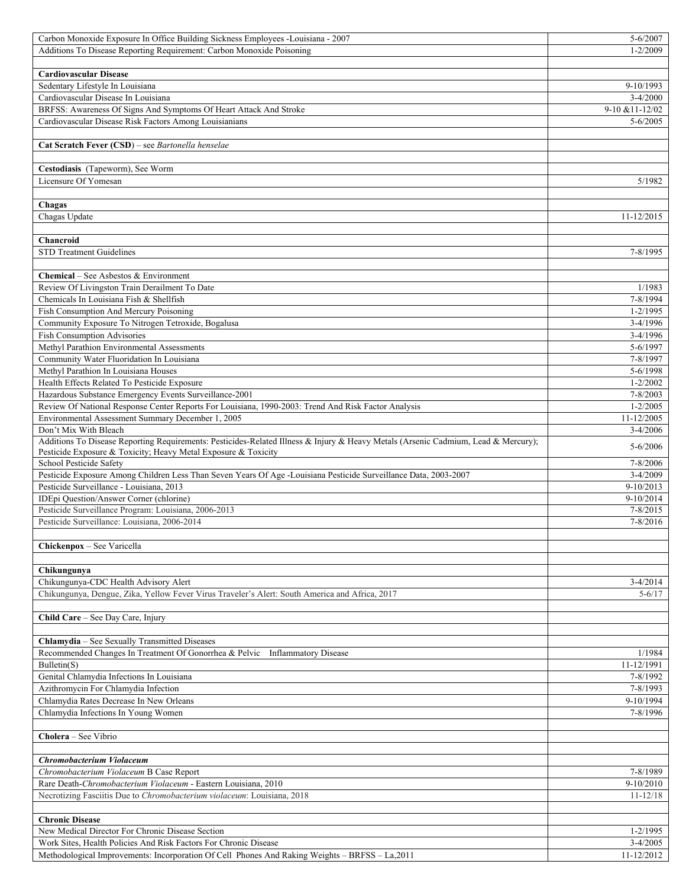| Carbon Monoxide Exposure In Office Building Sickness Employees -Louisiana - 2007                                                   | 5-6/2007          |
|------------------------------------------------------------------------------------------------------------------------------------|-------------------|
| Additions To Disease Reporting Requirement: Carbon Monoxide Poisoning                                                              | $1 - 2/2009$      |
|                                                                                                                                    |                   |
| <b>Cardiovascular Disease</b>                                                                                                      |                   |
| Sedentary Lifestyle In Louisiana                                                                                                   | 9-10/1993         |
| Cardiovascular Disease In Louisiana                                                                                                | $3-4/2000$        |
| BRFSS: Awareness Of Signs And Symptoms Of Heart Attack And Stroke                                                                  | $9-10$ & 11-12/02 |
| Cardiovascular Disease Risk Factors Among Louisianians                                                                             | $5 - 6/2005$      |
|                                                                                                                                    |                   |
| Cat Scratch Fever (CSD) - see Bartonella henselae                                                                                  |                   |
|                                                                                                                                    |                   |
| Cestodiasis (Tapeworm), See Worm                                                                                                   |                   |
| Licensure Of Yomesan                                                                                                               | 5/1982            |
|                                                                                                                                    |                   |
|                                                                                                                                    |                   |
| Chagas                                                                                                                             |                   |
| Chagas Update                                                                                                                      | 11-12/2015        |
|                                                                                                                                    |                   |
| Chancroid                                                                                                                          |                   |
| <b>STD Treatment Guidelines</b>                                                                                                    | 7-8/1995          |
|                                                                                                                                    |                   |
| <b>Chemical</b> – See Asbestos & Environment                                                                                       |                   |
| Review Of Livingston Train Derailment To Date                                                                                      | 1/1983            |
| Chemicals In Louisiana Fish & Shellfish                                                                                            | 7-8/1994          |
| Fish Consumption And Mercury Poisoning                                                                                             | $1 - 2/1995$      |
| Community Exposure To Nitrogen Tetroxide, Bogalusa                                                                                 | 3-4/1996          |
| Fish Consumption Advisories                                                                                                        | $3-4/1996$        |
| Methyl Parathion Environmental Assessments                                                                                         | 5-6/1997          |
| Community Water Fluoridation In Louisiana                                                                                          | 7-8/1997          |
| Methyl Parathion In Louisiana Houses                                                                                               | 5-6/1998          |
| Health Effects Related To Pesticide Exposure                                                                                       | $1 - 2/2002$      |
| Hazardous Substance Emergency Events Surveillance-2001                                                                             | $7 - 8/2003$      |
| Review Of National Response Center Reports For Louisiana, 1990-2003: Trend And Risk Factor Analysis                                | $1 - 2/2005$      |
| Environmental Assessment Summary December 1, 2005                                                                                  | 11-12/2005        |
| Don't Mix With Bleach                                                                                                              | $3-4/2006$        |
| Additions To Disease Reporting Requirements: Pesticides-Related Illness & Injury & Heavy Metals (Arsenic Cadmium, Lead & Mercury); |                   |
| Pesticide Exposure & Toxicity; Heavy Metal Exposure & Toxicity                                                                     | 5-6/2006          |
| School Pesticide Safety                                                                                                            | 7-8/2006          |
| Pesticide Exposure Among Children Less Than Seven Years Of Age -Louisiana Pesticide Surveillance Data, 2003-2007                   | $3-4/2009$        |
| Pesticide Surveillance - Louisiana, 2013                                                                                           | 9-10/2013         |
| IDEpi Question/Answer Corner (chlorine)                                                                                            | 9-10/2014         |
| Pesticide Surveillance Program: Louisiana, 2006-2013                                                                               | $7 - 8/2015$      |
| Pesticide Surveillance: Louisiana, 2006-2014                                                                                       | 7-8/2016          |
|                                                                                                                                    |                   |
|                                                                                                                                    |                   |
| Chickenpox - See Varicella                                                                                                         |                   |
|                                                                                                                                    |                   |
| Chikungunya                                                                                                                        |                   |
| Chikungunya-CDC Health Advisory Alert                                                                                              | $3-4/2014$        |
| Chikungunya, Dengue, Zika, Yellow Fever Virus Traveler's Alert: South America and Africa, 2017                                     | $5 - 6/17$        |
|                                                                                                                                    |                   |
| Child Care - See Day Care, Injury                                                                                                  |                   |
|                                                                                                                                    |                   |
| <b>Chlamydia</b> – See Sexually Transmitted Diseases                                                                               |                   |
| Recommended Changes In Treatment Of Gonorrhea & Pelvic Inflammatory Disease                                                        | 1/1984            |
| Bulletin(S)                                                                                                                        | 11-12/1991        |
| Genital Chlamydia Infections In Louisiana                                                                                          | 7-8/1992          |
| Azithromycin For Chlamydia Infection                                                                                               | 7-8/1993          |
| Chlamydia Rates Decrease In New Orleans                                                                                            | 9-10/1994         |
| Chlamydia Infections In Young Women                                                                                                | 7-8/1996          |
|                                                                                                                                    |                   |
| Cholera – See Vibrio                                                                                                               |                   |
|                                                                                                                                    |                   |
|                                                                                                                                    |                   |
| Chromobacterium Violaceum                                                                                                          |                   |
| Chromobacterium Violaceum B Case Report                                                                                            | 7-8/1989          |
| Rare Death-Chromobacterium Violaceum - Eastern Louisiana, 2010                                                                     | $9-10/2010$       |
| Necrotizing Fasciitis Due to Chromobacterium violaceum: Louisiana, 2018                                                            | $11 - 12/18$      |
|                                                                                                                                    |                   |
| <b>Chronic Disease</b>                                                                                                             |                   |
| New Medical Director For Chronic Disease Section                                                                                   | $1 - 2/1995$      |
| Work Sites, Health Policies And Risk Factors For Chronic Disease                                                                   | $3-4/2005$        |
| Methodological Improvements: Incorporation Of Cell Phones And Raking Weights - BRFSS - La, 2011                                    | 11-12/2012        |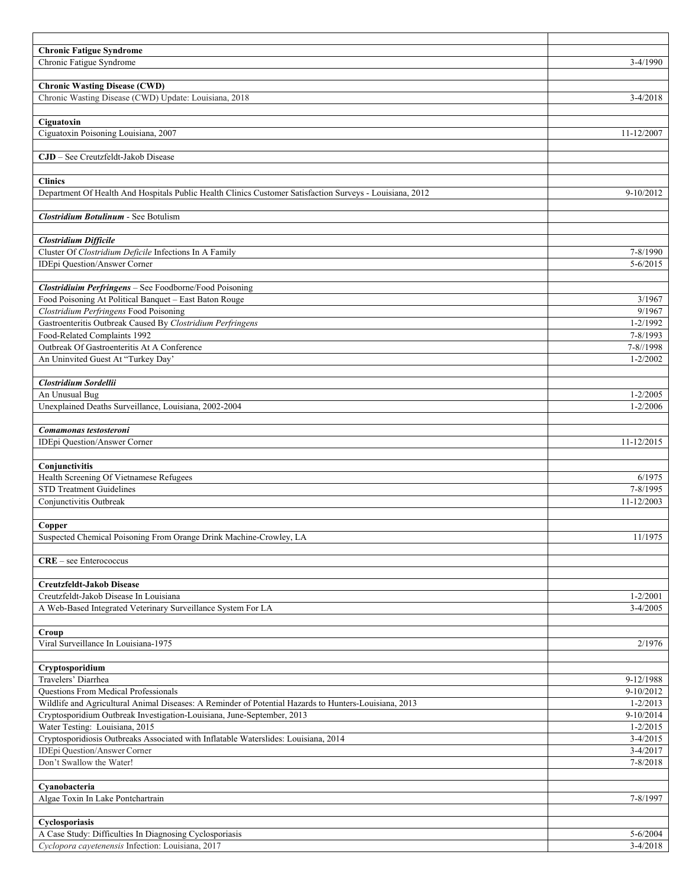| <b>Chronic Fatigue Syndrome</b>                                                                                     |                          |
|---------------------------------------------------------------------------------------------------------------------|--------------------------|
| Chronic Fatigue Syndrome                                                                                            | $3-4/1990$               |
|                                                                                                                     |                          |
| <b>Chronic Wasting Disease (CWD)</b>                                                                                |                          |
| Chronic Wasting Disease (CWD) Update: Louisiana, 2018                                                               | $3-4/2018$               |
| Ciguatoxin                                                                                                          |                          |
| Ciguatoxin Poisoning Louisiana, 2007                                                                                | 11-12/2007               |
|                                                                                                                     |                          |
| CJD - See Creutzfeldt-Jakob Disease                                                                                 |                          |
|                                                                                                                     |                          |
| <b>Clinics</b>                                                                                                      |                          |
| Department Of Health And Hospitals Public Health Clinics Customer Satisfaction Surveys - Louisiana, 2012            | 9-10/2012                |
|                                                                                                                     |                          |
| <b>Clostridium Botulinum - See Botulism</b>                                                                         |                          |
|                                                                                                                     |                          |
| <b>Clostridium Difficile</b>                                                                                        |                          |
| Cluster Of Clostridium Deficile Infections In A Family                                                              | 7-8/1990                 |
| IDEpi Question/Answer Corner                                                                                        | $5 - 6/2015$             |
| Clostridiuim Perfringens - See Foodborne/Food Poisoning                                                             |                          |
| Food Poisoning At Political Banquet - East Baton Rouge                                                              | 3/1967                   |
| Clostridium Perfringens Food Poisoning                                                                              | 9/1967                   |
| Gastroenteritis Outbreak Caused By Clostridium Perfringens                                                          | $1 - 2/1992$             |
| Food-Related Complaints 1992                                                                                        | 7-8/1993                 |
| Outbreak Of Gastroenteritis At A Conference                                                                         | 7-8//1998                |
| An Uninvited Guest At "Turkey Day"                                                                                  | $1 - 2/2002$             |
|                                                                                                                     |                          |
| Clostridium Sordellii                                                                                               |                          |
| An Unusual Bug                                                                                                      | $1 - 2/2005$             |
| Unexplained Deaths Surveillance, Louisiana, 2002-2004                                                               | $1 - 2/2006$             |
| Comamonas testosteroni                                                                                              |                          |
| <b>IDEpi Question/Answer Corner</b>                                                                                 | 11-12/2015               |
|                                                                                                                     |                          |
| Conjunctivitis                                                                                                      |                          |
| Health Screening Of Vietnamese Refugees                                                                             | 6/1975                   |
| <b>STD Treatment Guidelines</b>                                                                                     | 7-8/1995                 |
| Conjunctivitis Outbreak                                                                                             | 11-12/2003               |
|                                                                                                                     |                          |
| Copper                                                                                                              |                          |
| Suspected Chemical Poisoning From Orange Drink Machine-Crowley, LA                                                  | 11/1975                  |
|                                                                                                                     |                          |
| $CRE - see Enterococcus$                                                                                            |                          |
|                                                                                                                     |                          |
| Creutzfeldt-Jakob Disease<br>Creutzfeldt-Jakob Disease In Louisiana                                                 | $1 - 2/2001$             |
| A Web-Based Integrated Veterinary Surveillance System For LA                                                        | $3-4/2005$               |
|                                                                                                                     |                          |
| Croup                                                                                                               |                          |
| Viral Surveillance In Louisiana-1975                                                                                | 2/1976                   |
|                                                                                                                     |                          |
| Cryptosporidium                                                                                                     |                          |
| Travelers' Diarrhea                                                                                                 | 9-12/1988                |
| <b>Questions From Medical Professionals</b>                                                                         | $9-10/2012$              |
| Wildlife and Agricultural Animal Diseases: A Reminder of Potential Hazards to Hunters-Louisiana, 2013               | $1 - 2/2013$             |
| Cryptosporidium Outbreak Investigation-Louisiana, June-September, 2013                                              | 9-10/2014                |
| Water Testing: Louisiana, 2015                                                                                      | $1 - 2/2015$             |
| Cryptosporidiosis Outbreaks Associated with Inflatable Waterslides: Louisiana, 2014<br>IDEpi Question/Answer Corner | $3-4/2015$<br>$3-4/2017$ |
| Don't Swallow the Water!                                                                                            | 7-8/2018                 |
|                                                                                                                     |                          |
| Cyanobacteria                                                                                                       |                          |
| Algae Toxin In Lake Pontchartrain                                                                                   | 7-8/1997                 |
|                                                                                                                     |                          |
| Cyclosporiasis                                                                                                      |                          |
| A Case Study: Difficulties In Diagnosing Cyclosporiasis                                                             | $5 - 6/2004$             |
| Cyclopora cayetenensis Infection: Louisiana, 2017                                                                   | $3-4/2018$               |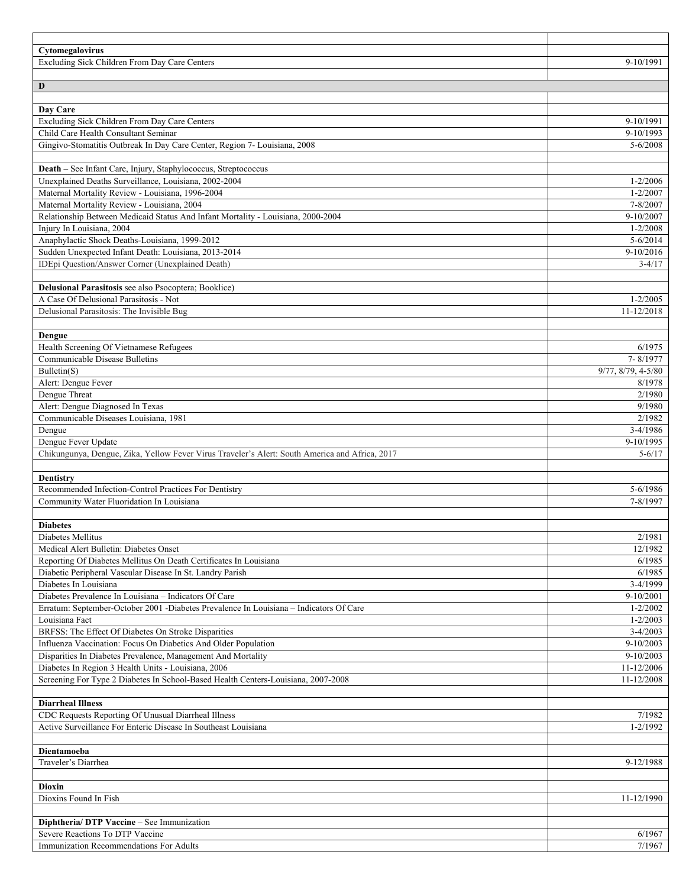| Cytomegalovirus                                                                                             |                    |
|-------------------------------------------------------------------------------------------------------------|--------------------|
| Excluding Sick Children From Day Care Centers                                                               | 9-10/1991          |
|                                                                                                             |                    |
| D                                                                                                           |                    |
|                                                                                                             |                    |
| Day Care<br>Excluding Sick Children From Day Care Centers                                                   | 9-10/1991          |
| Child Care Health Consultant Seminar                                                                        | 9-10/1993          |
| Gingivo-Stomatitis Outbreak In Day Care Center, Region 7- Louisiana, 2008                                   | $5 - 6/2008$       |
|                                                                                                             |                    |
| Death - See Infant Care, Injury, Staphylococcus, Streptococcus                                              |                    |
| Unexplained Deaths Surveillance, Louisiana, 2002-2004                                                       | $1 - 2/2006$       |
| Maternal Mortality Review - Louisiana, 1996-2004                                                            | $1 - 2/2007$       |
| Maternal Mortality Review - Louisiana, 2004                                                                 | 7-8/2007           |
| Relationship Between Medicaid Status And Infant Mortality - Louisiana, 2000-2004                            | 9-10/2007          |
| Injury In Louisiana, 2004                                                                                   | $1 - 2/2008$       |
| Anaphylactic Shock Deaths-Louisiana, 1999-2012                                                              | $5 - 6/2014$       |
| Sudden Unexpected Infant Death: Louisiana, 2013-2014                                                        | 9-10/2016          |
| IDEpi Question/Answer Corner (Unexplained Death)                                                            | $3-4/17$           |
|                                                                                                             |                    |
| Delusional Parasitosis see also Psocoptera; Booklice)                                                       |                    |
| A Case Of Delusional Parasitosis - Not                                                                      | $1 - 2/2005$       |
| Delusional Parasitosis: The Invisible Bug                                                                   | 11-12/2018         |
|                                                                                                             |                    |
| Dengue                                                                                                      |                    |
| Health Screening Of Vietnamese Refugees<br>Communicable Disease Bulletins                                   | 6/1975<br>7-8/1977 |
| Bulletin(S)                                                                                                 | 9/77, 8/79, 4-5/80 |
| Alert: Dengue Fever                                                                                         | 8/1978             |
| Dengue Threat                                                                                               | 2/1980             |
| Alert: Dengue Diagnosed In Texas                                                                            | 9/1980             |
| Communicable Diseases Louisiana, 1981                                                                       | 2/1982             |
| Dengue                                                                                                      | $3-4/1986$         |
| Dengue Fever Update                                                                                         | 9-10/1995          |
| Chikungunya, Dengue, Zika, Yellow Fever Virus Traveler's Alert: South America and Africa, 2017              | $5 - 6/17$         |
|                                                                                                             |                    |
| Dentistry                                                                                                   |                    |
| Recommended Infection-Control Practices For Dentistry                                                       | 5-6/1986           |
| Community Water Fluoridation In Louisiana                                                                   | 7-8/1997           |
|                                                                                                             |                    |
| <b>Diabetes</b>                                                                                             |                    |
| Diabetes Mellitus                                                                                           | 2/1981             |
| Medical Alert Bulletin: Diabetes Onset<br>Reporting Of Diabetes Mellitus On Death Certificates In Louisiana | 12/1982            |
| Diabetic Peripheral Vascular Disease In St. Landry Parish                                                   | 6/1985<br>6/1985   |
| Diabetes In Louisiana                                                                                       | 3-4/1999           |
| Diabetes Prevalence In Louisiana - Indicators Of Care                                                       | 9-10/2001          |
| Erratum: September-October 2001 - Diabetes Prevalence In Louisiana - Indicators Of Care                     | $1 - 2/2002$       |
| Louisiana Fact                                                                                              | $1 - 2/2003$       |
| BRFSS: The Effect Of Diabetes On Stroke Disparities                                                         | $3-4/2003$         |
| Influenza Vaccination: Focus On Diabetics And Older Population                                              | $9-10/2003$        |
| Disparities In Diabetes Prevalence, Management And Mortality                                                | $9-10/2003$        |
| Diabetes In Region 3 Health Units - Louisiana, 2006                                                         | 11-12/2006         |
| Screening For Type 2 Diabetes In School-Based Health Centers-Louisiana, 2007-2008                           | 11-12/2008         |
|                                                                                                             |                    |
| <b>Diarrheal Illness</b>                                                                                    |                    |
| CDC Requests Reporting Of Unusual Diarrheal Illness                                                         |                    |
|                                                                                                             | 7/1982             |
| Active Surveillance For Enteric Disease In Southeast Louisiana                                              | 1-2/1992           |
|                                                                                                             |                    |
| Dientamoeba                                                                                                 |                    |
| Traveler's Diarrhea                                                                                         | 9-12/1988          |
|                                                                                                             |                    |
| Dioxin                                                                                                      |                    |
| Dioxins Found In Fish                                                                                       | 11-12/1990         |
|                                                                                                             |                    |
| Diphtheria/ DTP Vaccine - See Immunization                                                                  |                    |
| Severe Reactions To DTP Vaccine<br>Immunization Recommendations For Adults                                  | 6/1967<br>7/1967   |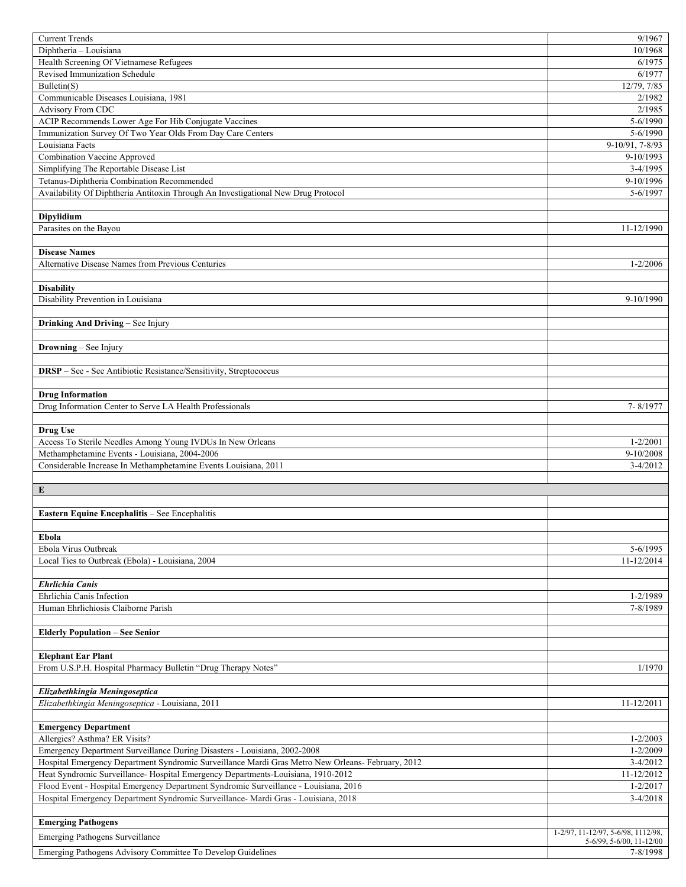| <b>Current Trends</b>                                                                             | 9/1967                               |
|---------------------------------------------------------------------------------------------------|--------------------------------------|
| Diphtheria - Louisiana                                                                            | 10/1968                              |
| Health Screening Of Vietnamese Refugees                                                           | 6/1975                               |
| Revised Immunization Schedule                                                                     | 6/1977                               |
| Bulletin(S)                                                                                       | 12/79, 7/85                          |
| Communicable Diseases Louisiana, 1981                                                             | 2/1982                               |
| Advisory From CDC                                                                                 | 2/1985                               |
| ACIP Recommends Lower Age For Hib Conjugate Vaccines                                              | 5-6/1990                             |
| Immunization Survey Of Two Year Olds From Day Care Centers                                        | 5-6/1990                             |
| Louisiana Facts                                                                                   | 9-10/91, 7-8/93                      |
| <b>Combination Vaccine Approved</b>                                                               | 9-10/1993                            |
| Simplifying The Reportable Disease List                                                           | $3-4/1995$                           |
| Tetanus-Diphtheria Combination Recommended                                                        | 9-10/1996                            |
| Availability Of Diphtheria Antitoxin Through An Investigational New Drug Protocol                 | 5-6/1997                             |
|                                                                                                   |                                      |
| Dipylidium                                                                                        |                                      |
| Parasites on the Bayou                                                                            | 11-12/1990                           |
|                                                                                                   |                                      |
| <b>Disease Names</b>                                                                              |                                      |
| Alternative Disease Names from Previous Centuries                                                 | $1 - 2/2006$                         |
|                                                                                                   |                                      |
| <b>Disability</b>                                                                                 |                                      |
| Disability Prevention in Louisiana                                                                | 9-10/1990                            |
|                                                                                                   |                                      |
| Drinking And Driving - See Injury                                                                 |                                      |
|                                                                                                   |                                      |
| Drowning - See Injury                                                                             |                                      |
|                                                                                                   |                                      |
| DRSP - See - See Antibiotic Resistance/Sensitivity, Streptococcus                                 |                                      |
|                                                                                                   |                                      |
| <b>Drug Information</b>                                                                           |                                      |
| Drug Information Center to Serve LA Health Professionals                                          | 7-8/1977                             |
|                                                                                                   |                                      |
| <b>Drug Use</b>                                                                                   |                                      |
| Access To Sterile Needles Among Young IVDUs In New Orleans                                        | $1 - 2/2001$                         |
| Methamphetamine Events - Louisiana, 2004-2006                                                     | $9-10/2008$                          |
| Considerable Increase In Methamphetamine Events Louisiana, 2011                                   | $3-4/2012$                           |
|                                                                                                   |                                      |
| ${\bf E}$                                                                                         |                                      |
| Eastern Equine Encephalitis - See Encephalitis                                                    |                                      |
|                                                                                                   |                                      |
| Ebola                                                                                             |                                      |
| Ebola Virus Outbreak                                                                              | 5-6/1995                             |
| Local Ties to Outbreak (Ebola) - Louisiana, 2004                                                  | 11-12/2014                           |
|                                                                                                   |                                      |
| <b>Ehrlichia Canis</b>                                                                            |                                      |
| Ehrlichia Canis Infection                                                                         | 1-2/1989                             |
| Human Ehrlichiosis Claiborne Parish                                                               | 7-8/1989                             |
|                                                                                                   |                                      |
| <b>Elderly Population - See Senior</b>                                                            |                                      |
|                                                                                                   |                                      |
| <b>Elephant Ear Plant</b>                                                                         |                                      |
| From U.S.P.H. Hospital Pharmacy Bulletin "Drug Therapy Notes"                                     | 1/1970                               |
|                                                                                                   |                                      |
| Elizabethkingia Meningoseptica                                                                    |                                      |
| Elizabethkingia Meningoseptica - Louisiana, 2011                                                  | 11-12/2011                           |
|                                                                                                   |                                      |
| <b>Emergency Department</b>                                                                       |                                      |
| Allergies? Asthma? ER Visits?                                                                     | $1 - 2/2003$                         |
| Emergency Department Surveillance During Disasters - Louisiana, 2002-2008                         | $1 - 2/2009$                         |
| Hospital Emergency Department Syndromic Surveillance Mardi Gras Metro New Orleans- February, 2012 | $3-4/2012$                           |
| Heat Syndromic Surveillance-Hospital Emergency Departments-Louisiana, 1910-2012                   | 11-12/2012                           |
| Flood Event - Hospital Emergency Department Syndromic Surveillance - Louisiana, 2016              | $1 - 2/2017$                         |
| Hospital Emergency Department Syndromic Surveillance- Mardi Gras - Louisiana, 2018                | $3-4/2018$                           |
|                                                                                                   |                                      |
|                                                                                                   |                                      |
| <b>Emerging Pathogens</b>                                                                         |                                      |
| <b>Emerging Pathogens Surveillance</b>                                                            | 1-2/97, 11-12/97, 5-6/98, 1112/98,   |
| Emerging Pathogens Advisory Committee To Develop Guidelines                                       | 5-6/99, 5-6/00, 11-12/00<br>7-8/1998 |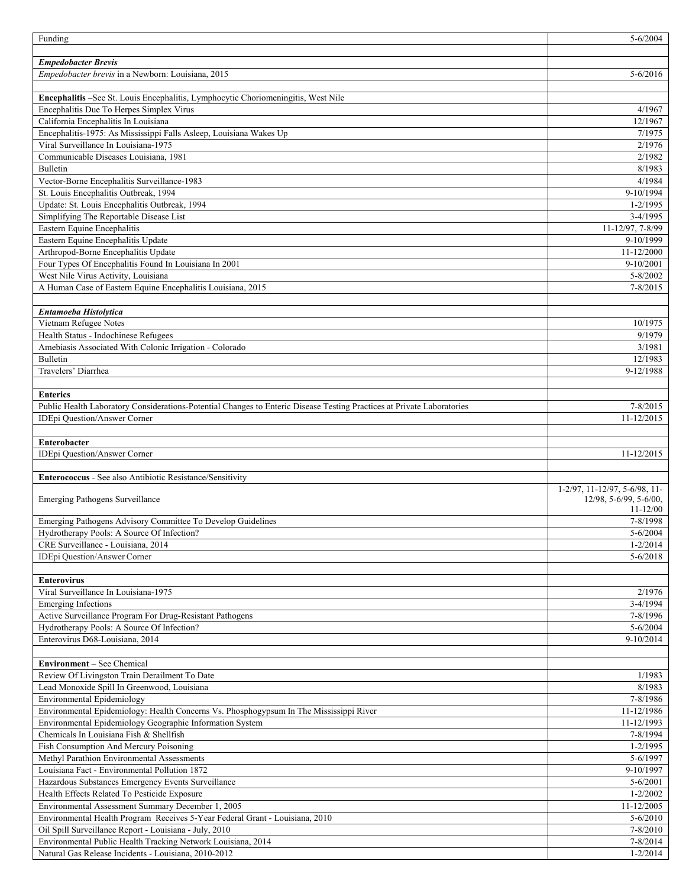| Funding                                                                                                                       | $5 - 6/2004$                  |
|-------------------------------------------------------------------------------------------------------------------------------|-------------------------------|
|                                                                                                                               |                               |
| <b>Empedobacter Brevis</b>                                                                                                    |                               |
| Empedobacter brevis in a Newborn: Louisiana, 2015                                                                             | $5 - 6/2016$                  |
|                                                                                                                               |                               |
| Encephalitis -See St. Louis Encephalitis, Lymphocytic Choriomeningitis, West Nile<br>Encephalitis Due To Herpes Simplex Virus | 4/1967                        |
| California Encephalitis In Louisiana                                                                                          | 12/1967                       |
| Encephalitis-1975: As Mississippi Falls Asleep, Louisiana Wakes Up                                                            | 7/1975                        |
| Viral Surveillance In Louisiana-1975                                                                                          | 2/1976                        |
| Communicable Diseases Louisiana, 1981                                                                                         | 2/1982                        |
| Bulletin                                                                                                                      | 8/1983                        |
| Vector-Borne Encephalitis Surveillance-1983                                                                                   | 4/1984                        |
| St. Louis Encephalitis Outbreak, 1994                                                                                         | 9-10/1994                     |
| Update: St. Louis Encephalitis Outbreak, 1994                                                                                 | $1 - 2/1995$                  |
| Simplifying The Reportable Disease List                                                                                       | $3-4/1995$                    |
| Eastern Equine Encephalitis                                                                                                   | 11-12/97, 7-8/99              |
| Eastern Equine Encephalitis Update                                                                                            | 9-10/1999                     |
| Arthropod-Borne Encephalitis Update                                                                                           | 11-12/2000                    |
| Four Types Of Encephalitis Found In Louisiana In 2001                                                                         | 9-10/2001                     |
| West Nile Virus Activity, Louisiana                                                                                           | $5 - 8/2002$                  |
| A Human Case of Eastern Equine Encephalitis Louisiana, 2015                                                                   | $7 - 8/2015$                  |
|                                                                                                                               |                               |
| Entamoeba Histolytica                                                                                                         |                               |
| Vietnam Refugee Notes                                                                                                         | 10/1975                       |
| Health Status - Indochinese Refugees                                                                                          | 9/1979                        |
| Amebiasis Associated With Colonic Irrigation - Colorado                                                                       | 3/1981                        |
| Bulletin                                                                                                                      | 12/1983                       |
| Travelers' Diarrhea                                                                                                           | 9-12/1988                     |
| <b>Enterics</b>                                                                                                               |                               |
| Public Health Laboratory Considerations-Potential Changes to Enteric Disease Testing Practices at Private Laboratories        | $7 - 8/2015$                  |
| <b>IDEpi Question/Answer Corner</b>                                                                                           | 11-12/2015                    |
|                                                                                                                               |                               |
|                                                                                                                               |                               |
|                                                                                                                               |                               |
| Enterobacter                                                                                                                  |                               |
| IDEpi Question/Answer Corner                                                                                                  | 11-12/2015                    |
| Enterococcus - See also Antibiotic Resistance/Sensitivity                                                                     |                               |
|                                                                                                                               | 1-2/97, 11-12/97, 5-6/98, 11- |
| Emerging Pathogens Surveillance                                                                                               | 12/98, 5-6/99, 5-6/00,        |
|                                                                                                                               | $11 - 12/00$                  |
| Emerging Pathogens Advisory Committee To Develop Guidelines                                                                   | 7-8/1998                      |
| Hydrotherapy Pools: A Source Of Infection?                                                                                    | $5 - 6/2004$                  |
| CRE Surveillance - Louisiana, 2014                                                                                            | $1 - 2/2014$                  |
| <b>IDEpi Question/Answer Corner</b>                                                                                           | $5 - 6/2018$                  |
|                                                                                                                               |                               |
| <b>Enterovirus</b>                                                                                                            |                               |
| Viral Surveillance In Louisiana-1975                                                                                          | 2/1976                        |
| <b>Emerging Infections</b>                                                                                                    | $3-4/1994$                    |
| Active Surveillance Program For Drug-Resistant Pathogens<br>Hydrotherapy Pools: A Source Of Infection?                        | 7-8/1996<br>$5 - 6/2004$      |
| Enterovirus D68-Louisiana, 2014                                                                                               | 9-10/2014                     |
|                                                                                                                               |                               |
| Environment - See Chemical                                                                                                    |                               |
| Review Of Livingston Train Derailment To Date                                                                                 | 1/1983                        |
| Lead Monoxide Spill In Greenwood, Louisiana                                                                                   | 8/1983                        |
| <b>Environmental Epidemiology</b>                                                                                             | 7-8/1986                      |
| Environmental Epidemiology: Health Concerns Vs. Phosphogypsum In The Mississippi River                                        | 11-12/1986                    |
| Environmental Epidemiology Geographic Information System                                                                      | 11-12/1993                    |
| Chemicals In Louisiana Fish & Shellfish                                                                                       | 7-8/1994                      |
| Fish Consumption And Mercury Poisoning                                                                                        | $1 - 2/1995$                  |
| Methyl Parathion Environmental Assessments                                                                                    | 5-6/1997                      |
| Louisiana Fact - Environmental Pollution 1872                                                                                 | 9-10/1997                     |
| Hazardous Substances Emergency Events Surveillance                                                                            | $5 - 6/2001$                  |
| Health Effects Related To Pesticide Exposure                                                                                  | $1 - 2/2002$                  |
| Environmental Assessment Summary December 1, 2005                                                                             | 11-12/2005                    |
| Environmental Health Program Receives 5-Year Federal Grant - Louisiana, 2010                                                  | $5 - 6/2010$                  |
| Oil Spill Surveillance Report - Louisiana - July, 2010                                                                        | 7-8/2010                      |
| Environmental Public Health Tracking Network Louisiana, 2014<br>Natural Gas Release Incidents - Louisiana, 2010-2012          | 7-8/2014<br>$1 - 2/2014$      |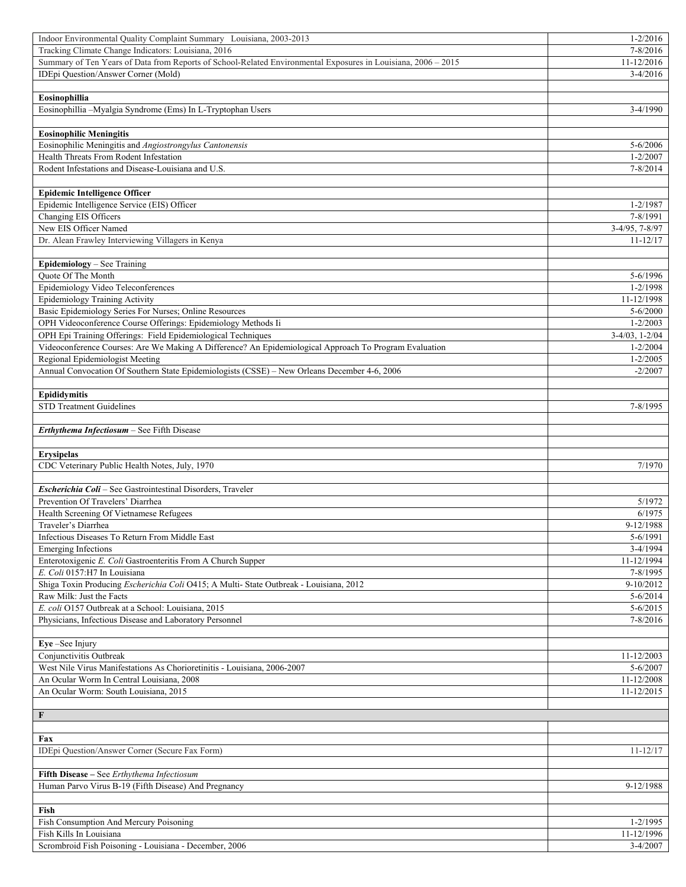| Indoor Environmental Quality Complaint Summary Louisiana, 2003-2013                                           | $1 - 2/2016$           |
|---------------------------------------------------------------------------------------------------------------|------------------------|
| Tracking Climate Change Indicators: Louisiana, 2016                                                           | $7 - 8/2016$           |
| Summary of Ten Years of Data from Reports of School-Related Environmental Exposures in Louisiana, 2006 - 2015 | 11-12/2016             |
| IDEpi Question/Answer Corner (Mold)                                                                           | $3-4/2016$             |
|                                                                                                               |                        |
| Eosinophillia                                                                                                 |                        |
| Eosinophillia -- Myalgia Syndrome (Ems) In L-Tryptophan Users                                                 | $3-4/1990$             |
|                                                                                                               |                        |
| <b>Eosinophilic Meningitis</b>                                                                                |                        |
| Eosinophilic Meningitis and Angiostrongylus Cantonensis                                                       | $5 - 6/2006$           |
| Health Threats From Rodent Infestation                                                                        | $1 - 2/2007$           |
| Rodent Infestations and Disease-Louisiana and U.S.                                                            | $7 - 8/2014$           |
|                                                                                                               |                        |
| <b>Epidemic Intelligence Officer</b>                                                                          |                        |
| Epidemic Intelligence Service (EIS) Officer                                                                   | $1 - 2/1987$           |
| Changing EIS Officers                                                                                         | 7-8/1991               |
| New EIS Officer Named                                                                                         | $3-4/95, 7-8/97$       |
| Dr. Alean Frawley Interviewing Villagers in Kenya                                                             | $11 - 12/17$           |
|                                                                                                               |                        |
| Epidemiology - See Training                                                                                   |                        |
| <b>Ouote Of The Month</b>                                                                                     | 5-6/1996               |
| Epidemiology Video Teleconferences                                                                            | 1-2/1998               |
| Epidemiology Training Activity                                                                                | 11-12/1998             |
| Basic Epidemiology Series For Nurses; Online Resources                                                        | $5 - 6/2000$           |
| OPH Videoconference Course Offerings: Epidemiology Methods Ii                                                 | $1 - 2/2003$           |
| OPH Epi Training Offerings: Field Epidemiological Techniques                                                  | $3-4/03$ , $1-2/04$    |
| Videoconference Courses: Are We Making A Difference? An Epidemiological Approach To Program Evaluation        | $1 - 2/2004$           |
| Regional Epidemiologist Meeting                                                                               | $1 - 2/2005$           |
| Annual Convocation Of Southern State Epidemiologists (CSSE) - New Orleans December 4-6, 2006                  | $-2/2007$              |
|                                                                                                               |                        |
| Epididymitis                                                                                                  |                        |
| <b>STD Treatment Guidelines</b>                                                                               | 7-8/1995               |
|                                                                                                               |                        |
|                                                                                                               |                        |
| Erthythema Infectiosum - See Fifth Disease                                                                    |                        |
|                                                                                                               |                        |
| <b>Erysipelas</b>                                                                                             |                        |
| CDC Veterinary Public Health Notes, July, 1970                                                                | 7/1970                 |
|                                                                                                               |                        |
| Escherichia Coli - See Gastrointestinal Disorders, Traveler                                                   |                        |
| Prevention Of Travelers' Diarrhea                                                                             | 5/1972                 |
| Health Screening Of Vietnamese Refugees                                                                       | 6/1975                 |
| Traveler's Diarrhea                                                                                           | 9-12/1988              |
| Infectious Diseases To Return From Middle East                                                                | 5-6/1991               |
| <b>Emerging Infections</b>                                                                                    | 3-4/1994               |
| Enterotoxigenic E. Coli Gastroenteritis From A Church Supper                                                  | 11-12/1994             |
| E. Coli 0157:H7 In Louisiana                                                                                  | 7-8/1995               |
| Shiga Toxin Producing Escherichia Coli O415; A Multi- State Outbreak - Louisiana, 2012                        | $9-10/2012$            |
| Raw Milk: Just the Facts                                                                                      | $5 - 6/2014$           |
| E. coli O157 Outbreak at a School: Louisiana, 2015                                                            | $5 - 6/2015$           |
| Physicians, Infectious Disease and Laboratory Personnel                                                       | 7-8/2016               |
|                                                                                                               |                        |
| Eye-See Injury                                                                                                |                        |
| Conjunctivitis Outbreak                                                                                       | 11-12/2003             |
| West Nile Virus Manifestations As Chorioretinitis - Louisiana, 2006-2007                                      | $5 - 6/2007$           |
| An Ocular Worm In Central Louisiana, 2008                                                                     | 11-12/2008             |
| An Ocular Worm: South Louisiana, 2015                                                                         | 11-12/2015             |
|                                                                                                               |                        |
| F                                                                                                             |                        |
|                                                                                                               |                        |
| Fax                                                                                                           |                        |
| IDEpi Question/Answer Corner (Secure Fax Form)                                                                | $11 - 12/17$           |
|                                                                                                               |                        |
| Fifth Disease – See Erthythema Infectiosum                                                                    |                        |
| Human Parvo Virus B-19 (Fifth Disease) And Pregnancy                                                          | 9-12/1988              |
|                                                                                                               |                        |
| Fish                                                                                                          |                        |
| Fish Consumption And Mercury Poisoning                                                                        | $1 - 2/1995$           |
| Fish Kills In Louisiana<br>Scrombroid Fish Poisoning - Louisiana - December, 2006                             | 11-12/1996<br>3-4/2007 |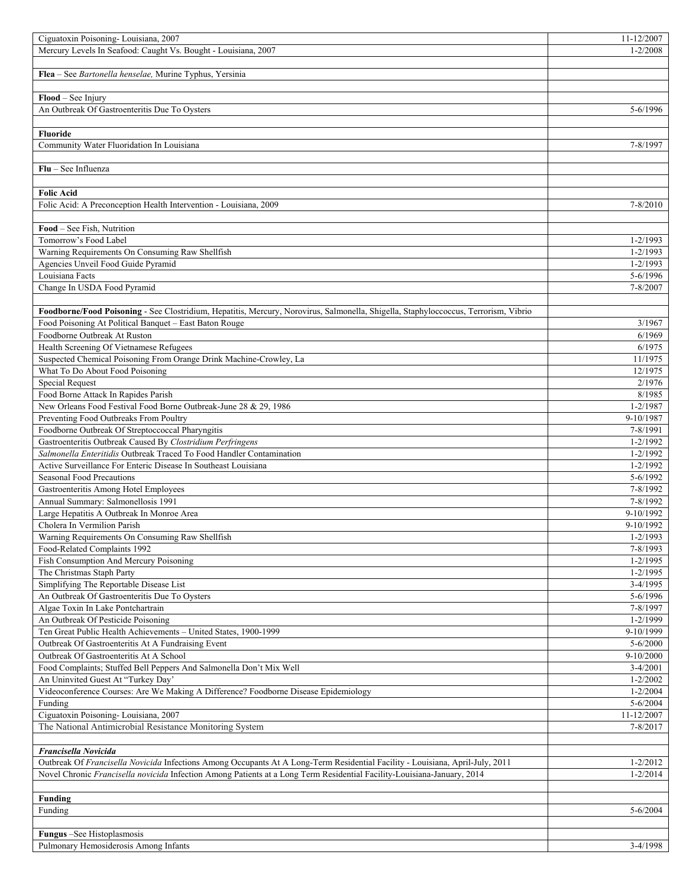| Ciguatoxin Poisoning-Louisiana, 2007                                                                                                | 11-12/2007   |
|-------------------------------------------------------------------------------------------------------------------------------------|--------------|
| Mercury Levels In Seafood: Caught Vs. Bought - Louisiana, 2007                                                                      | 1-2/2008     |
|                                                                                                                                     |              |
| Flea - See Bartonella henselae, Murine Typhus, Yersinia                                                                             |              |
|                                                                                                                                     |              |
| Flood - See Injury                                                                                                                  |              |
| An Outbreak Of Gastroenteritis Due To Oysters                                                                                       | $5 - 6/1996$ |
|                                                                                                                                     |              |
| <b>Fluoride</b>                                                                                                                     |              |
| Community Water Fluoridation In Louisiana                                                                                           | 7-8/1997     |
|                                                                                                                                     |              |
| $Flu - See Influenza$                                                                                                               |              |
|                                                                                                                                     |              |
| <b>Folic Acid</b>                                                                                                                   |              |
| Folic Acid: A Preconception Health Intervention - Louisiana, 2009                                                                   | $7 - 8/2010$ |
|                                                                                                                                     |              |
| Food – See Fish, Nutrition                                                                                                          |              |
| Tomorrow's Food Label                                                                                                               | $1 - 2/1993$ |
| Warning Requirements On Consuming Raw Shellfish                                                                                     | $1 - 2/1993$ |
| Agencies Unveil Food Guide Pyramid                                                                                                  | $1 - 2/1993$ |
| Louisiana Facts                                                                                                                     | $5 - 6/1996$ |
| Change In USDA Food Pyramid                                                                                                         | 7-8/2007     |
|                                                                                                                                     |              |
| Foodborne/Food Poisoning - See Clostridium, Hepatitis, Mercury, Norovirus, Salmonella, Shigella, Staphyloccoccus, Terrorism, Vibrio |              |
| Food Poisoning At Political Banquet - East Baton Rouge                                                                              | 3/1967       |
| Foodborne Outbreak At Ruston                                                                                                        | 6/1969       |
| Health Screening Of Vietnamese Refugees                                                                                             | 6/1975       |
| Suspected Chemical Poisoning From Orange Drink Machine-Crowley, La                                                                  | 11/1975      |
| What To Do About Food Poisoning                                                                                                     | 12/1975      |
| <b>Special Request</b>                                                                                                              | 2/1976       |
| Food Borne Attack In Rapides Parish                                                                                                 | 8/1985       |
| New Orleans Food Festival Food Borne Outbreak-June 28 & 29, 1986                                                                    | $1 - 2/1987$ |
| Preventing Food Outbreaks From Poultry                                                                                              | 9-10/1987    |
| Foodborne Outbreak Of Streptoccoccal Pharyngitis                                                                                    | 7-8/1991     |
| Gastroenteritis Outbreak Caused By Clostridium Perfringens                                                                          | $1 - 2/1992$ |
| Salmonella Enteritidis Outbreak Traced To Food Handler Contamination                                                                | $1 - 2/1992$ |
| Active Surveillance For Enteric Disease In Southeast Louisiana                                                                      | $1 - 2/1992$ |
| <b>Seasonal Food Precautions</b>                                                                                                    | $5 - 6/1992$ |
| Gastroenteritis Among Hotel Employees                                                                                               | 7-8/1992     |
| Annual Summary: Salmonellosis 1991                                                                                                  | 7-8/1992     |
| Large Hepatitis A Outbreak In Monroe Area                                                                                           | 9-10/1992    |
| Cholera In Vermilion Parish                                                                                                         | 9-10/1992    |
| Warning Requirements On Consuming Raw Shellfish                                                                                     | 1-2/1993     |
| Food-Related Complaints 1992                                                                                                        | 7-8/1993     |
| Fish Consumption And Mercury Poisoning                                                                                              | $1 - 2/1995$ |
| The Christmas Staph Party                                                                                                           | $1 - 2/1995$ |
| Simplifying The Reportable Disease List                                                                                             | 3-4/1995     |
| An Outbreak Of Gastroenteritis Due To Oysters                                                                                       | 5-6/1996     |
| Algae Toxin In Lake Pontchartrain                                                                                                   | 7-8/1997     |
| An Outbreak Of Pesticide Poisoning                                                                                                  | $1 - 2/1999$ |
| Ten Great Public Health Achievements - United States, 1900-1999                                                                     | 9-10/1999    |
| Outbreak Of Gastroenteritis At A Fundraising Event                                                                                  | $5 - 6/2000$ |
| Outbreak Of Gastroenteritis At A School                                                                                             | 9-10/2000    |
| Food Complaints; Stuffed Bell Peppers And Salmonella Don't Mix Well                                                                 | 3-4/2001     |
| An Uninvited Guest At "Turkey Day"                                                                                                  | $1 - 2/2002$ |
| Videoconference Courses: Are We Making A Difference? Foodborne Disease Epidemiology                                                 | $1 - 2/2004$ |
| Funding                                                                                                                             | $5 - 6/2004$ |
| Ciguatoxin Poisoning-Louisiana, 2007                                                                                                | 11-12/2007   |
| The National Antimicrobial Resistance Monitoring System                                                                             | 7-8/2017     |
|                                                                                                                                     |              |
| Francisella Novicida                                                                                                                |              |
| Outbreak Of Francisella Novicida Infections Among Occupants At A Long-Term Residential Facility - Louisiana, April-July, 2011       | $1 - 2/2012$ |
| Novel Chronic Francisella novicida Infection Among Patients at a Long Term Residential Facility-Louisiana-January, 2014             | $1 - 2/2014$ |
|                                                                                                                                     |              |
| <b>Funding</b>                                                                                                                      |              |
| Funding                                                                                                                             | $5 - 6/2004$ |
|                                                                                                                                     |              |
|                                                                                                                                     |              |
| Fungus -See Histoplasmosis<br>Pulmonary Hemosiderosis Among Infants                                                                 | 3-4/1998     |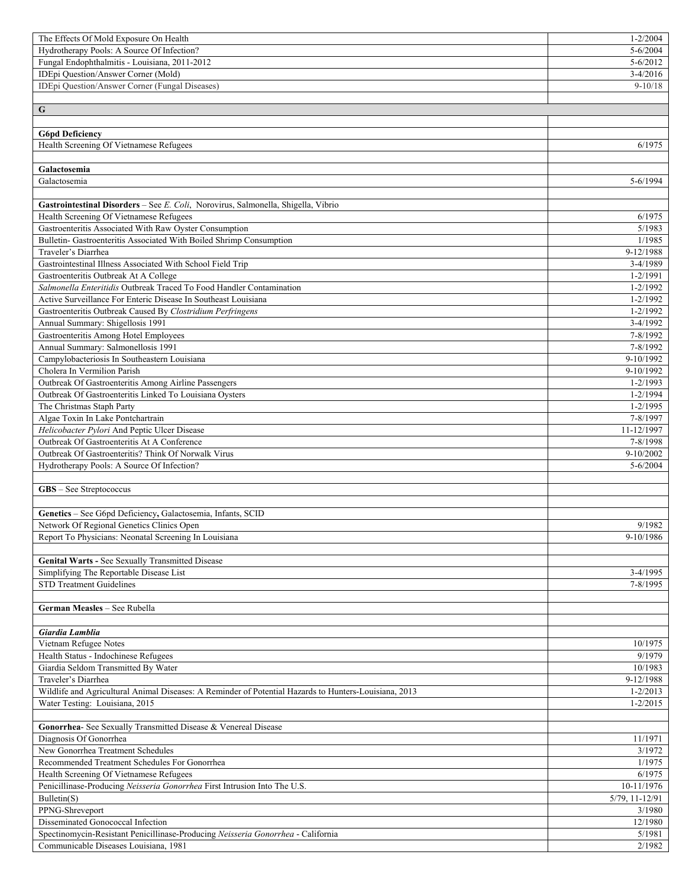| The Effects Of Mold Exposure On Health                                                                          | $1 - 2/2004$                 |
|-----------------------------------------------------------------------------------------------------------------|------------------------------|
| Hydrotherapy Pools: A Source Of Infection?                                                                      | $5 - 6/2004$                 |
| Fungal Endophthalmitis - Louisiana, 2011-2012                                                                   | $5 - 6/2012$                 |
| IDEpi Question/Answer Corner (Mold)                                                                             | $3-4/2016$                   |
| IDEpi Question/Answer Corner (Fungal Diseases)                                                                  | $9-10/18$                    |
|                                                                                                                 |                              |
| $\mathbf G$                                                                                                     |                              |
|                                                                                                                 |                              |
| <b>G6pd Deficiency</b>                                                                                          |                              |
| Health Screening Of Vietnamese Refugees                                                                         | 6/1975                       |
| Galactosemia                                                                                                    |                              |
| Galactosemia                                                                                                    | 5-6/1994                     |
|                                                                                                                 |                              |
| Gastrointestinal Disorders - See E. Coli, Norovirus, Salmonella, Shigella, Vibrio                               |                              |
| Health Screening Of Vietnamese Refugees                                                                         | 6/1975                       |
| Gastroenteritis Associated With Raw Oyster Consumption                                                          | 5/1983                       |
| Bulletin- Gastroenteritis Associated With Boiled Shrimp Consumption                                             | 1/1985                       |
| Traveler's Diarrhea                                                                                             | 9-12/1988                    |
| Gastrointestinal Illness Associated With School Field Trip                                                      | 3-4/1989                     |
| Gastroenteritis Outbreak At A College                                                                           | 1-2/1991                     |
| Salmonella Enteritidis Outbreak Traced To Food Handler Contamination                                            | $1 - 2/1992$                 |
| Active Surveillance For Enteric Disease In Southeast Louisiana                                                  | $1 - 2/1992$                 |
| Gastroenteritis Outbreak Caused By Clostridium Perfringens                                                      | $1 - 2/1992$                 |
| Annual Summary: Shigellosis 1991                                                                                | $3-4/1992$                   |
| Gastroenteritis Among Hotel Employees                                                                           | 7-8/1992                     |
| Annual Summary: Salmonellosis 1991                                                                              | 7-8/1992                     |
| Campylobacteriosis In Southeastern Louisiana                                                                    | 9-10/1992                    |
| Cholera In Vermilion Parish                                                                                     | 9-10/1992                    |
| Outbreak Of Gastroenteritis Among Airline Passengers<br>Outbreak Of Gastroenteritis Linked To Louisiana Oysters | $1 - 2/1993$<br>$1 - 2/1994$ |
| The Christmas Staph Party                                                                                       | $1 - 2/1995$                 |
| Algae Toxin In Lake Pontchartrain                                                                               | 7-8/1997                     |
| Helicobacter Pylori And Peptic Ulcer Disease                                                                    | 11-12/1997                   |
| Outbreak Of Gastroenteritis At A Conference                                                                     | 7-8/1998                     |
| Outbreak Of Gastroenteritis? Think Of Norwalk Virus                                                             | 9-10/2002                    |
| Hydrotherapy Pools: A Source Of Infection?                                                                      | $5 - 6/2004$                 |
|                                                                                                                 |                              |
| GBS - See Streptococcus                                                                                         |                              |
|                                                                                                                 |                              |
| Genetics - See G6pd Deficiency, Galactosemia, Infants, SCID                                                     |                              |
| Network Of Regional Genetics Clinics Open                                                                       | 9/1982                       |
| Report To Physicians: Neonatal Screening In Louisiana                                                           | 9-10/1986                    |
|                                                                                                                 |                              |
| Genital Warts - See Sexually Transmitted Disease                                                                |                              |
| Simplifying The Reportable Disease List                                                                         | 3-4/1995                     |
| <b>STD Treatment Guidelines</b>                                                                                 | 7-8/1995                     |
| German Measles - See Rubella                                                                                    |                              |
|                                                                                                                 |                              |
| Giardia Lamblia                                                                                                 |                              |
| Vietnam Refugee Notes                                                                                           | 10/1975                      |
| Health Status - Indochinese Refugees                                                                            | 9/1979                       |
| Giardia Seldom Transmitted By Water                                                                             | 10/1983                      |
| Traveler's Diarrhea                                                                                             | 9-12/1988                    |
| Wildlife and Agricultural Animal Diseases: A Reminder of Potential Hazards to Hunters-Louisiana, 2013           | $1 - 2/2013$                 |
| Water Testing: Louisiana, 2015                                                                                  | $1 - 2/2015$                 |
|                                                                                                                 |                              |
| Gonorrhea- See Sexually Transmitted Disease & Venereal Disease                                                  |                              |
| Diagnosis Of Gonorrhea                                                                                          | 11/1971                      |
| New Gonorrhea Treatment Schedules                                                                               | 3/1972                       |
| Recommended Treatment Schedules For Gonorrhea                                                                   | 1/1975                       |
| Health Screening Of Vietnamese Refugees                                                                         | 6/1975                       |
| Penicillinase-Producing Neisseria Gonorrhea First Intrusion Into The U.S.                                       | 10-11/1976                   |
| Bulletin(S)<br>PPNG-Shreveport                                                                                  | 5/79, 11-12/91<br>3/1980     |
| Disseminated Gonococcal Infection                                                                               | 12/1980                      |
| Spectinomycin-Resistant Penicillinase-Producing Neisseria Gonorrhea - California                                | 5/1981                       |
| Communicable Diseases Louisiana, 1981                                                                           | 2/1982                       |
|                                                                                                                 |                              |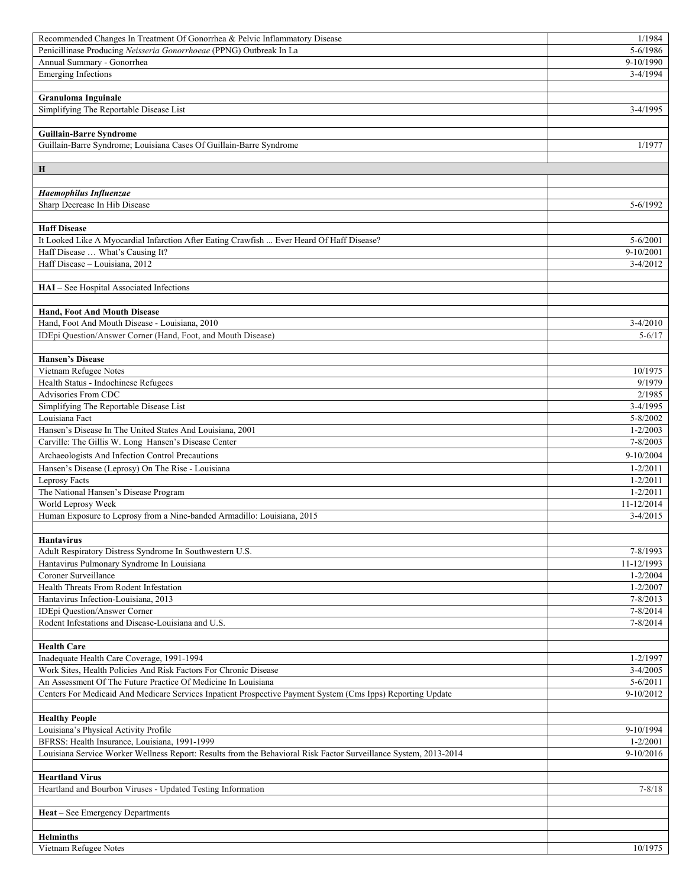| Recommended Changes In Treatment Of Gonorrhea & Pelvic Inflammatory Disease                                       | 1/1984                       |
|-------------------------------------------------------------------------------------------------------------------|------------------------------|
| Penicillinase Producing Neisseria Gonorrhoeae (PPNG) Outbreak In La                                               | 5-6/1986                     |
| Annual Summary - Gonorrhea                                                                                        | 9-10/1990                    |
| <b>Emerging Infections</b>                                                                                        | 3-4/1994                     |
|                                                                                                                   |                              |
| <b>Granuloma Inguinale</b>                                                                                        |                              |
| Simplifying The Reportable Disease List                                                                           | $3-4/1995$                   |
|                                                                                                                   |                              |
| <b>Guillain-Barre Syndrome</b>                                                                                    |                              |
| Guillain-Barre Syndrome; Louisiana Cases Of Guillain-Barre Syndrome                                               | 1/1977                       |
|                                                                                                                   |                              |
| Н                                                                                                                 |                              |
|                                                                                                                   |                              |
| Haemophilus Influenzae<br>Sharp Decrease In Hib Disease                                                           | $5 - 6/1992$                 |
|                                                                                                                   |                              |
| <b>Haff Disease</b>                                                                                               |                              |
| It Looked Like A Myocardial Infarction After Eating Crawfish  Ever Heard Of Haff Disease?                         | $5 - 6/2001$                 |
| Haff Disease  What's Causing It?                                                                                  | $9 - 10/2001$                |
| Haff Disease - Louisiana, 2012                                                                                    | $3-4/2012$                   |
|                                                                                                                   |                              |
| HAI - See Hospital Associated Infections                                                                          |                              |
|                                                                                                                   |                              |
| <b>Hand, Foot And Mouth Disease</b>                                                                               |                              |
| Hand, Foot And Mouth Disease - Louisiana, 2010                                                                    | $3-4/2010$                   |
| IDEpi Question/Answer Corner (Hand, Foot, and Mouth Disease)                                                      | $5 - 6/17$                   |
|                                                                                                                   |                              |
| <b>Hansen's Disease</b>                                                                                           |                              |
| Vietnam Refugee Notes                                                                                             | 10/1975                      |
| Health Status - Indochinese Refugees                                                                              | 9/1979                       |
| Advisories From CDC                                                                                               | 2/1985                       |
| Simplifying The Reportable Disease List                                                                           | $3-4/1995$                   |
| Louisiana Fact                                                                                                    | 5-8/2002                     |
| Hansen's Disease In The United States And Louisiana, 2001<br>Carville: The Gillis W. Long Hansen's Disease Center | $1 - 2/2003$<br>$7 - 8/2003$ |
|                                                                                                                   | 9-10/2004                    |
| Archaeologists And Infection Control Precautions                                                                  |                              |
| Hansen's Disease (Leprosy) On The Rise - Louisiana                                                                | $1 - 2/2011$<br>$1 - 2/2011$ |
| Leprosy Facts<br>The National Hansen's Disease Program                                                            | $1 - 2/2011$                 |
| World Leprosy Week                                                                                                | 11-12/2014                   |
| Human Exposure to Leprosy from a Nine-banded Armadillo: Louisiana, 2015                                           | $3-4/2015$                   |
|                                                                                                                   |                              |
| <b>Hantavirus</b>                                                                                                 |                              |
| Adult Respiratory Distress Syndrome In Southwestern U.S.                                                          | 7-8/1993                     |
| Hantavirus Pulmonary Syndrome In Louisiana                                                                        | 11-12/1993                   |
| Coroner Surveillance                                                                                              | $1 - 2/2004$                 |
| Health Threats From Rodent Infestation                                                                            | $1 - 2/2007$                 |
| Hantavirus Infection-Louisiana, 2013                                                                              | $7 - 8/2013$                 |
| IDEpi Question/Answer Corner                                                                                      | 7-8/2014                     |
| Rodent Infestations and Disease-Louisiana and U.S.                                                                | 7-8/2014                     |
|                                                                                                                   |                              |
| <b>Health Care</b>                                                                                                |                              |
| Inadequate Health Care Coverage, 1991-1994                                                                        | $1 - 2/1997$                 |
| Work Sites, Health Policies And Risk Factors For Chronic Disease                                                  | $3-4/2005$                   |
| An Assessment Of The Future Practice Of Medicine In Louisiana                                                     | $5 - 6/2011$                 |
| Centers For Medicaid And Medicare Services Inpatient Prospective Payment System (Cms Ipps) Reporting Update       | 9-10/2012                    |
|                                                                                                                   |                              |
| <b>Healthy People</b>                                                                                             |                              |
| Louisiana's Physical Activity Profile<br>BFRSS: Health Insurance, Louisiana, 1991-1999                            | 9-10/1994<br>$1 - 2/2001$    |
| Louisiana Service Worker Wellness Report: Results from the Behavioral Risk Factor Surveillance System, 2013-2014  | 9-10/2016                    |
|                                                                                                                   |                              |
| <b>Heartland Virus</b>                                                                                            |                              |
| Heartland and Bourbon Viruses - Updated Testing Information                                                       | $7 - 8/18$                   |
|                                                                                                                   |                              |
| Heat - See Emergency Departments                                                                                  |                              |
|                                                                                                                   |                              |
| <b>Helminths</b>                                                                                                  |                              |
| Vietnam Refugee Notes                                                                                             | 10/1975                      |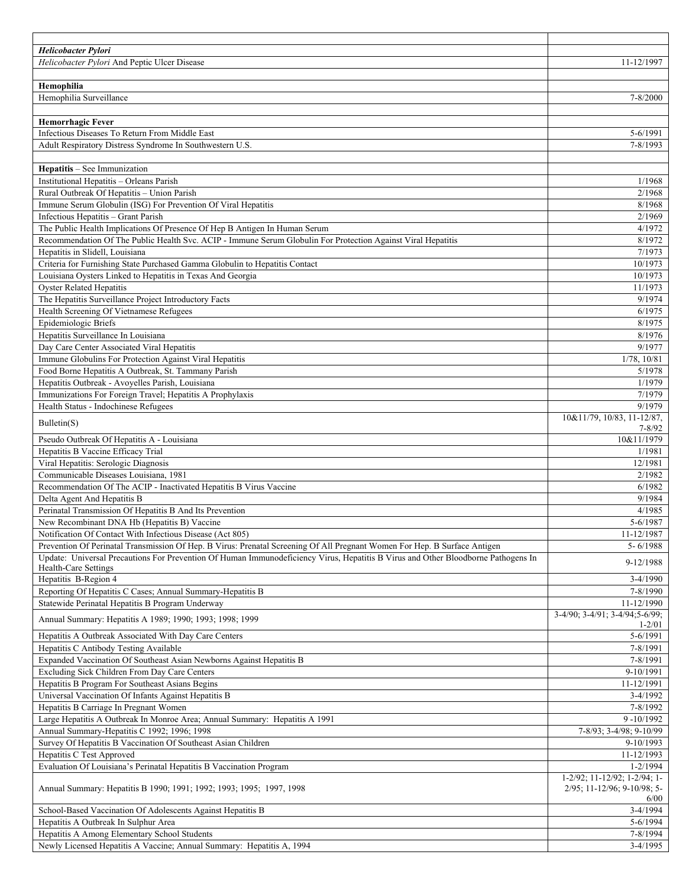| Helicobacter Pylori                                                                                                               |                                          |
|-----------------------------------------------------------------------------------------------------------------------------------|------------------------------------------|
| Helicobacter Pylori And Peptic Ulcer Disease                                                                                      | 11-12/1997                               |
|                                                                                                                                   |                                          |
| Hemophilia                                                                                                                        |                                          |
| Hemophilia Surveillance                                                                                                           | 7-8/2000                                 |
|                                                                                                                                   |                                          |
| <b>Hemorrhagic Fever</b>                                                                                                          |                                          |
| Infectious Diseases To Return From Middle East                                                                                    | 5-6/1991                                 |
| Adult Respiratory Distress Syndrome In Southwestern U.S.                                                                          | 7-8/1993                                 |
|                                                                                                                                   |                                          |
| Hepatitis - See Immunization                                                                                                      |                                          |
| Institutional Hepatitis - Orleans Parish                                                                                          | 1/1968                                   |
| Rural Outbreak Of Hepatitis - Union Parish                                                                                        | 2/1968                                   |
| Immune Serum Globulin (ISG) For Prevention Of Viral Hepatitis                                                                     | 8/1968                                   |
| Infectious Hepatitis - Grant Parish                                                                                               | 2/1969                                   |
| The Public Health Implications Of Presence Of Hep B Antigen In Human Serum                                                        | 4/1972                                   |
| Recommendation Of The Public Health Svc. ACIP - Immune Serum Globulin For Protection Against Viral Hepatitis                      | 8/1972                                   |
| Hepatitis in Slidell, Louisiana                                                                                                   | 7/1973                                   |
| Criteria for Furnishing State Purchased Gamma Globulin to Hepatitis Contact                                                       | 10/1973                                  |
| Louisiana Oysters Linked to Hepatitis in Texas And Georgia                                                                        | 10/1973                                  |
| <b>Oyster Related Hepatitis</b>                                                                                                   | 11/1973                                  |
| The Hepatitis Surveillance Project Introductory Facts                                                                             | 9/1974                                   |
| Health Screening Of Vietnamese Refugees                                                                                           | 6/1975                                   |
| Epidemiologic Briefs                                                                                                              | 8/1975                                   |
| Hepatitis Surveillance In Louisiana                                                                                               | 8/1976                                   |
| Day Care Center Associated Viral Hepatitis                                                                                        | 9/1977                                   |
| Immune Globulins For Protection Against Viral Hepatitis                                                                           | 1/78, 10/81                              |
| Food Borne Hepatitis A Outbreak, St. Tammany Parish                                                                               | 5/1978                                   |
| Hepatitis Outbreak - Avoyelles Parish, Louisiana                                                                                  | 1/1979                                   |
| Immunizations For Foreign Travel; Hepatitis A Prophylaxis                                                                         | 7/1979                                   |
| Health Status - Indochinese Refugees                                                                                              | 9/1979                                   |
| Bulletin(S)                                                                                                                       | 10&11/79, 10/83, 11-12/87,<br>$7 - 8/92$ |
| Pseudo Outbreak Of Hepatitis A - Louisiana                                                                                        | 10&11/1979                               |
| Hepatitis B Vaccine Efficacy Trial                                                                                                | 1/1981                                   |
| Viral Hepatitis: Serologic Diagnosis                                                                                              | 12/1981                                  |
| Communicable Diseases Louisiana, 1981                                                                                             | 2/1982                                   |
| Recommendation Of The ACIP - Inactivated Hepatitis B Virus Vaccine                                                                |                                          |
|                                                                                                                                   | 6/1982                                   |
| Delta Agent And Hepatitis B                                                                                                       | 9/1984                                   |
| Perinatal Transmission Of Hepatitis B And Its Prevention                                                                          | 4/1985                                   |
| New Recombinant DNA Hb (Hepatitis B) Vaccine                                                                                      | 5-6/1987                                 |
| Notification Of Contact With Infectious Disease (Act 805)                                                                         | 11-12/1987                               |
| Prevention Of Perinatal Transmission Of Hep. B Virus: Prenatal Screening Of All Pregnant Women For Hep. B Surface Antigen         | 5-6/1988                                 |
| Update: Universal Precautions For Prevention Of Human Immunodeficiency Virus, Hepatitis B Virus and Other Bloodborne Pathogens In |                                          |
| Health-Care Settings                                                                                                              | 9-12/1988                                |
| Hepatitis B-Region 4                                                                                                              | $3-4/1990$                               |
| Reporting Of Hepatitis C Cases; Annual Summary-Hepatitis B                                                                        | 7-8/1990                                 |
| Statewide Perinatal Hepatitis B Program Underway                                                                                  | 11-12/1990                               |
| Annual Summary: Hepatitis A 1989; 1990; 1993; 1998; 1999                                                                          | 3-4/90; 3-4/91; 3-4/94; 5-6/99;          |
|                                                                                                                                   | $1 - 2/01$                               |
| Hepatitis A Outbreak Associated With Day Care Centers                                                                             | 5-6/1991                                 |
| Hepatitis C Antibody Testing Available                                                                                            | 7-8/1991                                 |
| Expanded Vaccination Of Southeast Asian Newborns Against Hepatitis B                                                              | 7-8/1991                                 |
| Excluding Sick Children From Day Care Centers                                                                                     | 9-10/1991                                |
| Hepatitis B Program For Southeast Asians Begins                                                                                   | 11-12/1991                               |
| Universal Vaccination Of Infants Against Hepatitis B                                                                              | 3-4/1992                                 |
| Hepatitis B Carriage In Pregnant Women                                                                                            | 7-8/1992                                 |
| Large Hepatitis A Outbreak In Monroe Area; Annual Summary: Hepatitis A 1991                                                       | 9-10/1992                                |
| Annual Summary-Hepatitis C 1992; 1996; 1998                                                                                       | 7-8/93; 3-4/98; 9-10/99                  |
| Survey Of Hepatitis B Vaccination Of Southeast Asian Children                                                                     | 9-10/1993                                |
| Hepatitis C Test Approved                                                                                                         | 11-12/1993                               |
| Evaluation Of Louisiana's Perinatal Hepatitis B Vaccination Program                                                               | 1-2/1994                                 |
|                                                                                                                                   | 1-2/92; 11-12/92; 1-2/94; 1-             |
| Annual Summary: Hepatitis B 1990; 1991; 1992; 1993; 1995; 1997, 1998                                                              | 2/95; 11-12/96; 9-10/98; 5-<br>6/00      |
| School-Based Vaccination Of Adolescents Against Hepatitis B                                                                       | 3-4/1994                                 |
| Hepatitis A Outbreak In Sulphur Area                                                                                              | 5-6/1994                                 |
| Hepatitis A Among Elementary School Students                                                                                      | 7-8/1994                                 |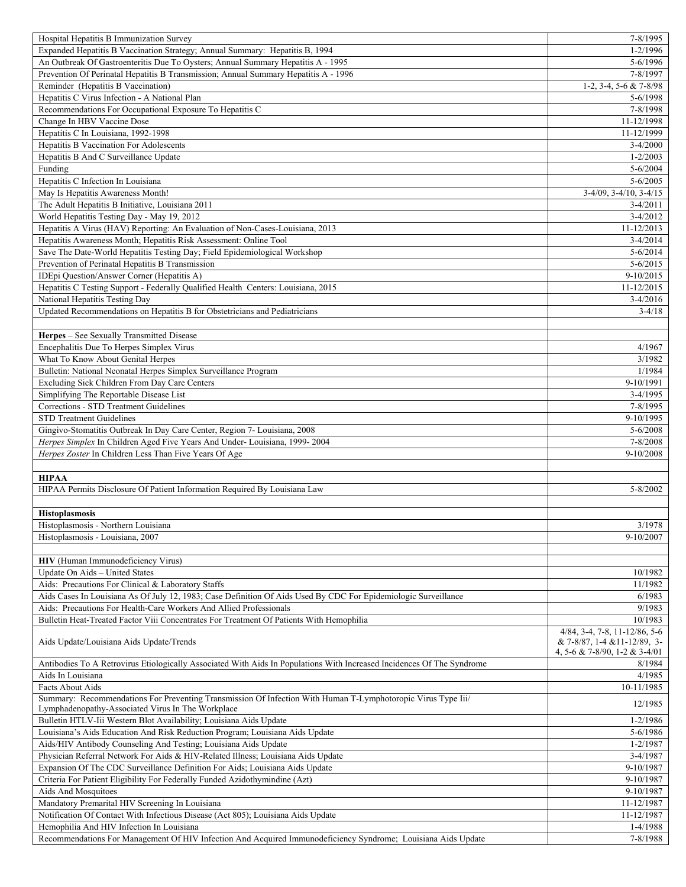| Hospital Hepatitis B Immunization Survey                                                                                                                          | 7-8/1995                         |
|-------------------------------------------------------------------------------------------------------------------------------------------------------------------|----------------------------------|
| Expanded Hepatitis B Vaccination Strategy; Annual Summary: Hepatitis B, 1994                                                                                      | $1 - 2/1996$                     |
| An Outbreak Of Gastroenteritis Due To Oysters; Annual Summary Hepatitis A - 1995                                                                                  | $5 - 6/1996$                     |
| Prevention Of Perinatal Hepatitis B Transmission; Annual Summary Hepatitis A - 1996                                                                               | 7-8/1997                         |
| Reminder (Hepatitis B Vaccination)                                                                                                                                | 1-2, 3-4, 5-6 & 7-8/98           |
| Hepatitis C Virus Infection - A National Plan                                                                                                                     | 5-6/1998                         |
| Recommendations For Occupational Exposure To Hepatitis C                                                                                                          | 7-8/1998                         |
| Change In HBV Vaccine Dose                                                                                                                                        | 11-12/1998                       |
| Hepatitis C In Louisiana, 1992-1998                                                                                                                               | 11-12/1999                       |
| Hepatitis B Vaccination For Adolescents                                                                                                                           | $3 - 4/2000$                     |
| Hepatitis B And C Surveillance Update                                                                                                                             | $1 - 2/2003$                     |
| Funding                                                                                                                                                           | $5 - 6/2004$                     |
| Hepatitis C Infection In Louisiana                                                                                                                                | $5 - 6/2005$                     |
| May Is Hepatitis Awareness Month!                                                                                                                                 | $3-4/09$ , $3-4/10$ , $3-4/15$   |
| The Adult Hepatitis B Initiative, Louisiana 2011                                                                                                                  | $3-4/2011$                       |
| World Hepatitis Testing Day - May 19, 2012<br>Hepatitis A Virus (HAV) Reporting: An Evaluation of Non-Cases-Louisiana, 2013                                       | $3-4/2012$<br>11-12/2013         |
| Hepatitis Awareness Month; Hepatitis Risk Assessment: Online Tool                                                                                                 | $3-4/2014$                       |
| Save The Date-World Hepatitis Testing Day; Field Epidemiological Workshop                                                                                         | $5 - 6/2014$                     |
| Prevention of Perinatal Hepatitis B Transmission                                                                                                                  | $5 - 6/2015$                     |
| IDEpi Question/Answer Corner (Hepatitis A)                                                                                                                        | $9-10/2015$                      |
| Hepatitis C Testing Support - Federally Qualified Health Centers: Louisiana, 2015                                                                                 | 11-12/2015                       |
| National Hepatitis Testing Day                                                                                                                                    | $3-4/2016$                       |
| Updated Recommendations on Hepatitis B for Obstetricians and Pediatricians                                                                                        | $3-4/18$                         |
|                                                                                                                                                                   |                                  |
| Herpes - See Sexually Transmitted Disease                                                                                                                         |                                  |
| Encephalitis Due To Herpes Simplex Virus                                                                                                                          | 4/1967                           |
| What To Know About Genital Herpes                                                                                                                                 | 3/1982                           |
| Bulletin: National Neonatal Herpes Simplex Surveillance Program                                                                                                   | 1/1984                           |
| Excluding Sick Children From Day Care Centers                                                                                                                     | 9-10/1991                        |
| Simplifying The Reportable Disease List                                                                                                                           | $3-4/1995$                       |
| Corrections - STD Treatment Guidelines                                                                                                                            | 7-8/1995                         |
| <b>STD Treatment Guidelines</b>                                                                                                                                   | 9-10/1995                        |
| Gingivo-Stomatitis Outbreak In Day Care Center, Region 7- Louisiana, 2008                                                                                         | $5 - 6/2008$                     |
|                                                                                                                                                                   |                                  |
|                                                                                                                                                                   | 7-8/2008                         |
| Herpes Simplex In Children Aged Five Years And Under-Louisiana, 1999-2004<br>Herpes Zoster In Children Less Than Five Years Of Age                                | 9-10/2008                        |
|                                                                                                                                                                   |                                  |
| <b>HIPAA</b>                                                                                                                                                      |                                  |
| HIPAA Permits Disclosure Of Patient Information Required By Louisiana Law                                                                                         | $5 - 8/2002$                     |
|                                                                                                                                                                   |                                  |
| <b>Histoplasmosis</b>                                                                                                                                             |                                  |
| Histoplasmosis - Northern Louisiana                                                                                                                               | 3/1978                           |
| Histoplasmosis - Louisiana, 2007                                                                                                                                  | 9-10/2007                        |
|                                                                                                                                                                   |                                  |
| <b>HIV</b> (Human Immunodeficiency Virus)                                                                                                                         |                                  |
| Update On Aids - United States                                                                                                                                    | 10/1982                          |
| Aids: Precautions For Clinical & Laboratory Staffs                                                                                                                | 11/1982                          |
| Aids Cases In Louisiana As Of July 12, 1983; Case Definition Of Aids Used By CDC For Epidemiologic Surveillance                                                   | 6/1983                           |
| Aids: Precautions For Health-Care Workers And Allied Professionals                                                                                                | 9/1983                           |
| Bulletin Heat-Treated Factor Viii Concentrates For Treatment Of Patients With Hemophilia                                                                          | 10/1983                          |
|                                                                                                                                                                   | $4/84$ , 3-4, 7-8, 11-12/86, 5-6 |
| Aids Update/Louisiana Aids Update/Trends                                                                                                                          | & 7-8/87, 1-4 & 11-12/89, 3-     |
|                                                                                                                                                                   | 4, 5-6 & 7-8/90, 1-2 & 3-4/01    |
| Antibodies To A Retrovirus Etiologically Associated With Aids In Populations With Increased Incidences Of The Syndrome                                            | 8/1984                           |
| Aids In Louisiana                                                                                                                                                 | 4/1985                           |
| Facts About Aids                                                                                                                                                  | 10-11/1985                       |
| Summary: Recommendations For Preventing Transmission Of Infection With Human T-Lymphotoropic Virus Type Iii/<br>Lymphadenopathy-Associated Virus In The Workplace | 12/1985                          |
| Bulletin HTLV-Iii Western Blot Availability; Louisiana Aids Update                                                                                                | $1 - 2/1986$                     |
| Louisiana's Aids Education And Risk Reduction Program; Louisiana Aids Update                                                                                      | 5-6/1986                         |
| Aids/HIV Antibody Counseling And Testing; Louisiana Aids Update                                                                                                   | $1 - 2/1987$                     |
| Physician Referral Network For Aids & HIV-Related Illness; Louisiana Aids Update                                                                                  | $3-4/1987$                       |
| Expansion Of The CDC Surveillance Definition For Aids; Louisiana Aids Update                                                                                      | 9-10/1987                        |
| Criteria For Patient Eligibility For Federally Funded Azidothymindine (Azt)                                                                                       | 9-10/1987                        |
| Aids And Mosquitoes                                                                                                                                               | 9-10/1987                        |
| Mandatory Premarital HIV Screening In Louisiana                                                                                                                   | 11-12/1987                       |
| Notification Of Contact With Infectious Disease (Act 805); Louisiana Aids Update                                                                                  | 11-12/1987                       |
| Hemophilia And HIV Infection In Louisiana<br>Recommendations For Management Of HIV Infection And Acquired Immunodeficiency Syndrome; Louisiana Aids Update        | 1-4/1988<br>7-8/1988             |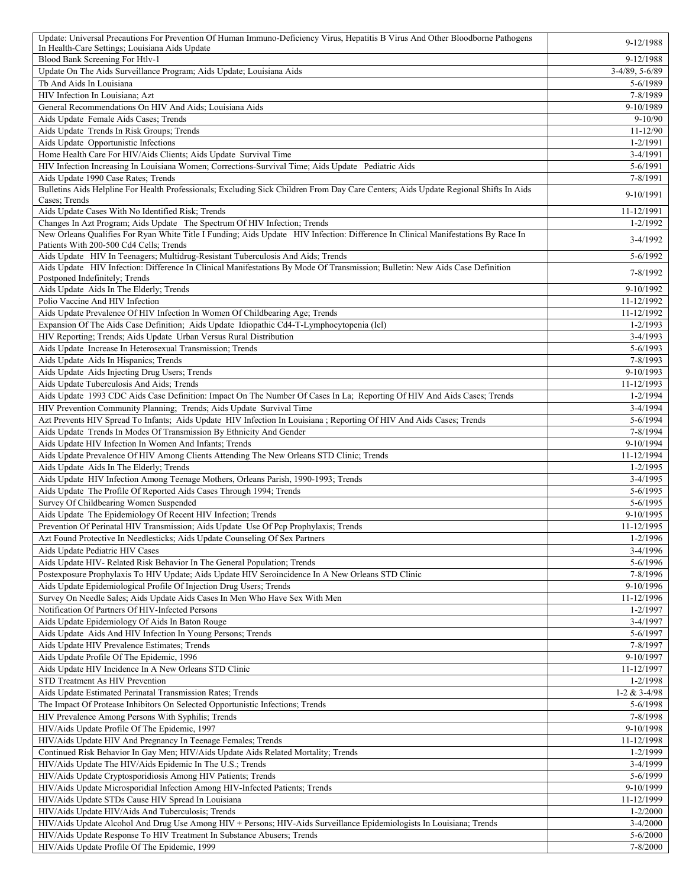| Update: Universal Precautions For Prevention Of Human Immuno-Deficiency Virus, Hepatitis B Virus And Other Bloodborne Pathogens<br>In Health-Care Settings; Louisiana Aids Update            | 9-12/1988                    |
|----------------------------------------------------------------------------------------------------------------------------------------------------------------------------------------------|------------------------------|
| Blood Bank Screening For Htlv-1                                                                                                                                                              | 9-12/1988                    |
| Update On The Aids Surveillance Program; Aids Update; Louisiana Aids                                                                                                                         | $3-4/89, 5-6/89$             |
| Tb And Aids In Louisiana                                                                                                                                                                     | 5-6/1989                     |
| HIV Infection In Louisiana; Azt                                                                                                                                                              | 7-8/1989                     |
| General Recommendations On HIV And Aids; Louisiana Aids<br>Aids Update Female Aids Cases; Trends                                                                                             | 9-10/1989<br>$9 - 10/90$     |
| Aids Update Trends In Risk Groups; Trends                                                                                                                                                    | 11-12/90                     |
| Aids Update Opportunistic Infections                                                                                                                                                         | $1 - 2/1991$                 |
| Home Health Care For HIV/Aids Clients; Aids Update Survival Time                                                                                                                             | 3-4/1991                     |
| HIV Infection Increasing In Louisiana Women; Corrections-Survival Time; Aids Update Pediatric Aids                                                                                           | 5-6/1991                     |
| Aids Update 1990 Case Rates; Trends                                                                                                                                                          | 7-8/1991                     |
| Bulletins Aids Helpline For Health Professionals; Excluding Sick Children From Day Care Centers; Aids Update Regional Shifts In Aids<br>Cases; Trends                                        | 9-10/1991                    |
| Aids Update Cases With No Identified Risk; Trends                                                                                                                                            | 11-12/1991                   |
| Changes In Azt Program; Aids Update The Spectrum Of HIV Infection; Trends                                                                                                                    | 1-2/1992                     |
| New Orleans Qualifies For Ryan White Title I Funding; Aids Update HIV Infection: Difference In Clinical Manifestations By Race In<br>Patients With 200-500 Cd4 Cells; Trends                 | $3-4/1992$                   |
| Aids Update HIV In Teenagers; Multidrug-Resistant Tuberculosis And Aids; Trends                                                                                                              | 5-6/1992                     |
| Aids Update HIV Infection: Difference In Clinical Manifestations By Mode Of Transmission; Bulletin: New Aids Case Definition                                                                 |                              |
| Postponed Indefinitely; Trends                                                                                                                                                               | 7-8/1992                     |
| Aids Update Aids In The Elderly; Trends                                                                                                                                                      | 9-10/1992                    |
| Polio Vaccine And HIV Infection<br>Aids Update Prevalence Of HIV Infection In Women Of Childbearing Age; Trends                                                                              | 11-12/1992<br>11-12/1992     |
| Expansion Of The Aids Case Definition; Aids Update Idiopathic Cd4-T-Lymphocytopenia (Icl)                                                                                                    | $1 - 2/1993$                 |
| HIV Reporting; Trends; Aids Update Urban Versus Rural Distribution                                                                                                                           | $3-4/1993$                   |
| Aids Update Increase In Heterosexual Transmission; Trends                                                                                                                                    | 5-6/1993                     |
| Aids Update Aids In Hispanics; Trends                                                                                                                                                        | 7-8/1993                     |
| Aids Update Aids Injecting Drug Users; Trends                                                                                                                                                | 9-10/1993                    |
| Aids Update Tuberculosis And Aids; Trends                                                                                                                                                    | 11-12/1993                   |
| Aids Update 1993 CDC Aids Case Definition: Impact On The Number Of Cases In La; Reporting Of HIV And Aids Cases; Trends                                                                      | $1 - 2/1994$                 |
| HIV Prevention Community Planning; Trends; Aids Update Survival Time<br>Azt Prevents HIV Spread To Infants; Aids Update HIV Infection In Louisiana ; Reporting Of HIV And Aids Cases; Trends | 3-4/1994<br>5-6/1994         |
| Aids Update Trends In Modes Of Transmission By Ethnicity And Gender                                                                                                                          | 7-8/1994                     |
| Aids Update HIV Infection In Women And Infants; Trends                                                                                                                                       | 9-10/1994                    |
| Aids Update Prevalence Of HIV Among Clients Attending The New Orleans STD Clinic; Trends                                                                                                     | 11-12/1994                   |
| Aids Update Aids In The Elderly; Trends                                                                                                                                                      | $1 - 2/1995$                 |
| Aids Update HIV Infection Among Teenage Mothers, Orleans Parish, 1990-1993; Trends                                                                                                           | 3-4/1995                     |
| Aids Update The Profile Of Reported Aids Cases Through 1994; Trends                                                                                                                          | 5-6/1995                     |
| Survey Of Childbearing Women Suspended<br>Aids Update The Epidemiology Of Recent HIV Infection; Trends                                                                                       | 5-6/1995<br>9-10/1995        |
| Prevention Of Perinatal HIV Transmission; Aids Update Use Of Pcp Prophylaxis; Trends                                                                                                         | 11-12/1995                   |
| Azt Found Protective In Needlesticks; Aids Update Counseling Of Sex Partners                                                                                                                 | $1 - 2/1996$                 |
| Aids Update Pediatric HIV Cases                                                                                                                                                              | $3-4/1996$                   |
| Aids Update HIV- Related Risk Behavior In The General Population; Trends                                                                                                                     | 5-6/1996                     |
| Postexposure Prophylaxis To HIV Update; Aids Update HIV Seroincidence In A New Orleans STD Clinic                                                                                            | 7-8/1996                     |
| Aids Update Epidemiological Profile Of Injection Drug Users; Trends                                                                                                                          | 9-10/1996                    |
| Survey On Needle Sales; Aids Update Aids Cases In Men Who Have Sex With Men                                                                                                                  | 11-12/1996                   |
| Notification Of Partners Of HIV-Infected Persons<br>Aids Update Epidemiology Of Aids In Baton Rouge                                                                                          | $1 - 2/1997$<br>3-4/1997     |
| Aids Update Aids And HIV Infection In Young Persons; Trends                                                                                                                                  | 5-6/1997                     |
| Aids Update HIV Prevalence Estimates; Trends                                                                                                                                                 | 7-8/1997                     |
| Aids Update Profile Of The Epidemic, 1996                                                                                                                                                    | 9-10/1997                    |
| Aids Update HIV Incidence In A New Orleans STD Clinic                                                                                                                                        | 11-12/1997                   |
| STD Treatment As HIV Prevention                                                                                                                                                              | $1 - 2/1998$                 |
| Aids Update Estimated Perinatal Transmission Rates; Trends                                                                                                                                   | $1-2 & 3-4/98$               |
| The Impact Of Protease Inhibitors On Selected Opportunistic Infections; Trends<br>HIV Prevalence Among Persons With Syphilis; Trends                                                         | 5-6/1998<br>7-8/1998         |
| HIV/Aids Update Profile Of The Epidemic, 1997                                                                                                                                                | 9-10/1998                    |
| HIV/Aids Update HIV And Pregnancy In Teenage Females; Trends                                                                                                                                 | 11-12/1998                   |
| Continued Risk Behavior In Gay Men; HIV/Aids Update Aids Related Mortality; Trends                                                                                                           | 1-2/1999                     |
| HIV/Aids Update The HIV/Aids Epidemic In The U.S.; Trends                                                                                                                                    | 3-4/1999                     |
| HIV/Aids Update Cryptosporidiosis Among HIV Patients; Trends                                                                                                                                 | 5-6/1999                     |
| HIV/Aids Update Microsporidial Infection Among HIV-Infected Patients; Trends                                                                                                                 | 9-10/1999                    |
| HIV/Aids Update STDs Cause HIV Spread In Louisiana                                                                                                                                           | 11-12/1999                   |
| HIV/Aids Update HIV/Aids And Tuberculosis; Trends<br>HIV/Aids Update Alcohol And Drug Use Among HIV + Persons; HIV-Aids Surveillance Epidemiologists In Louisiana; Trends                    | $1 - 2/2000$<br>$3 - 4/2000$ |
| HIV/Aids Update Response To HIV Treatment In Substance Abusers; Trends                                                                                                                       | $5 - 6/2000$                 |
| HIV/Aids Update Profile Of The Epidemic, 1999                                                                                                                                                | 7-8/2000                     |
|                                                                                                                                                                                              |                              |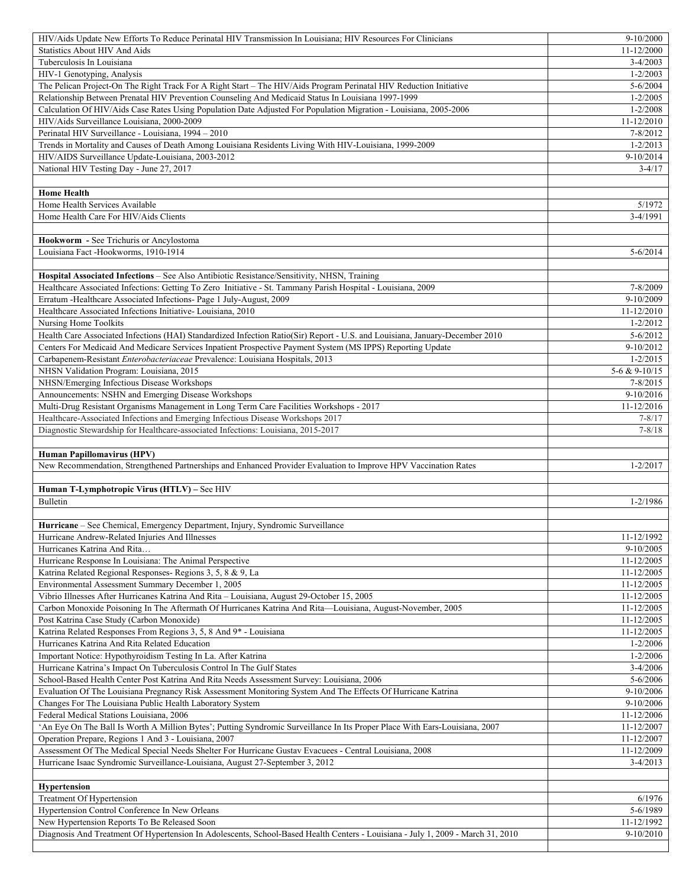| HIV/Aids Update New Efforts To Reduce Perinatal HIV Transmission In Louisiana; HIV Resources For Clinicians                                                     | $9-10/2000$                  |
|-----------------------------------------------------------------------------------------------------------------------------------------------------------------|------------------------------|
| <b>Statistics About HIV And Aids</b>                                                                                                                            | 11-12/2000                   |
| Tuberculosis In Louisiana                                                                                                                                       | $3-4/2003$                   |
| HIV-1 Genotyping, Analysis                                                                                                                                      | $1 - 2/2003$                 |
| The Pelican Project-On The Right Track For A Right Start - The HIV/Aids Program Perinatal HIV Reduction Initiative                                              | $5 - 6/2004$                 |
| Relationship Between Prenatal HIV Prevention Counseling And Medicaid Status In Louisiana 1997-1999                                                              | $1 - 2/2005$                 |
| Calculation Of HIV/Aids Case Rates Using Population Date Adjusted For Population Migration - Louisiana, 2005-2006<br>HIV/Aids Surveillance Louisiana, 2000-2009 | $1 - 2/2008$<br>11-12/2010   |
| Perinatal HIV Surveillance - Louisiana, 1994 - 2010                                                                                                             | 7-8/2012                     |
| Trends in Mortality and Causes of Death Among Louisiana Residents Living With HIV-Louisiana, 1999-2009                                                          | $1 - 2/2013$                 |
| HIV/AIDS Surveillance Update-Louisiana, 2003-2012                                                                                                               | 9-10/2014                    |
| National HIV Testing Day - June 27, 2017                                                                                                                        | $3-4/17$                     |
|                                                                                                                                                                 |                              |
| <b>Home Health</b>                                                                                                                                              |                              |
| Home Health Services Available                                                                                                                                  | 5/1972                       |
| Home Health Care For HIV/Aids Clients                                                                                                                           | 3-4/1991                     |
|                                                                                                                                                                 |                              |
| Hookworm - See Trichuris or Ancylostoma                                                                                                                         |                              |
| Louisiana Fact -Hookworms, 1910-1914                                                                                                                            | $5 - 6/2014$                 |
|                                                                                                                                                                 |                              |
| Hospital Associated Infections - See Also Antibiotic Resistance/Sensitivity, NHSN, Training                                                                     |                              |
| Healthcare Associated Infections: Getting To Zero Initiative - St. Tammany Parish Hospital - Louisiana, 2009                                                    | 7-8/2009<br>9-10/2009        |
| Erratum - Healthcare Associated Infections- Page 1 July-August, 2009<br>Healthcare Associated Infections Initiative-Louisiana, 2010                             | 11-12/2010                   |
| Nursing Home Toolkits                                                                                                                                           | $1 - 2/2012$                 |
| Health Care Associated Infections (HAI) Standardized Infection Ratio(Sir) Report - U.S. and Louisiana, January-December 2010                                    | $5 - 6/2012$                 |
| Centers For Medicaid And Medicare Services Inpatient Prospective Payment System (MS IPPS) Reporting Update                                                      | 9-10/2012                    |
| Carbapenem-Resistant Enterobacteriaceae Prevalence: Louisiana Hospitals, 2013                                                                                   | $1 - 2/2015$                 |
| NHSN Validation Program: Louisiana, 2015                                                                                                                        | 5-6 & 9-10/15                |
| NHSN/Emerging Infectious Disease Workshops                                                                                                                      | $7 - 8/2015$                 |
| Announcements: NSHN and Emerging Disease Workshops                                                                                                              | $9-10/2016$                  |
| Multi-Drug Resistant Organisms Management in Long Term Care Facilities Workshops - 2017                                                                         | 11-12/2016                   |
| Healthcare-Associated Infections and Emerging Infectious Disease Workshops 2017                                                                                 | $7 - 8/17$                   |
| Diagnostic Stewardship for Healthcare-associated Infections: Louisiana, 2015-2017                                                                               | $7 - 8/18$                   |
|                                                                                                                                                                 |                              |
|                                                                                                                                                                 |                              |
| Human Papillomavirus (HPV)                                                                                                                                      |                              |
| New Recommendation, Strengthened Partnerships and Enhanced Provider Evaluation to Improve HPV Vaccination Rates                                                 | $1 - 2/2017$                 |
|                                                                                                                                                                 |                              |
| Human T-Lymphotropic Virus (HTLV) – See HIV<br>Bulletin                                                                                                         | $1 - 2/1986$                 |
|                                                                                                                                                                 |                              |
| Hurricane - See Chemical, Emergency Department, Injury, Syndromic Surveillance                                                                                  |                              |
| Hurricane Andrew-Related Injuries And Illnesses                                                                                                                 | 11-12/1992                   |
| Hurricanes Katrina And Rita                                                                                                                                     | 9-10/2005                    |
| Hurricane Response In Louisiana: The Animal Perspective                                                                                                         | 11-12/2005                   |
| Katrina Related Regional Responses- Regions 3, 5, 8 & 9, La                                                                                                     | 11-12/2005                   |
| Environmental Assessment Summary December 1, 2005                                                                                                               | 11-12/2005                   |
| Vibrio Illnesses After Hurricanes Katrina And Rita - Louisiana, August 29-October 15, 2005                                                                      | 11-12/2005                   |
| Carbon Monoxide Poisoning In The Aftermath Of Hurricanes Katrina And Rita—Louisiana, August-November, 2005                                                      | 11-12/2005                   |
| Post Katrina Case Study (Carbon Monoxide)                                                                                                                       | 11-12/2005                   |
| Katrina Related Responses From Regions 3, 5, 8 And 9* - Louisiana                                                                                               | 11-12/2005                   |
| Hurricanes Katrina And Rita Related Education                                                                                                                   | $1 - 2/2006$<br>$1 - 2/2006$ |
| Important Notice: Hypothyroidism Testing In La. After Katrina<br>Hurricane Katrina's Impact On Tuberculosis Control In The Gulf States                          | $3-4/2006$                   |
| School-Based Health Center Post Katrina And Rita Needs Assessment Survey: Louisiana, 2006                                                                       | $5 - 6/2006$                 |
| Evaluation Of The Louisiana Pregnancy Risk Assessment Monitoring System And The Effects Of Hurricane Katrina                                                    | 9-10/2006                    |
| Changes For The Louisiana Public Health Laboratory System                                                                                                       | 9-10/2006                    |
| Federal Medical Stations Louisiana, 2006                                                                                                                        | 11-12/2006                   |
| 'An Eye On The Ball Is Worth A Million Bytes'; Putting Syndromic Surveillance In Its Proper Place With Ears-Louisiana, 2007                                     | 11-12/2007                   |
| Operation Prepare, Regions 1 And 3 - Louisiana, 2007                                                                                                            | 11-12/2007                   |
| Assessment Of The Medical Special Needs Shelter For Hurricane Gustav Evacuees - Central Louisiana, 2008                                                         | 11-12/2009                   |
| Hurricane Isaac Syndromic Surveillance-Louisiana, August 27-September 3, 2012                                                                                   | $3-4/2013$                   |
|                                                                                                                                                                 |                              |
| <b>Hypertension</b>                                                                                                                                             |                              |
| Treatment Of Hypertension<br>Hypertension Control Conference In New Orleans                                                                                     | 6/1976<br>5-6/1989           |
| New Hypertension Reports To Be Released Soon                                                                                                                    | 11-12/1992                   |
| Diagnosis And Treatment Of Hypertension In Adolescents, School-Based Health Centers - Louisiana - July 1, 2009 - March 31, 2010                                 | 9-10/2010                    |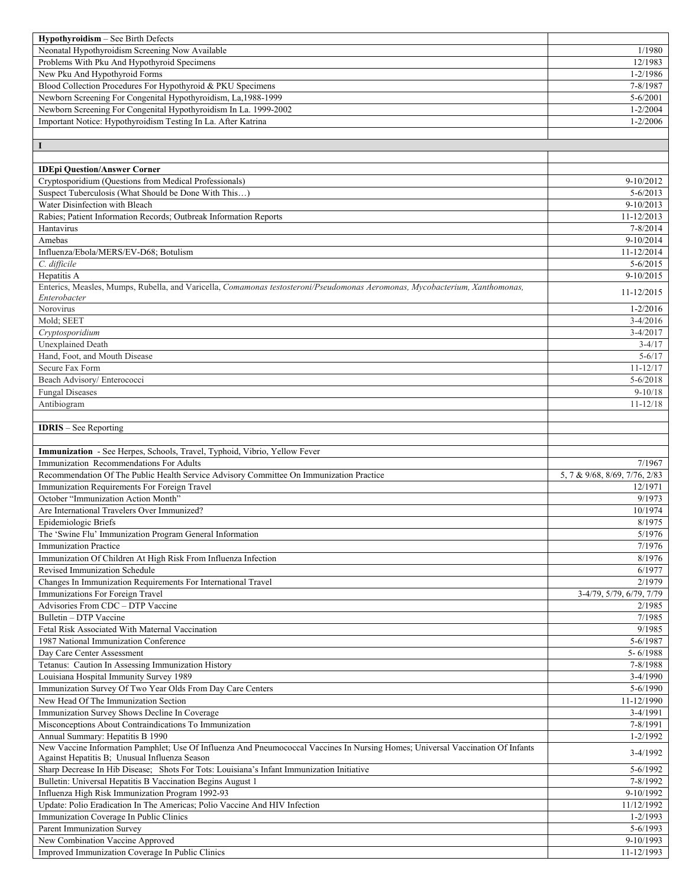| Hypothyroidism - See Birth Defects                                                                                              |                               |
|---------------------------------------------------------------------------------------------------------------------------------|-------------------------------|
| Neonatal Hypothyroidism Screening Now Available                                                                                 | 1/1980                        |
| Problems With Pku And Hypothyroid Specimens                                                                                     | 12/1983                       |
| New Pku And Hypothyroid Forms                                                                                                   | 1-2/1986                      |
| Blood Collection Procedures For Hypothyroid & PKU Specimens                                                                     | 7-8/1987                      |
| Newborn Screening For Congenital Hypothyroidism, La, 1988-1999                                                                  | $5 - 6/2001$                  |
| Newborn Screening For Congenital Hypothyroidism In La. 1999-2002                                                                | $1 - 2/2004$                  |
| Important Notice: Hypothyroidism Testing In La. After Katrina                                                                   | $1 - 2/2006$                  |
|                                                                                                                                 |                               |
| 1                                                                                                                               |                               |
|                                                                                                                                 |                               |
| <b>IDEpi Question/Answer Corner</b>                                                                                             |                               |
| Cryptosporidium (Questions from Medical Professionals)                                                                          | 9-10/2012                     |
| Suspect Tuberculosis (What Should be Done With This)                                                                            | $5 - 6/2013$                  |
| Water Disinfection with Bleach                                                                                                  | $9-10/2013$                   |
| Rabies; Patient Information Records; Outbreak Information Reports                                                               | 11-12/2013                    |
| Hantavirus                                                                                                                      | 7-8/2014                      |
| Amebas                                                                                                                          | $9-10/2014$                   |
| Influenza/Ebola/MERS/EV-D68; Botulism                                                                                           | 11-12/2014                    |
| C. difficile                                                                                                                    | $5 - 6/2015$                  |
| Hepatitis A                                                                                                                     | 9-10/2015                     |
| Enterics, Measles, Mumps, Rubella, and Varicella, Comamonas testosteroni/Pseudomonas Aeromonas, Mycobacterium, Xanthomonas,     |                               |
| Enterobacter                                                                                                                    | 11-12/2015                    |
| Norovirus                                                                                                                       | $1 - 2/2016$                  |
| Mold; SEET                                                                                                                      | $3-4/2016$                    |
| Cryptosporidium                                                                                                                 | $3-4/2017$                    |
| <b>Unexplained Death</b>                                                                                                        | $3-4/17$                      |
| Hand, Foot, and Mouth Disease                                                                                                   | $5 - 6/17$                    |
| Secure Fax Form                                                                                                                 | $11 - 12/17$                  |
| Beach Advisory/ Enterococci                                                                                                     | $5 - 6/2018$                  |
| <b>Fungal Diseases</b>                                                                                                          | $9 - 10/18$                   |
| Antibiogram                                                                                                                     | $11 - 12/18$                  |
|                                                                                                                                 |                               |
| <b>IDRIS</b> – See Reporting                                                                                                    |                               |
|                                                                                                                                 |                               |
|                                                                                                                                 |                               |
|                                                                                                                                 |                               |
| Immunization - See Herpes, Schools, Travel, Typhoid, Vibrio, Yellow Fever                                                       |                               |
| Immunization Recommendations For Adults                                                                                         | 7/1967                        |
| Recommendation Of The Public Health Service Advisory Committee On Immunization Practice                                         | 5, 7 & 9/68, 8/69, 7/76, 2/83 |
| Immunization Requirements For Foreign Travel                                                                                    | 12/1971                       |
| October "Immunization Action Month"                                                                                             | 9/1973                        |
| Are International Travelers Over Immunized?                                                                                     | 10/1974                       |
| Epidemiologic Briefs                                                                                                            | 8/1975                        |
| The 'Swine Flu' Immunization Program General Information                                                                        | 5/1976                        |
| <b>Immunization Practice</b>                                                                                                    | 7/1976                        |
| Immunization Of Children At High Risk From Influenza Infection                                                                  | 8/1976                        |
| Revised Immunization Schedule                                                                                                   | 6/1977                        |
| Changes In Immunization Requirements For International Travel                                                                   | 2/1979                        |
| Immunizations For Foreign Travel                                                                                                | 3-4/79, 5/79, 6/79, 7/79      |
| Advisories From CDC - DTP Vaccine                                                                                               | 2/1985                        |
| Bulletin - DTP Vaccine                                                                                                          | 7/1985                        |
| Fetal Risk Associated With Maternal Vaccination                                                                                 | 9/1985                        |
| 1987 National Immunization Conference                                                                                           | 5-6/1987                      |
| Day Care Center Assessment                                                                                                      | 5-6/1988                      |
| Tetanus: Caution In Assessing Immunization History                                                                              | 7-8/1988                      |
| Louisiana Hospital Immunity Survey 1989                                                                                         | $3-4/1990$                    |
| Immunization Survey Of Two Year Olds From Day Care Centers                                                                      | 5-6/1990                      |
| New Head Of The Immunization Section                                                                                            | 11-12/1990                    |
| Immunization Survey Shows Decline In Coverage                                                                                   | 3-4/1991                      |
| Misconceptions About Contraindications To Immunization                                                                          | 7-8/1991                      |
| Annual Summary: Hepatitis B 1990                                                                                                | $1 - 2/1992$                  |
| New Vaccine Information Pamphlet; Use Of Influenza And Pneumococcal Vaccines In Nursing Homes; Universal Vaccination Of Infants | $3-4/1992$                    |
| Against Hepatitis B; Unusual Influenza Season                                                                                   |                               |
| Sharp Decrease In Hib Disease; Shots For Tots: Louisiana's Infant Immunization Initiative                                       | 5-6/1992                      |
| Bulletin: Universal Hepatitis B Vaccination Begins August 1                                                                     | 7-8/1992                      |
| Influenza High Risk Immunization Program 1992-93                                                                                | 9-10/1992                     |
| Update: Polio Eradication In The Americas; Polio Vaccine And HIV Infection                                                      | 11/12/1992                    |
| Immunization Coverage In Public Clinics                                                                                         | $1 - 2/1993$                  |
| Parent Immunization Survey                                                                                                      | 5-6/1993                      |
| New Combination Vaccine Approved<br>Improved Immunization Coverage In Public Clinics                                            | 9-10/1993<br>11-12/1993       |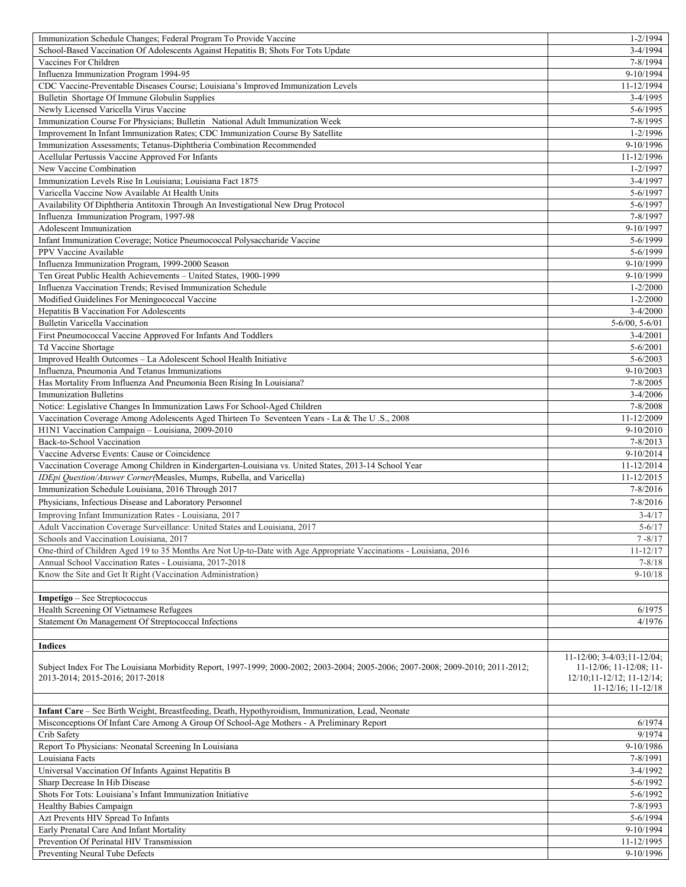| Immunization Schedule Changes; Federal Program To Provide Vaccine                                                              | $1 - 2/1994$                                                          |
|--------------------------------------------------------------------------------------------------------------------------------|-----------------------------------------------------------------------|
| School-Based Vaccination Of Adolescents Against Hepatitis B; Shots For Tots Update                                             | $3-4/1994$                                                            |
| Vaccines For Children                                                                                                          | 7-8/1994                                                              |
| Influenza Immunization Program 1994-95                                                                                         | 9-10/1994                                                             |
| CDC Vaccine-Preventable Diseases Course; Louisiana's Improved Immunization Levels                                              | 11-12/1994                                                            |
| Bulletin Shortage Of Immune Globulin Supplies                                                                                  | $3-4/1995$                                                            |
| Newly Licensed Varicella Virus Vaccine                                                                                         | 5-6/1995                                                              |
| Immunization Course For Physicians; Bulletin National Adult Immunization Week                                                  | 7-8/1995                                                              |
| Improvement In Infant Immunization Rates; CDC Immunization Course By Satellite                                                 | $1 - 2/1996$                                                          |
|                                                                                                                                |                                                                       |
| Immunization Assessments; Tetanus-Diphtheria Combination Recommended                                                           | 9-10/1996                                                             |
| Acellular Pertussis Vaccine Approved For Infants                                                                               | 11-12/1996                                                            |
| New Vaccine Combination                                                                                                        | $1 - 2/1997$                                                          |
| Immunization Levels Rise In Louisiana; Louisiana Fact 1875                                                                     | 3-4/1997                                                              |
| Varicella Vaccine Now Available At Health Units                                                                                | 5-6/1997                                                              |
| Availability Of Diphtheria Antitoxin Through An Investigational New Drug Protocol                                              | 5-6/1997                                                              |
| Influenza Immunization Program, 1997-98                                                                                        | 7-8/1997                                                              |
| Adolescent Immunization                                                                                                        | 9-10/1997                                                             |
| Infant Immunization Coverage; Notice Pneumococcal Polysaccharide Vaccine                                                       | 5-6/1999                                                              |
| PPV Vaccine Available                                                                                                          | 5-6/1999                                                              |
| Influenza Immunization Program, 1999-2000 Season                                                                               | 9-10/1999                                                             |
| Ten Great Public Health Achievements - United States, 1900-1999                                                                | 9-10/1999                                                             |
| Influenza Vaccination Trends; Revised Immunization Schedule                                                                    | $1 - 2/2000$                                                          |
| Modified Guidelines For Meningococcal Vaccine                                                                                  | $1 - 2/2000$                                                          |
| <b>Hepatitis B Vaccination For Adolescents</b>                                                                                 | $3-4/2000$                                                            |
|                                                                                                                                |                                                                       |
| Bulletin Varicella Vaccination                                                                                                 | $5 - 6/00$ , $5 - 6/01$                                               |
| First Pneumococcal Vaccine Approved For Infants And Toddlers                                                                   | $3-4/2001$                                                            |
| Td Vaccine Shortage                                                                                                            | $5 - 6/2001$                                                          |
| Improved Health Outcomes - La Adolescent School Health Initiative                                                              | $5 - 6/2003$                                                          |
| Influenza, Pneumonia And Tetanus Immunizations                                                                                 | $9 - 10/2003$                                                         |
| Has Mortality From Influenza And Pneumonia Been Rising In Louisiana?                                                           | 7-8/2005                                                              |
| <b>Immunization Bulletins</b>                                                                                                  | $3 - 4/2006$                                                          |
| Notice: Legislative Changes In Immunization Laws For School-Aged Children                                                      | 7-8/2008                                                              |
| Vaccination Coverage Among Adolescents Aged Thirteen To Seventeen Years - La & The U.S., 2008                                  | 11-12/2009                                                            |
| H1N1 Vaccination Campaign - Louisiana, 2009-2010                                                                               | 9-10/2010                                                             |
| Back-to-School Vaccination                                                                                                     | $7 - 8/2013$                                                          |
| Vaccine Adverse Events: Cause or Coincidence                                                                                   | 9-10/2014                                                             |
| Vaccination Coverage Among Children in Kindergarten-Louisiana vs. United States, 2013-14 School Year                           | 11-12/2014                                                            |
| IDEpi Question/Answer Corner(Measles, Mumps, Rubella, and Varicella)                                                           | 11-12/2015                                                            |
|                                                                                                                                |                                                                       |
| Immunization Schedule Louisiana, 2016 Through 2017                                                                             | 7-8/2016                                                              |
| Physicians, Infectious Disease and Laboratory Personnel                                                                        | $7 - 8/2016$                                                          |
| Improving Infant Immunization Rates - Louisiana, 2017                                                                          | $3 - 4/17$                                                            |
| Adult Vaccination Coverage Surveillance: United States and Louisiana, 2017                                                     | $5 - 6/17$                                                            |
| Schools and Vaccination Louisiana, 2017                                                                                        | $7 - 8/17$                                                            |
| One-third of Children Aged 19 to 35 Months Are Not Up-to-Date with Age Appropriate Vaccinations - Louisiana, 2016              | $11 - 12/17$                                                          |
| Annual School Vaccination Rates - Louisiana, 2017-2018                                                                         | $7 - 8/18$                                                            |
| Know the Site and Get It Right (Vaccination Administration)                                                                    | $9 - 10/18$                                                           |
|                                                                                                                                |                                                                       |
| Impetigo - See Streptococcus                                                                                                   |                                                                       |
| Health Screening Of Vietnamese Refugees                                                                                        | 6/1975                                                                |
| Statement On Management Of Streptococcal Infections                                                                            | 4/1976                                                                |
|                                                                                                                                |                                                                       |
| <b>Indices</b>                                                                                                                 |                                                                       |
|                                                                                                                                |                                                                       |
| Subject Index For The Louisiana Morbidity Report, 1997-1999; 2000-2002; 2003-2004; 2005-2006; 2007-2008; 2009-2010; 2011-2012; | $11 - 12/00$ ; $3 - 4/03$ ; $11 - 12/04$ ;<br>11-12/06; 11-12/08; 11- |
| 2013-2014; 2015-2016; 2017-2018                                                                                                | $12/10; 11-12/12; 11-12/14;$                                          |
|                                                                                                                                | $11 - 12/16$ ; $11 - 12/18$                                           |
|                                                                                                                                |                                                                       |
| Infant Care - See Birth Weight, Breastfeeding, Death, Hypothyroidism, Immunization, Lead, Neonate                              |                                                                       |
| Misconceptions Of Infant Care Among A Group Of School-Age Mothers - A Preliminary Report                                       | 6/1974                                                                |
| Crib Safety                                                                                                                    | 9/1974                                                                |
|                                                                                                                                |                                                                       |
| Report To Physicians: Neonatal Screening In Louisiana                                                                          | 9-10/1986                                                             |
| Louisiana Facts                                                                                                                | 7-8/1991                                                              |
| Universal Vaccination Of Infants Against Hepatitis B                                                                           | $3-4/1992$                                                            |
| Sharp Decrease In Hib Disease                                                                                                  | 5-6/1992                                                              |
| Shots For Tots: Louisiana's Infant Immunization Initiative                                                                     | $5 - 6/1992$                                                          |
| Healthy Babies Campaign                                                                                                        | 7-8/1993                                                              |
| Azt Prevents HIV Spread To Infants                                                                                             | 5-6/1994                                                              |
| Early Prenatal Care And Infant Mortality                                                                                       | 9-10/1994                                                             |
| Prevention Of Perinatal HIV Transmission                                                                                       | 11-12/1995                                                            |
|                                                                                                                                |                                                                       |
| Preventing Neural Tube Defects                                                                                                 | 9-10/1996                                                             |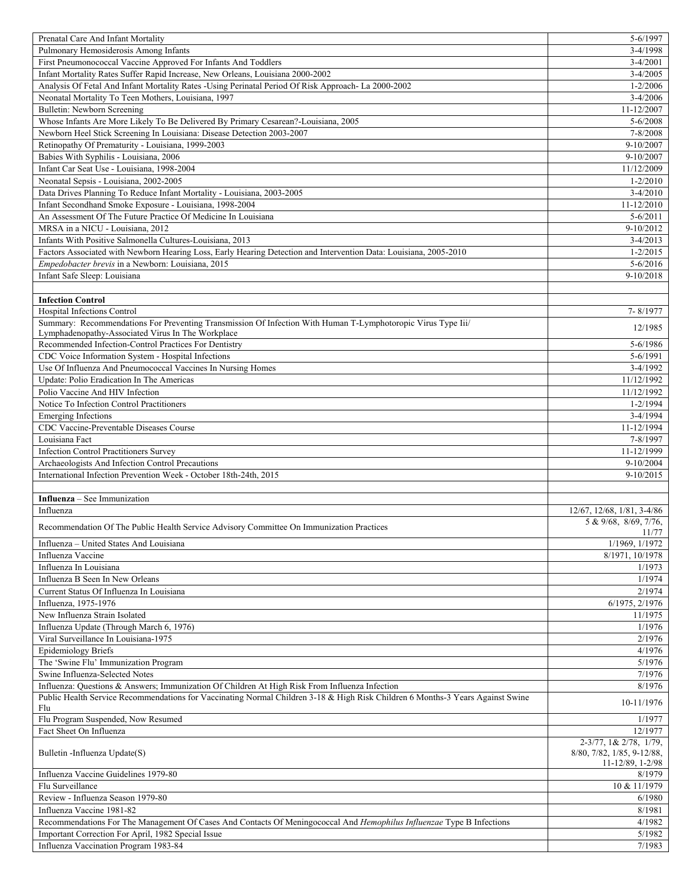| Prenatal Care And Infant Mortality                                                                                             | 5-6/1997                                       |
|--------------------------------------------------------------------------------------------------------------------------------|------------------------------------------------|
| Pulmonary Hemosiderosis Among Infants                                                                                          | $3-4/1998$                                     |
| First Pneumonococcal Vaccine Approved For Infants And Toddlers                                                                 | $3-4/2001$                                     |
| Infant Mortality Rates Suffer Rapid Increase, New Orleans, Louisiana 2000-2002                                                 | $3-4/2005$                                     |
| Analysis Of Fetal And Infant Mortality Rates -Using Perinatal Period Of Risk Approach- La 2000-2002                            | $1 - 2/2006$                                   |
| Neonatal Mortality To Teen Mothers, Louisiana, 1997                                                                            | $3-4/2006$                                     |
| <b>Bulletin: Newborn Screening</b>                                                                                             | 11-12/2007                                     |
|                                                                                                                                |                                                |
| Whose Infants Are More Likely To Be Delivered By Primary Cesarean?-Louisiana, 2005                                             | $5 - 6/2008$                                   |
| Newborn Heel Stick Screening In Louisiana: Disease Detection 2003-2007                                                         | 7-8/2008                                       |
| Retinopathy Of Prematurity - Louisiana, 1999-2003                                                                              | 9-10/2007                                      |
| Babies With Syphilis - Louisiana, 2006                                                                                         | 9-10/2007                                      |
| Infant Car Seat Use - Louisiana, 1998-2004                                                                                     | 11/12/2009                                     |
| Neonatal Sepsis - Louisiana, 2002-2005                                                                                         | $1 - 2/2010$                                   |
| Data Drives Planning To Reduce Infant Mortality - Louisiana, 2003-2005                                                         | $3-4/2010$                                     |
| Infant Secondhand Smoke Exposure - Louisiana, 1998-2004                                                                        | 11-12/2010                                     |
| An Assessment Of The Future Practice Of Medicine In Louisiana                                                                  | $5 - 6/2011$                                   |
| MRSA in a NICU - Louisiana, 2012                                                                                               | 9-10/2012                                      |
|                                                                                                                                |                                                |
| Infants With Positive Salmonella Cultures-Louisiana, 2013                                                                      | $3-4/2013$                                     |
| Factors Associated with Newborn Hearing Loss, Early Hearing Detection and Intervention Data: Louisiana, 2005-2010              | $1 - 2/2015$                                   |
| Empedobacter brevis in a Newborn: Louisiana, 2015                                                                              | $5-6/2016$                                     |
| Infant Safe Sleep: Louisiana                                                                                                   | 9-10/2018                                      |
|                                                                                                                                |                                                |
| <b>Infection Control</b>                                                                                                       |                                                |
| Hospital Infections Control                                                                                                    | 7-8/1977                                       |
| Summary: Recommendations For Preventing Transmission Of Infection With Human T-Lymphotoropic Virus Type Iii/                   |                                                |
| Lymphadenopathy-Associated Virus In The Workplace                                                                              | 12/1985                                        |
| Recommended Infection-Control Practices For Dentistry                                                                          | 5-6/1986                                       |
| CDC Voice Information System - Hospital Infections                                                                             | 5-6/1991                                       |
|                                                                                                                                |                                                |
| Use Of Influenza And Pneumococcal Vaccines In Nursing Homes                                                                    | $3-4/1992$                                     |
| Update: Polio Eradication In The Americas                                                                                      | 11/12/1992                                     |
| Polio Vaccine And HIV Infection                                                                                                | 11/12/1992                                     |
| Notice To Infection Control Practitioners                                                                                      | $1 - 2/1994$                                   |
| <b>Emerging Infections</b>                                                                                                     | $3-4/1994$                                     |
| CDC Vaccine-Preventable Diseases Course                                                                                        | 11-12/1994                                     |
|                                                                                                                                |                                                |
|                                                                                                                                |                                                |
| Louisiana Fact                                                                                                                 | 7-8/1997                                       |
| <b>Infection Control Practitioners Survey</b>                                                                                  | 11-12/1999                                     |
| Archaeologists And Infection Control Precautions                                                                               | 9-10/2004                                      |
| International Infection Prevention Week - October 18th-24th, 2015                                                              | $9-10/2015$                                    |
|                                                                                                                                |                                                |
| <b>Influenza</b> – See Immunization                                                                                            |                                                |
| Influenza                                                                                                                      | 12/67, 12/68, 1/81, 3-4/86                     |
|                                                                                                                                | 5 & 9/68, 8/69, 7/76,                          |
| Recommendation Of The Public Health Service Advisory Committee On Immunization Practices                                       | 11/77                                          |
| Influenza - United States And Louisiana                                                                                        | 1/1969, 1/1972                                 |
| Influenza Vaccine                                                                                                              | 8/1971, 10/1978                                |
| Influenza In Louisiana                                                                                                         | 1/1973                                         |
| Influenza B Seen In New Orleans                                                                                                |                                                |
|                                                                                                                                | 1/1974                                         |
| Current Status Of Influenza In Louisiana                                                                                       | 2/1974                                         |
| Influenza, 1975-1976                                                                                                           | 6/1975, 2/1976                                 |
| New Influenza Strain Isolated                                                                                                  | 11/1975                                        |
| Influenza Update (Through March 6, 1976)                                                                                       | 1/1976                                         |
| Viral Surveillance In Louisiana-1975                                                                                           | 2/1976                                         |
| <b>Epidemiology Briefs</b>                                                                                                     | 4/1976                                         |
| The 'Swine Flu' Immunization Program                                                                                           | 5/1976                                         |
| Swine Influenza-Selected Notes                                                                                                 | 7/1976                                         |
| Influenza: Questions & Answers; Immunization Of Children At High Risk From Influenza Infection                                 | 8/1976                                         |
| Public Health Service Recommendations for Vaccinating Normal Children 3-18 & High Risk Children 6 Months-3 Years Against Swine |                                                |
| Flu                                                                                                                            | 10-11/1976                                     |
| Flu Program Suspended, Now Resumed                                                                                             | 1/1977                                         |
|                                                                                                                                | 12/1977                                        |
| Fact Sheet On Influenza                                                                                                        |                                                |
|                                                                                                                                | $2-3\sqrt{77}$ , 1& $2\sqrt{78}$ , 1/79,       |
| Bulletin - Influenza Update(S)                                                                                                 | 8/80, 7/82, 1/85, 9-12/88,<br>11-12/89, 1-2/98 |
| Influenza Vaccine Guidelines 1979-80                                                                                           | 8/1979                                         |
|                                                                                                                                |                                                |
| Flu Surveillance                                                                                                               | 10 & 11/1979                                   |
| Review - Influenza Season 1979-80                                                                                              | 6/1980                                         |
| Influenza Vaccine 1981-82                                                                                                      | 8/1981                                         |
| Recommendations For The Management Of Cases And Contacts Of Meningococcal And Hemophilus Influenzae Type B Infections          | 4/1982                                         |
| Important Correction For April, 1982 Special Issue<br>Influenza Vaccination Program 1983-84                                    | 5/1982<br>7/1983                               |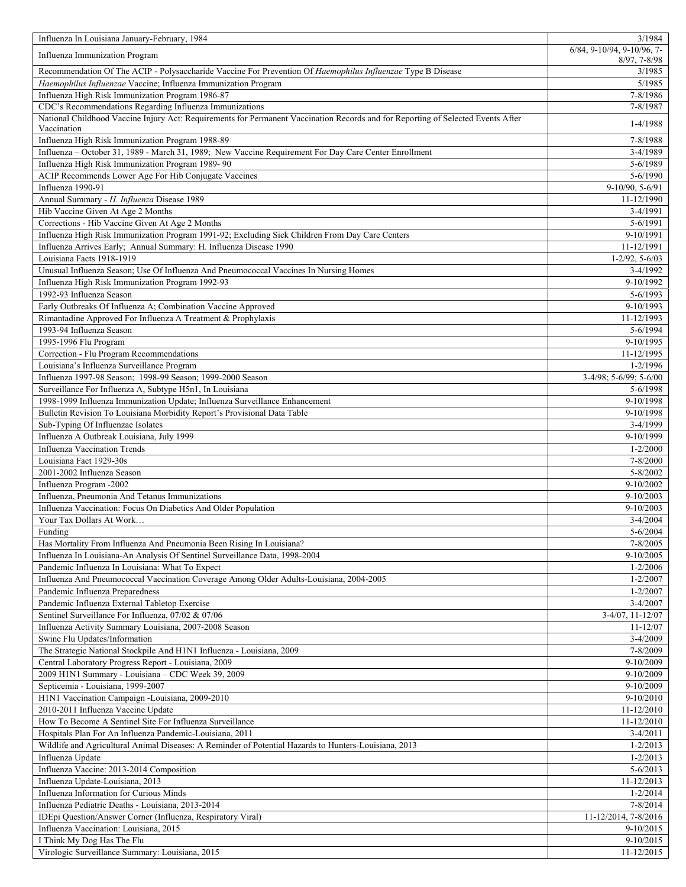| Influenza In Louisiana January-February, 1984                                                                                    | 3/1984                                       |
|----------------------------------------------------------------------------------------------------------------------------------|----------------------------------------------|
| Influenza Immunization Program                                                                                                   | 6/84, 9-10/94, 9-10/96, 7-<br>$8/97, 7-8/98$ |
| Recommendation Of The ACIP - Polysaccharide Vaccine For Prevention Of Haemophilus Influenzae Type B Disease                      | 3/1985                                       |
| Haemophilus Influenzae Vaccine; Influenza Immunization Program                                                                   | 5/1985                                       |
| Influenza High Risk Immunization Program 1986-87                                                                                 | 7-8/1986                                     |
| CDC's Recommendations Regarding Influenza Immunizations                                                                          | 7-8/1987                                     |
| National Childhood Vaccine Injury Act: Requirements for Permanent Vaccination Records and for Reporting of Selected Events After | 1-4/1988                                     |
| Vaccination                                                                                                                      |                                              |
| Influenza High Risk Immunization Program 1988-89                                                                                 | 7-8/1988                                     |
| Influenza - October 31, 1989 - March 31, 1989; New Vaccine Requirement For Day Care Center Enrollment                            | 3-4/1989                                     |
| Influenza High Risk Immunization Program 1989-90                                                                                 | 5-6/1989                                     |
| ACIP Recommends Lower Age For Hib Conjugate Vaccines                                                                             | 5-6/1990                                     |
| Influenza 1990-91                                                                                                                | 9-10/90, 5-6/91                              |
| Annual Summary - H. Influenza Disease 1989                                                                                       | 11-12/1990                                   |
| Hib Vaccine Given At Age 2 Months                                                                                                | $3-4/1991$                                   |
| Corrections - Hib Vaccine Given At Age 2 Months                                                                                  | 5-6/1991                                     |
| Influenza High Risk Immunization Program 1991-92; Excluding Sick Children From Day Care Centers                                  | 9-10/1991                                    |
| Influenza Arrives Early; Annual Summary: H. Influenza Disease 1990<br>Louisiana Facts 1918-1919                                  | 11-12/1991                                   |
| Unusual Influenza Season; Use Of Influenza And Pneumococcal Vaccines In Nursing Homes                                            | $1-2/92, 5-6/03$<br>3-4/1992                 |
| Influenza High Risk Immunization Program 1992-93                                                                                 | 9-10/1992                                    |
| 1992-93 Influenza Season                                                                                                         | 5-6/1993                                     |
| Early Outbreaks Of Influenza A; Combination Vaccine Approved                                                                     | 9-10/1993                                    |
| Rimantadine Approved For Influenza A Treatment & Prophylaxis                                                                     | 11-12/1993                                   |
| 1993-94 Influenza Season                                                                                                         | $5 - 6/1994$                                 |
| 1995-1996 Flu Program                                                                                                            | 9-10/1995                                    |
| Correction - Flu Program Recommendations                                                                                         | 11-12/1995                                   |
| Louisiana's Influenza Surveillance Program                                                                                       | $1 - 2/1996$                                 |
| Influenza 1997-98 Season; 1998-99 Season; 1999-2000 Season                                                                       | 3-4/98; 5-6/99; 5-6/00                       |
| Surveillance For Influenza A, Subtype H5n1, In Louisiana                                                                         | 5-6/1998                                     |
| 1998-1999 Influenza Immunization Update; Influenza Surveillance Enhancement                                                      | 9-10/1998                                    |
| Bulletin Revision To Louisiana Morbidity Report's Provisional Data Table                                                         | 9-10/1998                                    |
| Sub-Typing Of Influenzae Isolates                                                                                                | 3-4/1999                                     |
| Influenza A Outbreak Louisiana, July 1999                                                                                        | 9-10/1999                                    |
| <b>Influenza Vaccination Trends</b>                                                                                              | $1 - 2/2000$                                 |
| Louisiana Fact 1929-30s                                                                                                          | 7-8/2000                                     |
| 2001-2002 Influenza Season                                                                                                       | $5 - 8/2002$                                 |
| Influenza Program -2002                                                                                                          | 9-10/2002                                    |
| Influenza, Pneumonia And Tetanus Immunizations                                                                                   | $9-10/2003$                                  |
| Influenza Vaccination: Focus On Diabetics And Older Population                                                                   | 9-10/2003                                    |
| Your Tax Dollars At Work                                                                                                         | $3-4/2004$                                   |
| Funding                                                                                                                          | $5 - 6/2004$                                 |
| Has Mortality From Influenza And Pneumonia Been Rising In Louisiana?                                                             | 7-8/2005                                     |
| Influenza In Louisiana-An Analysis Of Sentinel Surveillance Data, 1998-2004                                                      | $9-10/2005$                                  |
| Pandemic Influenza In Louisiana: What To Expect                                                                                  | $1 - 2/2006$                                 |
| Influenza And Pneumococcal Vaccination Coverage Among Older Adults-Louisiana, 2004-2005                                          | $1 - 2/2007$                                 |
| Pandemic Influenza Preparedness                                                                                                  | $1 - 2/2007$                                 |
| Pandemic Influenza External Tabletop Exercise                                                                                    | $3-4/2007$                                   |
| Sentinel Surveillance For Influenza, 07/02 & 07/06                                                                               | $3-4/07$ , 11-12/07                          |
| Influenza Activity Summary Louisiana, 2007-2008 Season                                                                           | 11-12/07                                     |
| Swine Flu Updates/Information                                                                                                    | $3-4/2009$                                   |
| The Strategic National Stockpile And H1N1 Influenza - Louisiana, 2009                                                            | 7-8/2009                                     |
| Central Laboratory Progress Report - Louisiana, 2009                                                                             | 9-10/2009                                    |
| 2009 H1N1 Summary - Louisiana - CDC Week 39, 2009                                                                                | 9-10/2009                                    |
| Septicemia - Louisiana, 1999-2007                                                                                                | 9-10/2009                                    |
| H1N1 Vaccination Campaign -Louisiana, 2009-2010                                                                                  | $9-10/2010$                                  |
| 2010-2011 Influenza Vaccine Update                                                                                               | 11-12/2010                                   |
| How To Become A Sentinel Site For Influenza Surveillance                                                                         | 11-12/2010                                   |
| Hospitals Plan For An Influenza Pandemic-Louisiana, 2011                                                                         | $3-4/2011$<br>$1 - 2/2013$                   |
| Wildlife and Agricultural Animal Diseases: A Reminder of Potential Hazards to Hunters-Louisiana, 2013                            |                                              |
| Influenza Update<br>Influenza Vaccine: 2013-2014 Composition                                                                     | $1 - 2/2013$<br>$5 - 6/2013$                 |
| Influenza Update-Louisiana, 2013                                                                                                 | 11-12/2013                                   |
| Influenza Information for Curious Minds                                                                                          | $1 - 2/2014$                                 |
| Influenza Pediatric Deaths - Louisiana, 2013-2014                                                                                |                                              |
|                                                                                                                                  | 7-8/2014<br>11-12/2014, 7-8/2016             |
| IDEpi Question/Answer Corner (Influenza, Respiratory Viral)<br>Influenza Vaccination: Louisiana, 2015                            | 9-10/2015                                    |
| I Think My Dog Has The Flu                                                                                                       | $9-10/2015$                                  |
| Virologic Surveillance Summary: Louisiana, 2015                                                                                  | 11-12/2015                                   |
|                                                                                                                                  |                                              |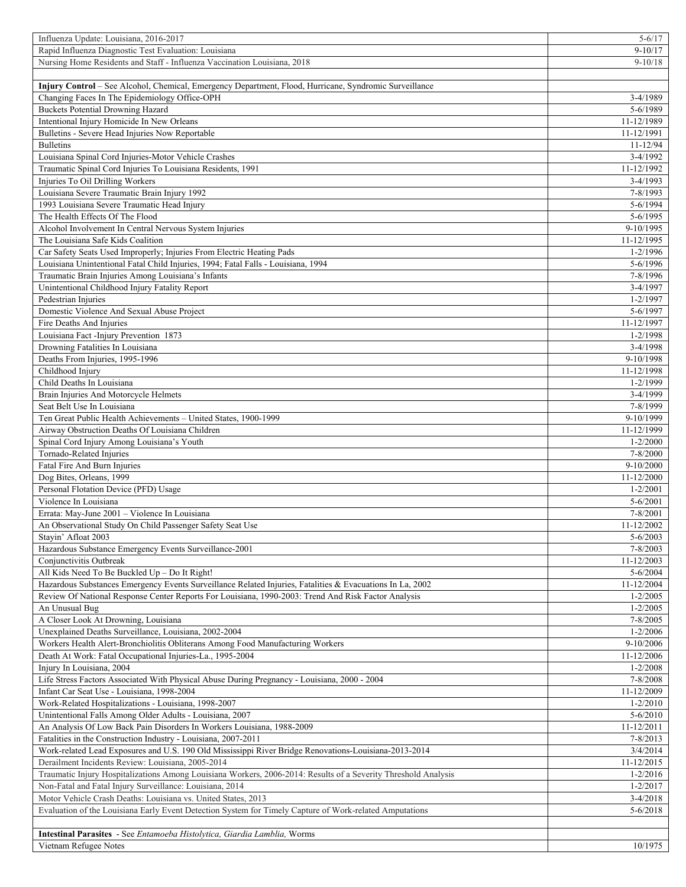| Influenza Update: Louisiana, 2016-2017                                                                                                  | $5 - 6/17$                 |
|-----------------------------------------------------------------------------------------------------------------------------------------|----------------------------|
| Rapid Influenza Diagnostic Test Evaluation: Louisiana                                                                                   | $9-10/17$                  |
| Nursing Home Residents and Staff - Influenza Vaccination Louisiana, 2018                                                                | $9 - 10/18$                |
|                                                                                                                                         |                            |
| Injury Control - See Alcohol, Chemical, Emergency Department, Flood, Hurricane, Syndromic Surveillance                                  |                            |
| Changing Faces In The Epidemiology Office-OPH                                                                                           | 3-4/1989                   |
| <b>Buckets Potential Drowning Hazard</b>                                                                                                | 5-6/1989                   |
| Intentional Injury Homicide In New Orleans                                                                                              | 11-12/1989                 |
| Bulletins - Severe Head Injuries Now Reportable                                                                                         | 11-12/1991                 |
| <b>Bulletins</b>                                                                                                                        | $11 - 12/94$               |
| Louisiana Spinal Cord Injuries-Motor Vehicle Crashes                                                                                    | $3-4/1992$                 |
| Traumatic Spinal Cord Injuries To Louisiana Residents, 1991                                                                             | 11-12/1992                 |
| Injuries To Oil Drilling Workers                                                                                                        | 3-4/1993                   |
| Louisiana Severe Traumatic Brain Injury 1992                                                                                            | 7-8/1993                   |
| 1993 Louisiana Severe Traumatic Head Injury                                                                                             | 5-6/1994                   |
| The Health Effects Of The Flood<br>Alcohol Involvement In Central Nervous System Injuries                                               | 5-6/1995                   |
| The Louisiana Safe Kids Coalition                                                                                                       | 9-10/1995                  |
|                                                                                                                                         | 11-12/1995<br>$1 - 2/1996$ |
| Car Safety Seats Used Improperly; Injuries From Electric Heating Pads                                                                   | $5 - 6/1996$               |
| Louisiana Unintentional Fatal Child Injuries, 1994; Fatal Falls - Louisiana, 1994<br>Traumatic Brain Injuries Among Louisiana's Infants | 7-8/1996                   |
| Unintentional Childhood Injury Fatality Report                                                                                          | 3-4/1997                   |
| Pedestrian Injuries                                                                                                                     | $1 - 2/1997$               |
| Domestic Violence And Sexual Abuse Project                                                                                              | 5-6/1997                   |
| Fire Deaths And Injuries                                                                                                                | 11-12/1997                 |
| Louisiana Fact -Injury Prevention 1873                                                                                                  | $1 - 2/1998$               |
| Drowning Fatalities In Louisiana                                                                                                        | $3-4/1998$                 |
| Deaths From Injuries, 1995-1996                                                                                                         | 9-10/1998                  |
| Childhood Injury                                                                                                                        | 11-12/1998                 |
| Child Deaths In Louisiana                                                                                                               | $1 - 2/1999$               |
| Brain Injuries And Motorcycle Helmets                                                                                                   | 3-4/1999                   |
| Seat Belt Use In Louisiana                                                                                                              | 7-8/1999                   |
| Ten Great Public Health Achievements - United States, 1900-1999                                                                         | 9-10/1999                  |
| Airway Obstruction Deaths Of Louisiana Children                                                                                         | 11-12/1999                 |
| Spinal Cord Injury Among Louisiana's Youth                                                                                              | $1 - 2/2000$               |
| Tornado-Related Injuries                                                                                                                | 7-8/2000                   |
| Fatal Fire And Burn Injuries                                                                                                            | $9-10/2000$                |
| Dog Bites, Orleans, 1999                                                                                                                | 11-12/2000                 |
| Personal Flotation Device (PFD) Usage                                                                                                   | $1 - 2/2001$               |
| Violence In Louisiana                                                                                                                   | $5 - 6/2001$               |
| Errata: May-June 2001 - Violence In Louisiana                                                                                           | 7-8/2001                   |
| An Observational Study On Child Passenger Safety Seat Use                                                                               | 11-12/2002                 |
| Stayin' Afloat 2003                                                                                                                     | 5-6/2003                   |
| Hazardous Substance Emergency Events Surveillance-2001                                                                                  | 7-8/2003                   |
| Conjunctivitis Outbreak                                                                                                                 | 11-12/2003                 |
| All Kids Need To Be Buckled Up - Do It Right!                                                                                           | $5 - 6/2004$               |
| Hazardous Substances Emergency Events Surveillance Related Injuries, Fatalities & Evacuations In La, 2002                               | 11-12/2004                 |
| Review Of National Response Center Reports For Louisiana, 1990-2003: Trend And Risk Factor Analysis                                     | $1 - 2/2005$               |
| An Unusual Bug                                                                                                                          | $1 - 2/2005$               |
| A Closer Look At Drowning, Louisiana                                                                                                    | $7 - 8/2005$               |
| Unexplained Deaths Surveillance, Louisiana, 2002-2004                                                                                   | $1 - 2/2006$               |
| Workers Health Alert-Bronchiolitis Obliterans Among Food Manufacturing Workers                                                          | 9-10/2006                  |
| Death At Work: Fatal Occupational Injuries-La., 1995-2004                                                                               | 11-12/2006                 |
| Injury In Louisiana, 2004                                                                                                               | $1 - 2/2008$               |
| Life Stress Factors Associated With Physical Abuse During Pregnancy - Louisiana, 2000 - 2004                                            | 7-8/2008                   |
| Infant Car Seat Use - Louisiana, 1998-2004                                                                                              | 11-12/2009                 |
| Work-Related Hospitalizations - Louisiana, 1998-2007                                                                                    | $1 - 2/2010$               |
| Unintentional Falls Among Older Adults - Louisiana, 2007                                                                                | $5 - 6/2010$               |
| An Analysis Of Low Back Pain Disorders In Workers Louisiana, 1988-2009                                                                  | 11-12/2011                 |
| Fatalities in the Construction Industry - Louisiana, 2007-2011                                                                          | 7-8/2013                   |
| Work-related Lead Exposures and U.S. 190 Old Mississippi River Bridge Renovations-Louisiana-2013-2014                                   | 3/4/2014                   |
| Derailment Incidents Review: Louisiana, 2005-2014                                                                                       | 11-12/2015                 |
| Traumatic Injury Hospitalizations Among Louisiana Workers, 2006-2014: Results of a Severity Threshold Analysis                          | $1 - 2/2016$               |
| Non-Fatal and Fatal Injury Surveillance: Louisiana, 2014                                                                                | $1 - 2/2017$               |
| Motor Vehicle Crash Deaths: Louisiana vs. United States, 2013                                                                           | $3-4/2018$                 |
| Evaluation of the Louisiana Early Event Detection System for Timely Capture of Work-related Amputations                                 | $5 - 6/2018$               |
|                                                                                                                                         |                            |
| Intestinal Parasites - See Entamoeba Histolytica, Giardia Lamblia, Worms                                                                |                            |
| Vietnam Refugee Notes                                                                                                                   | 10/1975                    |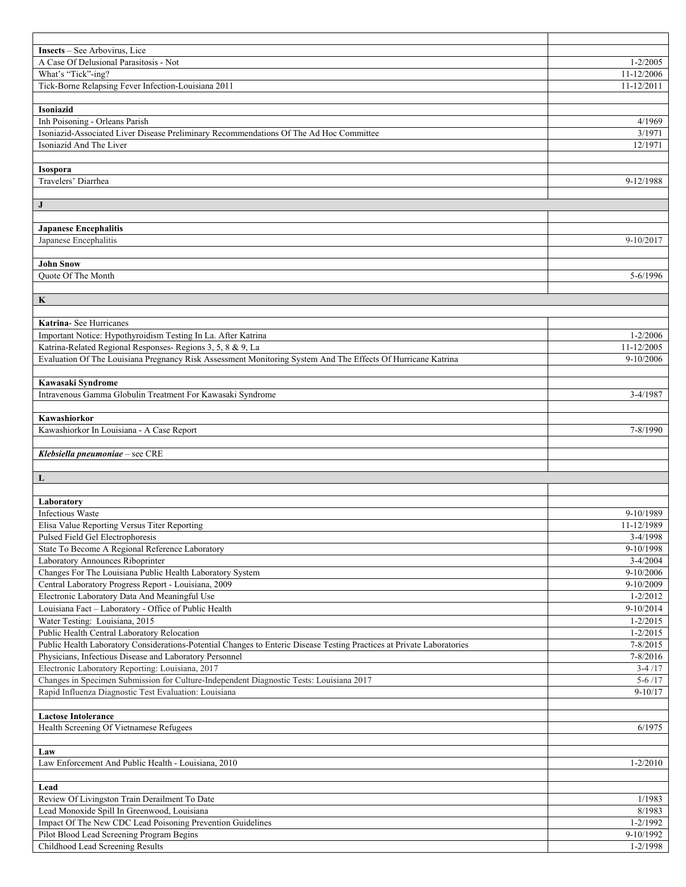| <b>Insects</b> – See Arbovirus, Lice                                                                                   |                           |
|------------------------------------------------------------------------------------------------------------------------|---------------------------|
| A Case Of Delusional Parasitosis - Not                                                                                 | $1 - 2/2005$              |
| What's "Tick"-ing?                                                                                                     | 11-12/2006                |
| Tick-Borne Relapsing Fever Infection-Louisiana 2011                                                                    | 11-12/2011                |
|                                                                                                                        |                           |
| Isoniazid                                                                                                              |                           |
| Inh Poisoning - Orleans Parish                                                                                         | 4/1969                    |
| Isoniazid-Associated Liver Disease Preliminary Recommendations Of The Ad Hoc Committee                                 | 3/1971                    |
| Isoniazid And The Liver                                                                                                | 12/1971                   |
|                                                                                                                        |                           |
| <b>Isospora</b>                                                                                                        |                           |
| Travelers' Diarrhea                                                                                                    | 9-12/1988                 |
|                                                                                                                        |                           |
| $\mathbf{J}$                                                                                                           |                           |
|                                                                                                                        |                           |
| <b>Japanese Encephalitis</b>                                                                                           |                           |
| Japanese Encephalitis                                                                                                  | 9-10/2017                 |
|                                                                                                                        |                           |
| <b>John Snow</b><br><b>Ouote Of The Month</b>                                                                          | 5-6/1996                  |
|                                                                                                                        |                           |
| $\mathbf K$                                                                                                            |                           |
|                                                                                                                        |                           |
| Katrina- See Hurricanes                                                                                                |                           |
| Important Notice: Hypothyroidism Testing In La. After Katrina                                                          | $1 - 2/2006$              |
|                                                                                                                        | 11-12/2005                |
| Katrina-Related Regional Responses- Regions 3, 5, 8 & 9, La                                                            |                           |
| Evaluation Of The Louisiana Pregnancy Risk Assessment Monitoring System And The Effects Of Hurricane Katrina           | 9-10/2006                 |
|                                                                                                                        |                           |
| Kawasaki Syndrome                                                                                                      |                           |
| Intravenous Gamma Globulin Treatment For Kawasaki Syndrome                                                             | 3-4/1987                  |
|                                                                                                                        |                           |
| Kawashiorkor<br>Kawashiorkor In Louisiana - A Case Report                                                              |                           |
|                                                                                                                        | 7-8/1990                  |
|                                                                                                                        |                           |
|                                                                                                                        |                           |
| Klebsiella pneumoniae - see CRE                                                                                        |                           |
|                                                                                                                        |                           |
| $\mathbf{L}$                                                                                                           |                           |
|                                                                                                                        |                           |
| Laboratory                                                                                                             |                           |
| <b>Infectious Waste</b>                                                                                                | 9-10/1989                 |
| Elisa Value Reporting Versus Titer Reporting                                                                           | 11-12/1989                |
| Pulsed Field Gel Electrophoresis                                                                                       | $3-4/1998$                |
| State To Become A Regional Reference Laboratory                                                                        | 9-10/1998                 |
| Laboratory Announces Riboprinter                                                                                       | $3 - 4/2004$              |
| Changes For The Louisiana Public Health Laboratory System                                                              | 9-10/2006                 |
| Central Laboratory Progress Report - Louisiana, 2009                                                                   | 9-10/2009                 |
| Electronic Laboratory Data And Meaningful Use                                                                          | $1 - 2/2012$              |
| Louisiana Fact - Laboratory - Office of Public Health                                                                  | $9-10/2014$               |
| Water Testing: Louisiana, 2015                                                                                         | $1 - 2/2015$              |
| Public Health Central Laboratory Relocation                                                                            | $1 - 2/2015$              |
| Public Health Laboratory Considerations-Potential Changes to Enteric Disease Testing Practices at Private Laboratories | 7-8/2015                  |
| Physicians, Infectious Disease and Laboratory Personnel                                                                | 7-8/2016                  |
| Electronic Laboratory Reporting: Louisiana, 2017                                                                       | $3-4/17$                  |
| Changes in Specimen Submission for Culture-Independent Diagnostic Tests: Louisiana 2017                                | $5 - 6/17$                |
| Rapid Influenza Diagnostic Test Evaluation: Louisiana                                                                  | $9 - 10/17$               |
|                                                                                                                        |                           |
| <b>Lactose Intolerance</b>                                                                                             |                           |
| Health Screening Of Vietnamese Refugees                                                                                | 6/1975                    |
|                                                                                                                        |                           |
| Law                                                                                                                    |                           |
| Law Enforcement And Public Health - Louisiana, 2010                                                                    | $1 - 2/2010$              |
|                                                                                                                        |                           |
| Lead                                                                                                                   |                           |
| Review Of Livingston Train Derailment To Date                                                                          | 1/1983                    |
| Lead Monoxide Spill In Greenwood, Louisiana                                                                            | 8/1983                    |
| Impact Of The New CDC Lead Poisoning Prevention Guidelines                                                             | $1 - 2/1992$              |
| Pilot Blood Lead Screening Program Begins<br>Childhood Lead Screening Results                                          | 9-10/1992<br>$1 - 2/1998$ |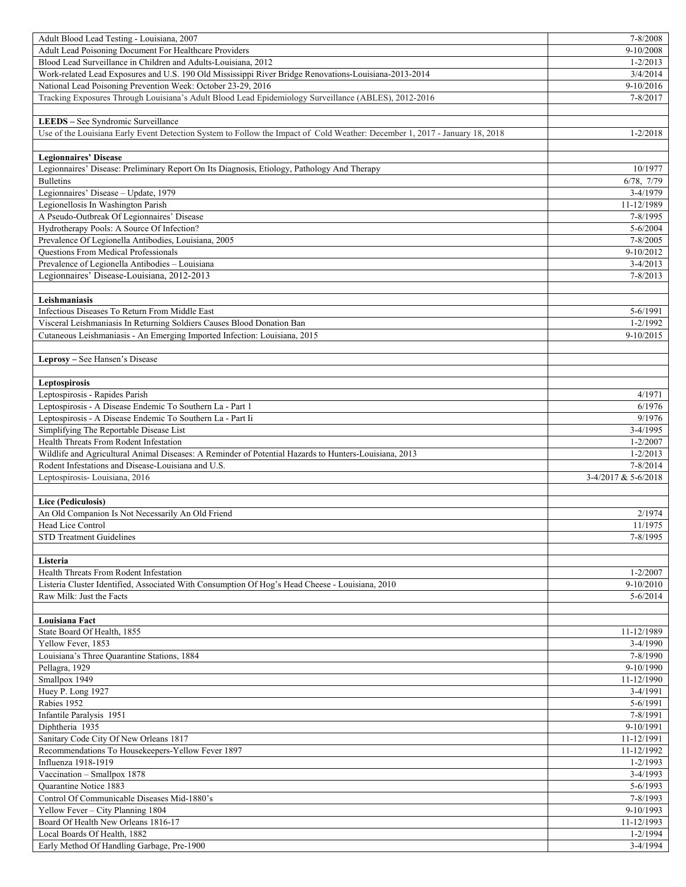| Adult Blood Lead Testing - Louisiana, 2007                                                                                                      | 7-8/2008                     |
|-------------------------------------------------------------------------------------------------------------------------------------------------|------------------------------|
| Adult Lead Poisoning Document For Healthcare Providers                                                                                          | 9-10/2008                    |
| Blood Lead Surveillance in Children and Adults-Louisiana, 2012                                                                                  | $1 - 2/2013$                 |
| Work-related Lead Exposures and U.S. 190 Old Mississippi River Bridge Renovations-Louisiana-2013-2014                                           | 3/4/2014                     |
| National Lead Poisoning Prevention Week: October 23-29, 2016                                                                                    | 9-10/2016                    |
| Tracking Exposures Through Louisiana's Adult Blood Lead Epidemiology Surveillance (ABLES), 2012-2016                                            | 7-8/2017                     |
|                                                                                                                                                 |                              |
| LEEDS - See Syndromic Surveillance                                                                                                              |                              |
| Use of the Louisiana Early Event Detection System to Follow the Impact of Cold Weather: December 1, 2017 - January 18, 2018                     | $1 - 2/2018$                 |
|                                                                                                                                                 |                              |
| <b>Legionnaires' Disease</b>                                                                                                                    |                              |
| Legionnaires' Disease: Preliminary Report On Its Diagnosis, Etiology, Pathology And Therapy                                                     | 10/1977                      |
| <b>Bulletins</b>                                                                                                                                | 6/78, 7/79                   |
| Legionnaires' Disease - Update, 1979                                                                                                            | 3-4/1979                     |
| Legionellosis In Washington Parish                                                                                                              | 11-12/1989                   |
| A Pseudo-Outbreak Of Legionnaires' Disease                                                                                                      | 7-8/1995                     |
| Hydrotherapy Pools: A Source Of Infection?                                                                                                      | $5 - 6/2004$                 |
| Prevalence Of Legionella Antibodies, Louisiana, 2005                                                                                            | $7 - 8/2005$                 |
| Questions From Medical Professionals                                                                                                            | 9-10/2012                    |
| Prevalence of Legionella Antibodies - Louisiana                                                                                                 | $3-4/2013$                   |
| Legionnaires' Disease-Louisiana, 2012-2013                                                                                                      | $7 - 8/2013$                 |
|                                                                                                                                                 |                              |
| Leishmaniasis                                                                                                                                   |                              |
| Infectious Diseases To Return From Middle East                                                                                                  | 5-6/1991                     |
| Visceral Leishmaniasis In Returning Soldiers Causes Blood Donation Ban                                                                          | $1 - 2/1992$                 |
| Cutaneous Leishmaniasis - An Emerging Imported Infection: Louisiana, 2015                                                                       | 9-10/2015                    |
|                                                                                                                                                 |                              |
| Leprosy - See Hansen's Disease                                                                                                                  |                              |
|                                                                                                                                                 |                              |
| Leptospirosis                                                                                                                                   |                              |
| Leptospirosis - Rapides Parish                                                                                                                  | 4/1971                       |
| Leptospirosis - A Disease Endemic To Southern La - Part 1                                                                                       | 6/1976                       |
| Leptospirosis - A Disease Endemic To Southern La - Part Ii                                                                                      | 9/1976                       |
| Simplifying The Reportable Disease List                                                                                                         | $3-4/1995$                   |
| Health Threats From Rodent Infestation<br>Wildlife and Agricultural Animal Diseases: A Reminder of Potential Hazards to Hunters-Louisiana, 2013 | $1 - 2/2007$<br>$1 - 2/2013$ |
| Rodent Infestations and Disease-Louisiana and U.S.                                                                                              | 7-8/2014                     |
|                                                                                                                                                 |                              |
|                                                                                                                                                 |                              |
| Leptospirosis-Louisiana, 2016                                                                                                                   | 3-4/2017 & 5-6/2018          |
|                                                                                                                                                 |                              |
| Lice (Pediculosis)                                                                                                                              |                              |
| An Old Companion Is Not Necessarily An Old Friend                                                                                               | 2/1974                       |
| Head Lice Control                                                                                                                               | 11/1975                      |
| <b>STD Treatment Guidelines</b>                                                                                                                 | 7-8/1995                     |
|                                                                                                                                                 |                              |
| Listeria                                                                                                                                        |                              |
| Health Threats From Rodent Infestation                                                                                                          | $1 - 2/2007$                 |
| Listeria Cluster Identified, Associated With Consumption Of Hog's Head Cheese - Louisiana, 2010<br>Raw Milk: Just the Facts                     | 9-10/2010<br>$5 - 6/2014$    |
|                                                                                                                                                 |                              |
| Louisiana Fact                                                                                                                                  |                              |
| State Board Of Health, 1855                                                                                                                     | 11-12/1989                   |
| Yellow Fever, 1853                                                                                                                              | $3-4/1990$                   |
| Louisiana's Three Ouarantine Stations, 1884                                                                                                     | 7-8/1990                     |
| Pellagra, 1929                                                                                                                                  | 9-10/1990                    |
| Smallpox 1949                                                                                                                                   | 11-12/1990                   |
| Huey P. Long 1927                                                                                                                               | 3-4/1991                     |
| Rabies 1952                                                                                                                                     | 5-6/1991                     |
| Infantile Paralysis 1951                                                                                                                        | 7-8/1991                     |
| Diphtheria 1935                                                                                                                                 | 9-10/1991                    |
| Sanitary Code City Of New Orleans 1817                                                                                                          | 11-12/1991                   |
| Recommendations To Housekeepers-Yellow Fever 1897                                                                                               | 11-12/1992                   |
| Influenza 1918-1919                                                                                                                             | $1 - 2/1993$                 |
| Vaccination - Smallpox 1878                                                                                                                     | $3-4/1993$                   |
| <b>Ouarantine Notice 1883</b>                                                                                                                   | 5-6/1993                     |
| Control Of Communicable Diseases Mid-1880's                                                                                                     | 7-8/1993                     |
| Yellow Fever - City Planning 1804                                                                                                               | 9-10/1993                    |
| Board Of Health New Orleans 1816-17                                                                                                             | 11-12/1993                   |
| Local Boards Of Health, 1882<br>Early Method Of Handling Garbage, Pre-1900                                                                      | 1-2/1994<br>3-4/1994         |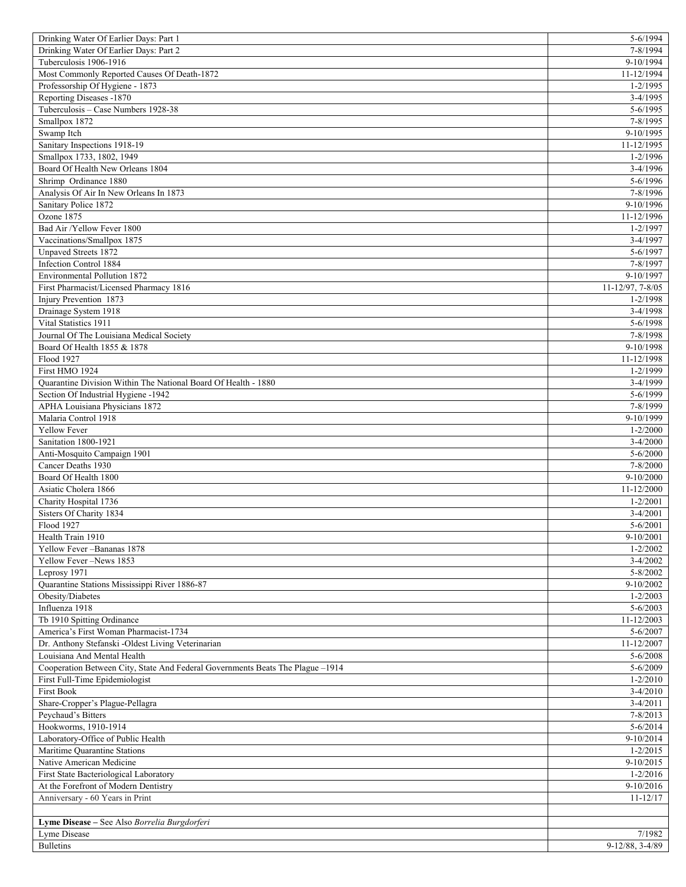| Drinking Water Of Earlier Days: Part 1                                         | 5-6/1994                    |
|--------------------------------------------------------------------------------|-----------------------------|
| Drinking Water Of Earlier Days: Part 2                                         | 7-8/1994                    |
| Tuberculosis 1906-1916                                                         | 9-10/1994                   |
| Most Commonly Reported Causes Of Death-1872                                    | 11-12/1994                  |
| Professorship Of Hygiene - 1873                                                | $1 - 2/1995$                |
| Reporting Diseases -1870                                                       | 3-4/1995                    |
| Tuberculosis - Case Numbers 1928-38                                            | $5 - 6/1995$                |
| Smallpox 1872                                                                  | 7-8/1995                    |
| Swamp Itch                                                                     | 9-10/1995                   |
| Sanitary Inspections 1918-19                                                   | 11-12/1995                  |
| Smallpox 1733, 1802, 1949                                                      | $1 - 2/1996$                |
| Board Of Health New Orleans 1804                                               | $3-4/1996$                  |
| Shrimp Ordinance 1880                                                          | $5 - 6/1996$                |
| Analysis Of Air In New Orleans In 1873                                         | 7-8/1996                    |
| Sanitary Police 1872                                                           | 9-10/1996                   |
| Ozone 1875                                                                     | 11-12/1996                  |
| Bad Air /Yellow Fever 1800                                                     | $1 - 2/1997$                |
| Vaccinations/Smallpox 1875                                                     | $3-4/1997$                  |
| Unpaved Streets 1872                                                           | 5-6/1997                    |
| Infection Control 1884                                                         | 7-8/1997                    |
| Environmental Pollution 1872                                                   | 9-10/1997                   |
| First Pharmacist/Licensed Pharmacy 1816                                        | 11-12/97, 7-8/05            |
| Injury Prevention 1873                                                         | $1 - 2/1998$                |
| Drainage System 1918                                                           | $3-4/1998$                  |
| Vital Statistics 1911                                                          | 5-6/1998                    |
| Journal Of The Louisiana Medical Society                                       | 7-8/1998                    |
| Board Of Health 1855 & 1878                                                    | 9-10/1998                   |
| Flood 1927                                                                     | 11-12/1998                  |
| First HMO 1924                                                                 |                             |
|                                                                                | 1-2/1999                    |
| Quarantine Division Within The National Board Of Health - 1880                 | 3-4/1999                    |
| Section Of Industrial Hygiene -1942                                            | 5-6/1999                    |
| APHA Louisiana Physicians 1872                                                 | 7-8/1999                    |
| Malaria Control 1918                                                           | 9-10/1999                   |
| Yellow Fever                                                                   | $1 - 2/2000$                |
| Sanitation 1800-1921                                                           | $3-4/2000$                  |
| Anti-Mosquito Campaign 1901                                                    | $5 - 6/2000$                |
| Cancer Deaths 1930                                                             | 7-8/2000                    |
| Board Of Health 1800                                                           | $9-10/2000$                 |
| Asiatic Cholera 1866                                                           | 11-12/2000                  |
| Charity Hospital 1736                                                          | $1 - 2/2001$                |
| Sisters Of Charity 1834                                                        | $3-4/2001$                  |
| Flood 1927                                                                     | $5 - 6/2001$                |
| Health Train 1910                                                              | $9-10/2001$                 |
| Yellow Fever-Bananas 1878                                                      | $1 - 2/2002$                |
| Yellow Fever -News 1853                                                        | $3 - 4/2002$                |
| Leprosy 1971                                                                   | 5-8/2002                    |
| Quarantine Stations Mississippi River 1886-87                                  | 9-10/2002                   |
|                                                                                |                             |
| Obesity/Diabetes                                                               | $1 - 2/2003$                |
| Influenza 1918                                                                 | $5 - 6/2003$                |
| Tb 1910 Spitting Ordinance                                                     | 11-12/2003                  |
| America's First Woman Pharmacist-1734                                          | 5-6/2007                    |
| Dr. Anthony Stefanski -Oldest Living Veterinarian                              | 11-12/2007                  |
| Louisiana And Mental Health                                                    | $5 - 6/2008$                |
| Cooperation Between City, State And Federal Governments Beats The Plague -1914 | $5 - 6/2009$                |
|                                                                                | $1 - 2/2010$                |
| First Full-Time Epidemiologist<br><b>First Book</b>                            | $3-4/2010$                  |
|                                                                                | $3 - 4/2011$                |
| Share-Cropper's Plague-Pellagra<br>Peychaud's Bitters                          | $7 - 8/2013$                |
| Hookworms, 1910-1914                                                           | $5 - 6/2014$                |
|                                                                                |                             |
| Laboratory-Office of Public Health                                             | 9-10/2014                   |
| Maritime Quarantine Stations<br>Native American Medicine                       | $1 - 2/2015$                |
|                                                                                | 9-10/2015                   |
| First State Bacteriological Laboratory                                         | $1 - 2/2016$                |
| At the Forefront of Modern Dentistry                                           | 9-10/2016                   |
| Anniversary - 60 Years in Print                                                | $11 - 12/17$                |
|                                                                                |                             |
| Lyme Disease - See Also Borrelia Burgdorferi                                   |                             |
| Lyme Disease<br><b>Bulletins</b>                                               | 7/1982<br>$9-12/88, 3-4/89$ |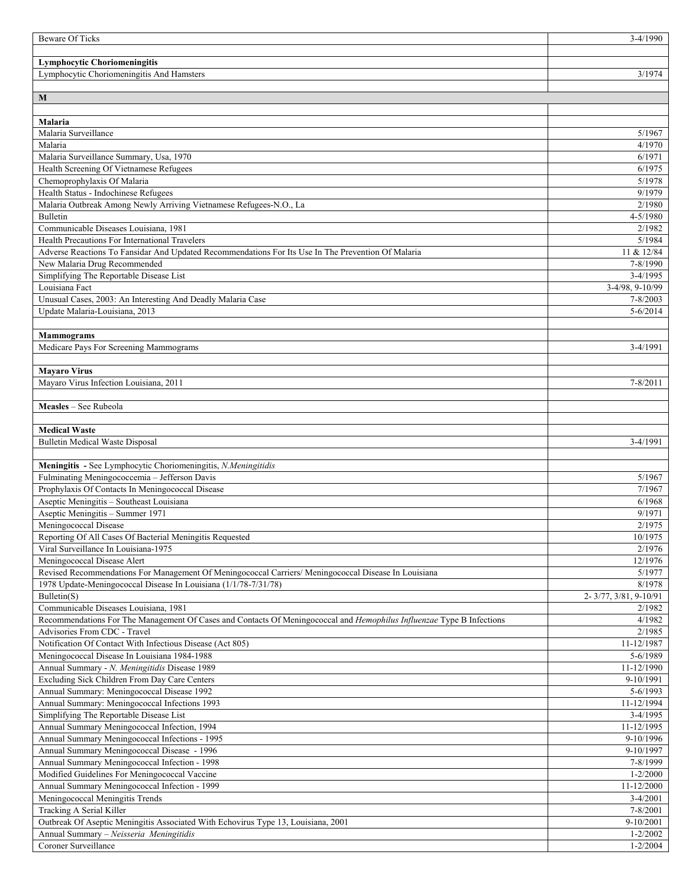| <b>Beware Of Ticks</b>                                                                                                                                                  | $3-4/1990$               |
|-------------------------------------------------------------------------------------------------------------------------------------------------------------------------|--------------------------|
|                                                                                                                                                                         |                          |
| <b>Lymphocytic Choriomeningitis</b>                                                                                                                                     |                          |
| Lymphocytic Choriomeningitis And Hamsters                                                                                                                               | 3/1974                   |
|                                                                                                                                                                         |                          |
| M                                                                                                                                                                       |                          |
|                                                                                                                                                                         |                          |
| <b>Malaria</b><br>Malaria Surveillance                                                                                                                                  |                          |
| Malaria                                                                                                                                                                 | 5/1967<br>4/1970         |
| Malaria Surveillance Summary, Usa, 1970                                                                                                                                 | 6/1971                   |
| Health Screening Of Vietnamese Refugees                                                                                                                                 | 6/1975                   |
| Chemoprophylaxis Of Malaria                                                                                                                                             | 5/1978                   |
| Health Status - Indochinese Refugees                                                                                                                                    | 9/1979                   |
| Malaria Outbreak Among Newly Arriving Vietnamese Refugees-N.O., La                                                                                                      | 2/1980                   |
| Bulletin                                                                                                                                                                | $4 - 5/1980$             |
| Communicable Diseases Louisiana, 1981                                                                                                                                   | 2/1982                   |
| Health Precautions For International Travelers                                                                                                                          | 5/1984                   |
| Adverse Reactions To Fansidar And Updated Recommendations For Its Use In The Prevention Of Malaria                                                                      | 11 & 12/84               |
| New Malaria Drug Recommended                                                                                                                                            | 7-8/1990                 |
| Simplifying The Reportable Disease List                                                                                                                                 | $3-4/1995$               |
| Louisiana Fact                                                                                                                                                          | 3-4/98, 9-10/99          |
| Unusual Cases, 2003: An Interesting And Deadly Malaria Case                                                                                                             | 7-8/2003                 |
| Update Malaria-Louisiana, 2013                                                                                                                                          | $5 - 6/2014$             |
|                                                                                                                                                                         |                          |
| <b>Mammograms</b>                                                                                                                                                       |                          |
| Medicare Pays For Screening Mammograms                                                                                                                                  | 3-4/1991                 |
|                                                                                                                                                                         |                          |
| <b>Mayaro Virus</b><br>Mayaro Virus Infection Louisiana, 2011                                                                                                           | $7 - 8/2011$             |
|                                                                                                                                                                         |                          |
| Measles - See Rubeola                                                                                                                                                   |                          |
|                                                                                                                                                                         |                          |
| <b>Medical Waste</b>                                                                                                                                                    |                          |
| <b>Bulletin Medical Waste Disposal</b>                                                                                                                                  | 3-4/1991                 |
|                                                                                                                                                                         |                          |
| Meningitis - See Lymphocytic Choriomeningitis, N.Meningitidis                                                                                                           |                          |
| Fulminating Meningococcemia - Jefferson Davis                                                                                                                           | 5/1967                   |
| Prophylaxis Of Contacts In Meningococcal Disease                                                                                                                        | 7/1967                   |
| Aseptic Meningitis - Southeast Louisiana                                                                                                                                | 6/1968                   |
| Aseptic Meningitis - Summer 1971                                                                                                                                        | 9/1971                   |
| Meningococcal Disease                                                                                                                                                   | 2/1975                   |
| Reporting Of All Cases Of Bacterial Meningitis Requested                                                                                                                | 10/1975                  |
| Viral Surveillance In Louisiana-1975                                                                                                                                    | 2/1976                   |
| Meningococcal Disease Alert                                                                                                                                             | 12/1976                  |
| Revised Recommendations For Management Of Meningococcal Carriers/ Meningococcal Disease In Louisiana<br>1978 Update-Meningococcal Disease In Louisiana (1/1/78-7/31/78) | 5/1977<br>8/1978         |
| Bulletin(S)                                                                                                                                                             | 2-3/77, 3/81, 9-10/91    |
| Communicable Diseases Louisiana, 1981                                                                                                                                   | 2/1982                   |
| Recommendations For The Management Of Cases and Contacts Of Meningococcal and <i>Hemophilus Influenzae</i> Type B Infections                                            | 4/1982                   |
| Advisories From CDC - Travel                                                                                                                                            | 2/1985                   |
| Notification Of Contact With Infectious Disease (Act 805)                                                                                                               | 11-12/1987               |
| Meningococcal Disease In Louisiana 1984-1988                                                                                                                            | 5-6/1989                 |
| Annual Summary - N. Meningitidis Disease 1989                                                                                                                           | 11-12/1990               |
| Excluding Sick Children From Day Care Centers                                                                                                                           | 9-10/1991                |
| Annual Summary: Meningococcal Disease 1992                                                                                                                              | $5 - 6/1993$             |
| Annual Summary: Meningococcal Infections 1993                                                                                                                           | 11-12/1994               |
| Simplifying The Reportable Disease List                                                                                                                                 | $3-4/1995$               |
| Annual Summary Meningococcal Infection, 1994                                                                                                                            | 11-12/1995               |
| Annual Summary Meningococcal Infections - 1995                                                                                                                          | 9-10/1996                |
| Annual Summary Meningococcal Disease - 1996                                                                                                                             | 9-10/1997                |
| Annual Summary Meningococcal Infection - 1998                                                                                                                           | 7-8/1999                 |
| Modified Guidelines For Meningococcal Vaccine                                                                                                                           | $1 - 2/2000$             |
| Annual Summary Meningococcal Infection - 1999<br>Meningococcal Meningitis Trends                                                                                        | 11-12/2000<br>$3-4/2001$ |
| Tracking A Serial Killer                                                                                                                                                | 7-8/2001                 |
| Outbreak Of Aseptic Meningitis Associated With Echovirus Type 13, Louisiana, 2001                                                                                       | $9-10/2001$              |
| Annual Summary - Neisseria Meningitidis                                                                                                                                 | $1 - 2/2002$             |
| Coroner Surveillance                                                                                                                                                    | $1 - 2/2004$             |
|                                                                                                                                                                         |                          |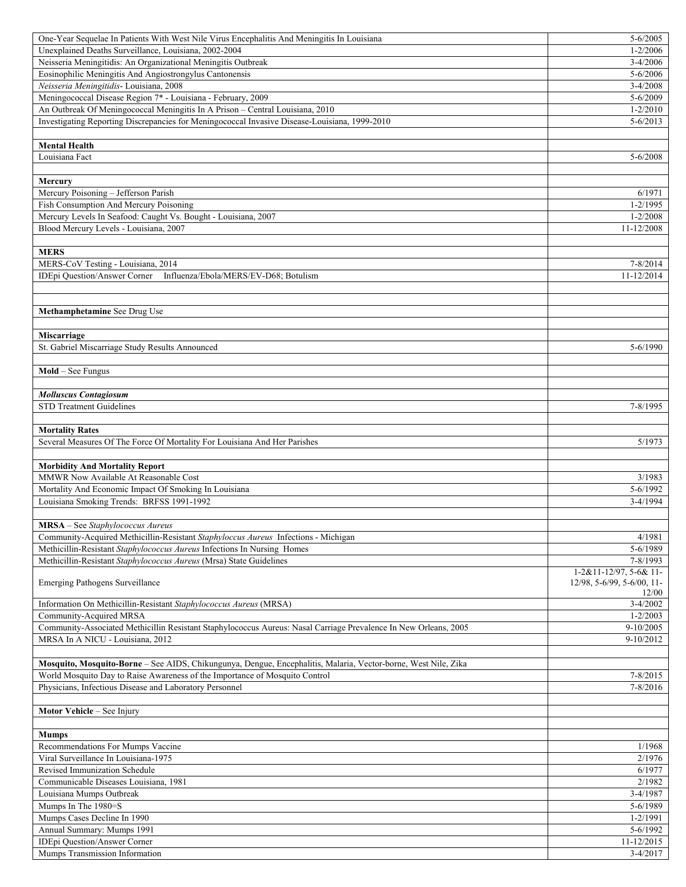| One-Year Sequelae In Patients With West Nile Virus Encephalitis And Meningitis In Louisiana                      | $5 - 6/2005$               |
|------------------------------------------------------------------------------------------------------------------|----------------------------|
| Unexplained Deaths Surveillance, Louisiana, 2002-2004                                                            | $1 - 2/2006$               |
| Neisseria Meningitidis: An Organizational Meningitis Outbreak                                                    | 3-4/2006                   |
| Eosinophilic Meningitis And Angiostrongylus Cantonensis                                                          | 5-6/2006                   |
| Neisseria Meningitidis- Louisiana, 2008                                                                          | $3-4/2008$                 |
| Meningococcal Disease Region 7* - Louisiana - February, 2009                                                     | $5 - 6/2009$               |
| An Outbreak Of Meningococcal Meningitis In A Prison - Central Louisiana, 2010                                    | $1 - 2/2010$               |
| Investigating Reporting Discrepancies for Meningococcal Invasive Disease-Louisiana, 1999-2010                    | $5 - 6/2013$               |
|                                                                                                                  |                            |
| <b>Mental Health</b>                                                                                             |                            |
| Louisiana Fact                                                                                                   | 5-6/2008                   |
|                                                                                                                  |                            |
| Mercury                                                                                                          |                            |
| Mercury Poisoning - Jefferson Parish                                                                             | 6/1971                     |
| Fish Consumption And Mercury Poisoning                                                                           | $1 - 2/1995$               |
| Mercury Levels In Seafood: Caught Vs. Bought - Louisiana, 2007                                                   | $1 - 2/2008$               |
| Blood Mercury Levels - Louisiana, 2007                                                                           | 11-12/2008                 |
|                                                                                                                  |                            |
| <b>MERS</b>                                                                                                      |                            |
| MERS-CoV Testing - Louisiana, 2014                                                                               | 7-8/2014                   |
| Influenza/Ebola/MERS/EV-D68; Botulism<br><b>IDEpi Question/Answer Corner</b>                                     | 11-12/2014                 |
|                                                                                                                  |                            |
|                                                                                                                  |                            |
| Methamphetamine See Drug Use                                                                                     |                            |
|                                                                                                                  |                            |
|                                                                                                                  |                            |
| <b>Miscarriage</b><br>St. Gabriel Miscarriage Study Results Announced                                            | 5-6/1990                   |
|                                                                                                                  |                            |
|                                                                                                                  |                            |
| $Mold - See Fungus$                                                                                              |                            |
|                                                                                                                  |                            |
| <b>Molluscus Contagiosum</b>                                                                                     |                            |
| <b>STD Treatment Guidelines</b>                                                                                  | 7-8/1995                   |
|                                                                                                                  |                            |
|                                                                                                                  |                            |
| <b>Mortality Rates</b>                                                                                           |                            |
| Several Measures Of The Force Of Mortality For Louisiana And Her Parishes                                        | 5/1973                     |
|                                                                                                                  |                            |
| <b>Morbidity And Mortality Report</b>                                                                            |                            |
| MMWR Now Available At Reasonable Cost                                                                            | 3/1983                     |
| Mortality And Economic Impact Of Smoking In Louisiana                                                            | $5 - 6/1992$               |
| Louisiana Smoking Trends: BRFSS 1991-1992                                                                        | $3-4/1994$                 |
|                                                                                                                  |                            |
| <b>MRSA</b> – See Staphylococcus Aureus                                                                          |                            |
| Community-Acquired Methicillin-Resistant Staphyloccus Aureus Infections - Michigan                               | 4/1981                     |
| Methicillin-Resistant Staphylococcus Aureus Infections In Nursing Homes                                          | 5-6/1989                   |
| Methicillin-Resistant Staphylococcus Aureus (Mrsa) State Guidelines                                              | 7-8/1993                   |
|                                                                                                                  | 1-2&11-12/97, 5-6& 11-     |
| <b>Emerging Pathogens Surveillance</b>                                                                           | 12/98, 5-6/99, 5-6/00, 11- |
|                                                                                                                  | 12/00                      |
| Information On Methicillin-Resistant Staphylococcus Aureus (MRSA)                                                | $3-4/2002$                 |
| Community-Acquired MRSA                                                                                          | $1 - 2/2003$               |
| Community-Associated Methicillin Resistant Staphylococcus Aureus: Nasal Carriage Prevalence In New Orleans, 2005 | 9-10/2005                  |
| MRSA In A NICU - Louisiana, 2012                                                                                 | 9-10/2012                  |
|                                                                                                                  |                            |
| Mosquito, Mosquito-Borne - See AIDS, Chikungunya, Dengue, Encephalitis, Malaria, Vector-borne, West Nile, Zika   |                            |
| World Mosquito Day to Raise Awareness of the Importance of Mosquito Control                                      | 7-8/2015                   |
| Physicians, Infectious Disease and Laboratory Personnel                                                          | 7-8/2016                   |
|                                                                                                                  |                            |
| Motor Vehicle - See Injury                                                                                       |                            |
|                                                                                                                  |                            |
| <b>Mumps</b>                                                                                                     |                            |
| Recommendations For Mumps Vaccine                                                                                | 1/1968                     |
| Viral Surveillance In Louisiana-1975                                                                             | 2/1976                     |
| Revised Immunization Schedule                                                                                    | 6/1977                     |
| Communicable Diseases Louisiana, 1981                                                                            | 2/1982                     |
| Louisiana Mumps Outbreak                                                                                         | 3-4/1987                   |
| Mumps In The 1980=S                                                                                              | 5-6/1989                   |
| Mumps Cases Decline In 1990                                                                                      | 1-2/1991                   |
| Annual Summary: Mumps 1991                                                                                       | 5-6/1992                   |
| IDEpi Question/Answer Corner<br>Mumps Transmission Information                                                   | 11-12/2015<br>3-4/2017     |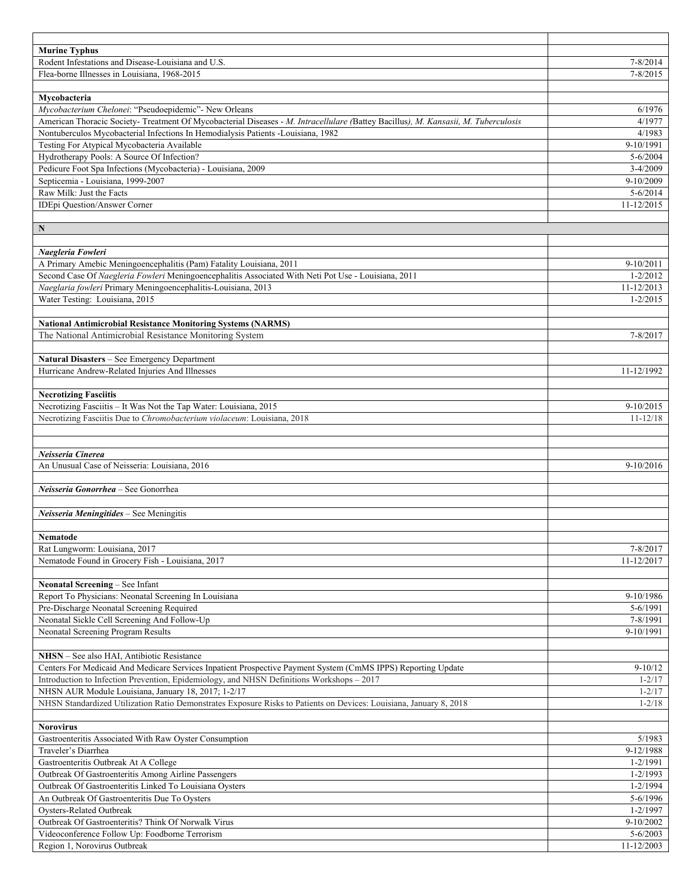| <b>Murine Typhus</b>                                                                                                                                              |                             |
|-------------------------------------------------------------------------------------------------------------------------------------------------------------------|-----------------------------|
| Rodent Infestations and Disease-Louisiana and U.S.                                                                                                                | 7-8/2014                    |
| Flea-borne Illnesses in Louisiana, 1968-2015                                                                                                                      | $7 - 8/2015$                |
| Mycobacteria                                                                                                                                                      |                             |
| Mycobacterium Chelonei: "Pseudoepidemic"- New Orleans                                                                                                             | 6/1976                      |
| American Thoracic Society- Treatment Of Mycobacterial Diseases - M. Intracellulare (Battey Bacillus), M. Kansasii, M. Tuberculosis                                | 4/1977                      |
| Nontuberculos Mycobacterial Infections In Hemodialysis Patients -Louisiana, 1982                                                                                  | 4/1983                      |
| Testing For Atypical Mycobacteria Available                                                                                                                       | 9-10/1991                   |
| Hydrotherapy Pools: A Source Of Infection?                                                                                                                        | $5 - 6/2004$                |
| Pedicure Foot Spa Infections (Mycobacteria) - Louisiana, 2009                                                                                                     | $3-4/2009$                  |
| Septicemia - Louisiana, 1999-2007                                                                                                                                 | 9-10/2009                   |
| Raw Milk: Just the Facts                                                                                                                                          | $5 - 6/2014$                |
| IDEpi Question/Answer Corner                                                                                                                                      | 11-12/2015                  |
| $\mathbf N$                                                                                                                                                       |                             |
|                                                                                                                                                                   |                             |
| Naegleria Fowleri                                                                                                                                                 |                             |
| A Primary Amebic Meningoencephalitis (Pam) Fatality Louisiana, 2011                                                                                               | 9-10/2011                   |
| Second Case Of Naegleria Fowleri Meningoencephalitis Associated With Neti Pot Use - Louisiana, 2011                                                               | $1 - 2/2012$                |
| Naeglaria fowleri Primary Meningoencephalitis-Louisiana, 2013                                                                                                     | 11-12/2013                  |
| Water Testing: Louisiana, 2015                                                                                                                                    | $1 - 2/2015$                |
|                                                                                                                                                                   |                             |
| <b>National Antimicrobial Resistance Monitoring Systems (NARMS)</b>                                                                                               |                             |
| The National Antimicrobial Resistance Monitoring System                                                                                                           | 7-8/2017                    |
|                                                                                                                                                                   |                             |
| Natural Disasters - See Emergency Department<br>Hurricane Andrew-Related Injuries And Illnesses                                                                   | 11-12/1992                  |
|                                                                                                                                                                   |                             |
| <b>Necrotizing Fasciitis</b>                                                                                                                                      |                             |
| Necrotizing Fasciitis - It Was Not the Tap Water: Louisiana, 2015                                                                                                 | 9-10/2015                   |
| Necrotizing Fasciitis Due to Chromobacterium violaceum: Louisiana, 2018                                                                                           | $11 - 12/18$                |
|                                                                                                                                                                   |                             |
|                                                                                                                                                                   |                             |
| Neisseria Cinerea                                                                                                                                                 |                             |
| An Unusual Case of Neisseria: Louisiana, 2016                                                                                                                     | 9-10/2016                   |
|                                                                                                                                                                   |                             |
| Neisseria Gonorrhea - See Gonorrhea                                                                                                                               |                             |
| Neisseria Meningitides - See Meningitis                                                                                                                           |                             |
|                                                                                                                                                                   |                             |
| Nematode                                                                                                                                                          |                             |
| Rat Lungworm: Louisiana, 2017                                                                                                                                     | 7-8/2017                    |
| Nematode Found in Grocery Fish - Louisiana, 2017                                                                                                                  | 11-12/2017                  |
|                                                                                                                                                                   |                             |
| Neonatal Screening - See Infant                                                                                                                                   |                             |
| Report To Physicians: Neonatal Screening In Louisiana                                                                                                             | 9-10/1986                   |
| Pre-Discharge Neonatal Screening Required                                                                                                                         | 5-6/1991                    |
| Neonatal Sickle Cell Screening And Follow-Up                                                                                                                      | 7-8/1991                    |
| Neonatal Screening Program Results                                                                                                                                | 9-10/1991                   |
|                                                                                                                                                                   |                             |
| <b>NHSN</b> – See also HAI, Antibiotic Resistance<br>Centers For Medicaid And Medicare Services Inpatient Prospective Payment System (CmMS IPPS) Reporting Update | $9-10/12$                   |
| Introduction to Infection Prevention, Epidemiology, and NHSN Definitions Workshops - 2017                                                                         | $1 - 2/17$                  |
| NHSN AUR Module Louisiana, January 18, 2017; 1-2/17                                                                                                               | $1 - 2/17$                  |
| NHSN Standardized Utilization Ratio Demonstrates Exposure Risks to Patients on Devices: Louisiana, January 8, 2018                                                | $1 - 2/18$                  |
|                                                                                                                                                                   |                             |
| <b>Norovirus</b>                                                                                                                                                  |                             |
| Gastroenteritis Associated With Raw Oyster Consumption                                                                                                            | 5/1983                      |
| Traveler's Diarrhea                                                                                                                                               | 9-12/1988                   |
| Gastroenteritis Outbreak At A College                                                                                                                             | 1-2/1991                    |
| Outbreak Of Gastroenteritis Among Airline Passengers                                                                                                              | 1-2/1993                    |
| Outbreak Of Gastroenteritis Linked To Louisiana Oysters                                                                                                           | 1-2/1994                    |
| An Outbreak Of Gastroenteritis Due To Oysters                                                                                                                     | $5 - 6/1996$                |
| <b>Oysters-Related Outbreak</b><br>Outbreak Of Gastroenteritis? Think Of Norwalk Virus                                                                            | 1-2/1997                    |
| Videoconference Follow Up: Foodborne Terrorism                                                                                                                    | $9-10/2002$<br>$5 - 6/2003$ |
| Region 1, Norovirus Outbreak                                                                                                                                      | 11-12/2003                  |
|                                                                                                                                                                   |                             |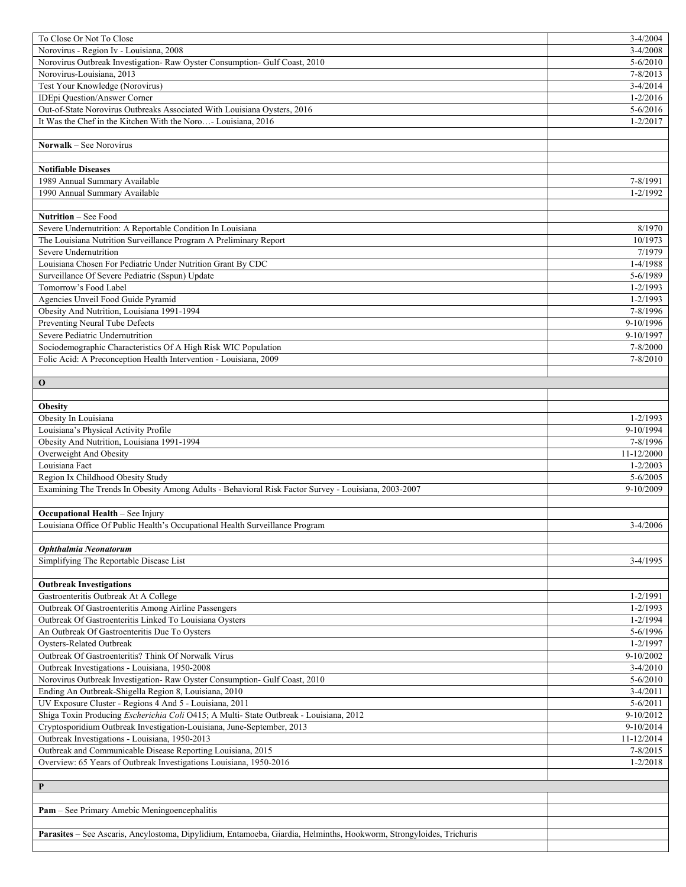| To Close Or Not To Close                                                                                            | $3-4/2004$     |
|---------------------------------------------------------------------------------------------------------------------|----------------|
| Norovirus - Region Iv - Louisiana, 2008                                                                             | $3-4/2008$     |
| Norovirus Outbreak Investigation- Raw Oyster Consumption- Gulf Coast, 2010                                          | $5 - 6/2010$   |
| Norovirus-Louisiana, 2013                                                                                           | $7 - 8/2013$   |
| Test Your Knowledge (Norovirus)                                                                                     | $3-4/2014$     |
| IDEpi Question/Answer Corner                                                                                        | $1 - 2/2016$   |
| Out-of-State Norovirus Outbreaks Associated With Louisiana Oysters, 2016                                            | $5 - 6/2016$   |
| It Was the Chef in the Kitchen With the Noro- Louisiana, 2016                                                       | $1 - 2/2017$   |
|                                                                                                                     |                |
| Norwalk - See Norovirus                                                                                             |                |
|                                                                                                                     |                |
|                                                                                                                     |                |
| <b>Notifiable Diseases</b>                                                                                          |                |
| 1989 Annual Summary Available                                                                                       | 7-8/1991       |
| 1990 Annual Summary Available                                                                                       | $1 - 2/1992$   |
|                                                                                                                     |                |
| Nutrition - See Food                                                                                                |                |
| Severe Undernutrition: A Reportable Condition In Louisiana                                                          | 8/1970         |
| The Louisiana Nutrition Surveillance Program A Preliminary Report                                                   | 10/1973        |
| Severe Undernutrition                                                                                               | 7/1979         |
| Louisiana Chosen For Pediatric Under Nutrition Grant By CDC                                                         | $1-4/1988$     |
| Surveillance Of Severe Pediatric (Sspun) Update                                                                     | 5-6/1989       |
| Tomorrow's Food Label                                                                                               | $1 - 2/1993$   |
| Agencies Unveil Food Guide Pyramid                                                                                  | $1 - 2/1993$   |
| Obesity And Nutrition, Louisiana 1991-1994                                                                          | 7-8/1996       |
| Preventing Neural Tube Defects                                                                                      | 9-10/1996      |
| Severe Pediatric Undernutrition                                                                                     | 9-10/1997      |
| Sociodemographic Characteristics Of A High Risk WIC Population                                                      | $7 - 8/2000$   |
| Folic Acid: A Preconception Health Intervention - Louisiana, 2009                                                   | 7-8/2010       |
|                                                                                                                     |                |
| $\mathbf 0$                                                                                                         |                |
|                                                                                                                     |                |
| <b>Obesity</b>                                                                                                      |                |
| Obesity In Louisiana                                                                                                | $1 - 2/1993$   |
| Louisiana's Physical Activity Profile                                                                               | 9-10/1994      |
| Obesity And Nutrition, Louisiana 1991-1994                                                                          | 7-8/1996       |
| Overweight And Obesity                                                                                              | 11-12/2000     |
| Louisiana Fact                                                                                                      | $1 - 2/2003$   |
| Region Ix Childhood Obesity Study                                                                                   | $5 - 6/2005$   |
|                                                                                                                     |                |
|                                                                                                                     |                |
| Examining The Trends In Obesity Among Adults - Behavioral Risk Factor Survey - Louisiana, 2003-2007                 | 9-10/2009      |
|                                                                                                                     |                |
| <b>Occupational Health - See Injury</b>                                                                             |                |
| Louisiana Office Of Public Health's Occupational Health Surveillance Program                                        | $3-4/2006$     |
|                                                                                                                     |                |
| Ophthalmia Neonatorum                                                                                               |                |
| Simplifying The Reportable Disease List                                                                             | 3-4/1995       |
|                                                                                                                     |                |
| <b>Outbreak Investigations</b>                                                                                      |                |
| Gastroenteritis Outbreak At A College                                                                               | $1 - 2/1991$   |
| Outbreak Of Gastroenteritis Among Airline Passengers                                                                | $1 - 2/1993$   |
| Outbreak Of Gastroenteritis Linked To Louisiana Oysters                                                             | $1 - 2/1994$   |
| An Outbreak Of Gastroenteritis Due To Oysters                                                                       | 5-6/1996       |
| Oysters-Related Outbreak                                                                                            | $1 - 2/1997$   |
| Outbreak Of Gastroenteritis? Think Of Norwalk Virus                                                                 | 9-10/2002      |
| Outbreak Investigations - Louisiana, 1950-2008                                                                      | $3-4/2010$     |
| Norovirus Outbreak Investigation- Raw Oyster Consumption- Gulf Coast, 2010                                          | $5 - 6/2010$   |
| Ending An Outbreak-Shigella Region 8, Louisiana, 2010                                                               | $3-4/2011$     |
| UV Exposure Cluster - Regions 4 And 5 - Louisiana, 2011                                                             | $5 - 6/2011$   |
| Shiga Toxin Producing Escherichia Coli O415; A Multi-State Outbreak - Louisiana, 2012                               | $9-10/2012$    |
| Cryptosporidium Outbreak Investigation-Louisiana, June-September, 2013                                              | 9-10/2014      |
| Outbreak Investigations - Louisiana, 1950-2013                                                                      | $11 - 12/2014$ |
| Outbreak and Communicable Disease Reporting Louisiana, 2015                                                         | $7 - 8/2015$   |
| Overview: 65 Years of Outbreak Investigations Louisiana, 1950-2016                                                  | $1 - 2/2018$   |
|                                                                                                                     |                |
| P                                                                                                                   |                |
|                                                                                                                     |                |
| Pam - See Primary Amebic Meningoencephalitis                                                                        |                |
|                                                                                                                     |                |
| Parasites - See Ascaris, Ancylostoma, Dipylidium, Entamoeba, Giardia, Helminths, Hookworm, Strongyloides, Trichuris |                |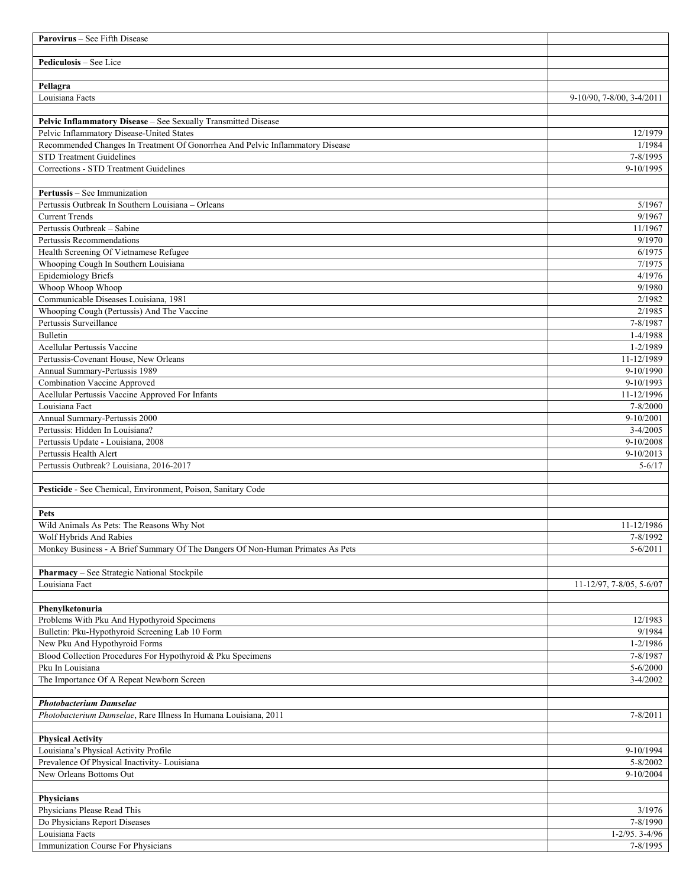| <b>Parovirus</b> – See Fifth Disease                                           |                                  |
|--------------------------------------------------------------------------------|----------------------------------|
|                                                                                |                                  |
| Pediculosis - See Lice                                                         |                                  |
|                                                                                |                                  |
| Pellagra<br>Louisiana Facts                                                    |                                  |
|                                                                                | 9-10/90, 7-8/00, 3-4/2011        |
| Pelvic Inflammatory Disease - See Sexually Transmitted Disease                 |                                  |
| Pelvic Inflammatory Disease-United States                                      | 12/1979                          |
| Recommended Changes In Treatment Of Gonorrhea And Pelvic Inflammatory Disease  | 1/1984                           |
| <b>STD Treatment Guidelines</b>                                                | 7-8/1995                         |
| Corrections - STD Treatment Guidelines                                         | 9-10/1995                        |
|                                                                                |                                  |
| Pertussis - See Immunization                                                   |                                  |
| Pertussis Outbreak In Southern Louisiana - Orleans                             | 5/1967                           |
| <b>Current Trends</b><br>Pertussis Outbreak - Sabine                           | 9/1967<br>11/1967                |
| Pertussis Recommendations                                                      | 9/1970                           |
| Health Screening Of Vietnamese Refugee                                         | 6/1975                           |
| Whooping Cough In Southern Louisiana                                           | 7/1975                           |
| <b>Epidemiology Briefs</b>                                                     | 4/1976                           |
| Whoop Whoop Whoop                                                              | 9/1980                           |
| Communicable Diseases Louisiana, 1981                                          | 2/1982                           |
| Whooping Cough (Pertussis) And The Vaccine                                     | 2/1985                           |
| Pertussis Surveillance                                                         | 7-8/1987                         |
| Bulletin<br>Acellular Pertussis Vaccine                                        | 1-4/1988<br>1-2/1989             |
| Pertussis-Covenant House, New Orleans                                          | 11-12/1989                       |
| Annual Summary-Pertussis 1989                                                  | 9-10/1990                        |
| <b>Combination Vaccine Approved</b>                                            | 9-10/1993                        |
| Acellular Pertussis Vaccine Approved For Infants                               | 11-12/1996                       |
| Louisiana Fact                                                                 | 7-8/2000                         |
| Annual Summary-Pertussis 2000                                                  | 9-10/2001                        |
| Pertussis: Hidden In Louisiana?                                                | $3 - 4/2005$                     |
| Pertussis Update - Louisiana, 2008                                             | $9-10/2008$                      |
| Pertussis Health Alert                                                         | $9-10/2013$                      |
| Pertussis Outbreak? Louisiana, 2016-2017                                       | $5 - 6/17$                       |
| Pesticide - See Chemical, Environment, Poison, Sanitary Code                   |                                  |
|                                                                                |                                  |
| Pets                                                                           |                                  |
| Wild Animals As Pets: The Reasons Why Not                                      | 11-12/1986                       |
| Wolf Hybrids And Rabies                                                        | 7-8/1992                         |
| Monkey Business - A Brief Summary Of The Dangers Of Non-Human Primates As Pets | $5 - 6/2011$                     |
|                                                                                |                                  |
| Pharmacy - See Strategic National Stockpile                                    |                                  |
| Louisiana Fact                                                                 | $11 - 12/97, 7 - 8/05, 5 - 6/07$ |
| Phenylketonuria                                                                |                                  |
| Problems With Pku And Hypothyroid Specimens                                    | 12/1983                          |
| Bulletin: Pku-Hypothyroid Screening Lab 10 Form                                | 9/1984                           |
| New Pku And Hypothyroid Forms                                                  | 1-2/1986                         |
| Blood Collection Procedures For Hypothyroid & Pku Specimens                    | 7-8/1987                         |
| Pku In Louisiana                                                               | $5 - 6/2000$                     |
| The Importance Of A Repeat Newborn Screen                                      | $3-4/2002$                       |
|                                                                                |                                  |
| <b>Photobacterium Damselae</b>                                                 |                                  |
| Photobacterium Damselae, Rare Illness In Humana Louisiana, 2011                | $7 - 8/2011$                     |
| <b>Physical Activity</b>                                                       |                                  |
| Louisiana's Physical Activity Profile                                          | 9-10/1994                        |
| Prevalence Of Physical Inactivity- Louisiana                                   | $5 - 8/2002$                     |
| New Orleans Bottoms Out                                                        | 9-10/2004                        |
|                                                                                |                                  |
| Physicians                                                                     |                                  |
| Physicians Please Read This                                                    | 3/1976                           |
| Do Physicians Report Diseases                                                  | 7-8/1990                         |
| Louisiana Facts                                                                | $1-2/95.3-4/96$                  |
| Immunization Course For Physicians                                             | 7-8/1995                         |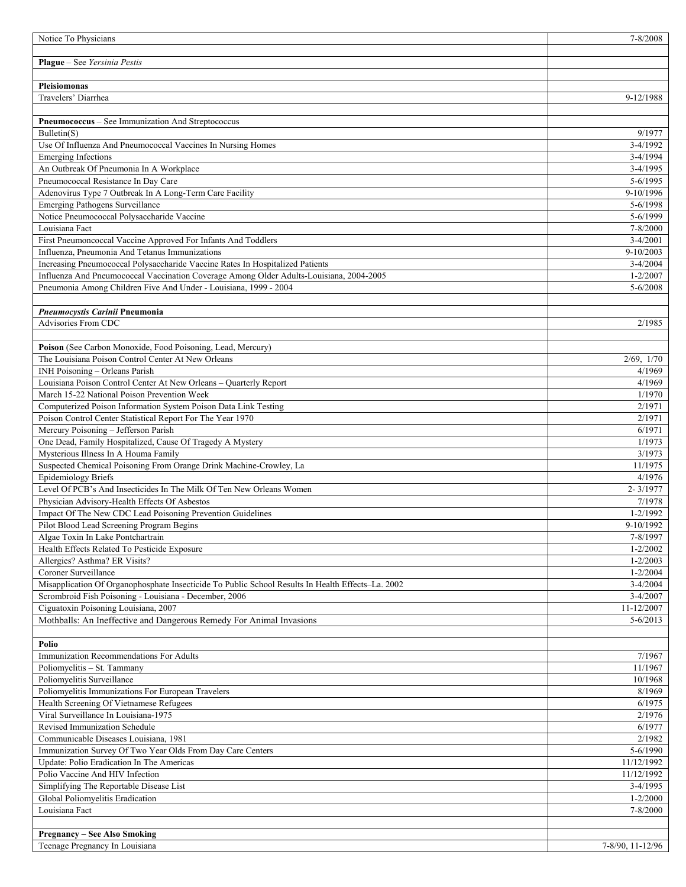| Notice To Physicians                                                                                                            | 7-8/2008                   |
|---------------------------------------------------------------------------------------------------------------------------------|----------------------------|
|                                                                                                                                 |                            |
| Plague - See Yersinia Pestis                                                                                                    |                            |
|                                                                                                                                 |                            |
| <b>Pleisiomonas</b>                                                                                                             |                            |
| Travelers' Diarrhea                                                                                                             | 9-12/1988                  |
|                                                                                                                                 |                            |
| Pneumococcus - See Immunization And Streptococcus                                                                               |                            |
| Bulletin(S)                                                                                                                     | 9/1977                     |
| Use Of Influenza And Pneumococcal Vaccines In Nursing Homes                                                                     | $3 - 4/1992$               |
| <b>Emerging Infections</b>                                                                                                      | $3-4/1994$                 |
| An Outbreak Of Pneumonia In A Workplace                                                                                         | $3-4/1995$                 |
| Pneumococcal Resistance In Day Care                                                                                             | 5-6/1995                   |
| Adenovirus Type 7 Outbreak In A Long-Term Care Facility                                                                         | 9-10/1996                  |
| <b>Emerging Pathogens Surveillance</b>                                                                                          | 5-6/1998                   |
| Notice Pneumococcal Polysaccharide Vaccine                                                                                      | 5-6/1999                   |
| Louisiana Fact                                                                                                                  | 7-8/2000                   |
| First Pneumoncoccal Vaccine Approved For Infants And Toddlers                                                                   | $3-4/2001$                 |
| Influenza, Pneumonia And Tetanus Immunizations<br>Increasing Pneumococcal Polysaccharide Vaccine Rates In Hospitalized Patients | $9 - 10/2003$              |
|                                                                                                                                 | $3-4/2004$<br>$1 - 2/2007$ |
| Influenza And Pneumococcal Vaccination Coverage Among Older Adults-Louisiana, 2004-2005                                         |                            |
| Pneumonia Among Children Five And Under - Louisiana, 1999 - 2004                                                                | 5-6/2008                   |
| Pneumocystis Carinii Pneumonia                                                                                                  |                            |
| Advisories From CDC                                                                                                             | 2/1985                     |
|                                                                                                                                 |                            |
| Poison (See Carbon Monoxide, Food Poisoning, Lead, Mercury)                                                                     |                            |
| The Louisiana Poison Control Center At New Orleans                                                                              | 2/69, 1/70                 |
| INH Poisoning - Orleans Parish                                                                                                  | 4/1969                     |
| Louisiana Poison Control Center At New Orleans - Quarterly Report                                                               | 4/1969                     |
| March 15-22 National Poison Prevention Week                                                                                     | 1/1970                     |
| Computerized Poison Information System Poison Data Link Testing                                                                 | 2/1971                     |
| Poison Control Center Statistical Report For The Year 1970                                                                      | 2/1971                     |
| Mercury Poisoning - Jefferson Parish                                                                                            | 6/1971                     |
| One Dead, Family Hospitalized, Cause Of Tragedy A Mystery                                                                       | 1/1973                     |
| Mysterious Illness In A Houma Family                                                                                            | $\frac{1}{3}$ /1973        |
| Suspected Chemical Poisoning From Orange Drink Machine-Crowley, La                                                              | 11/1975                    |
| <b>Epidemiology Briefs</b>                                                                                                      | 4/1976                     |
| Level Of PCB's And Insecticides In The Milk Of Ten New Orleans Women                                                            | $2 - 3/1977$               |
| Physician Advisory-Health Effects Of Asbestos                                                                                   | 7/1978                     |
| Impact Of The New CDC Lead Poisoning Prevention Guidelines                                                                      | $1 - 2/1992$               |
| Pilot Blood Lead Screening Program Begins                                                                                       | 9-10/1992                  |
| Algae Toxin In Lake Pontchartrain                                                                                               | 7-8/1997                   |
| Health Effects Related To Pesticide Exposure                                                                                    | $1 - 2/2002$               |
| Allergies? Asthma? ER Visits?                                                                                                   | $1 - 2/2003$               |
| Coroner Surveillance                                                                                                            | $1 - 2/2004$               |
| Misapplication Of Organophosphate Insecticide To Public School Results In Health Effects-La. 2002                               | $3-4/2004$                 |
| Scrombroid Fish Poisoning - Louisiana - December, 2006                                                                          | $3-4/2007$                 |
| Ciguatoxin Poisoning Louisiana, 2007                                                                                            | 11-12/2007                 |
| Mothballs: An Ineffective and Dangerous Remedy For Animal Invasions                                                             | $5 - 6/2013$               |
|                                                                                                                                 |                            |
| Polio                                                                                                                           |                            |
| Immunization Recommendations For Adults                                                                                         | 7/1967                     |
| Poliomyelitis - St. Tammany                                                                                                     | 11/1967                    |
| Poliomyelitis Surveillance                                                                                                      | 10/1968                    |
| Poliomyelitis Immunizations For European Travelers                                                                              | 8/1969                     |
| Health Screening Of Vietnamese Refugees                                                                                         | 6/1975                     |
| Viral Surveillance In Louisiana-1975                                                                                            | 2/1976                     |
| Revised Immunization Schedule                                                                                                   | 6/1977                     |
| Communicable Diseases Louisiana, 1981                                                                                           | 2/1982                     |
| Immunization Survey Of Two Year Olds From Day Care Centers                                                                      | 5-6/1990                   |
| Update: Polio Eradication In The Americas                                                                                       | 11/12/1992                 |
| Polio Vaccine And HIV Infection                                                                                                 | 11/12/1992                 |
| Simplifying The Reportable Disease List                                                                                         | $3-4/1995$                 |
| Global Poliomyelitis Eradication                                                                                                | $1 - 2/2000$               |
| Louisiana Fact                                                                                                                  | 7-8/2000                   |
|                                                                                                                                 |                            |
| <b>Pregnancy – See Also Smoking</b>                                                                                             |                            |
| Teenage Pregnancy In Louisiana                                                                                                  | 7-8/90, 11-12/96           |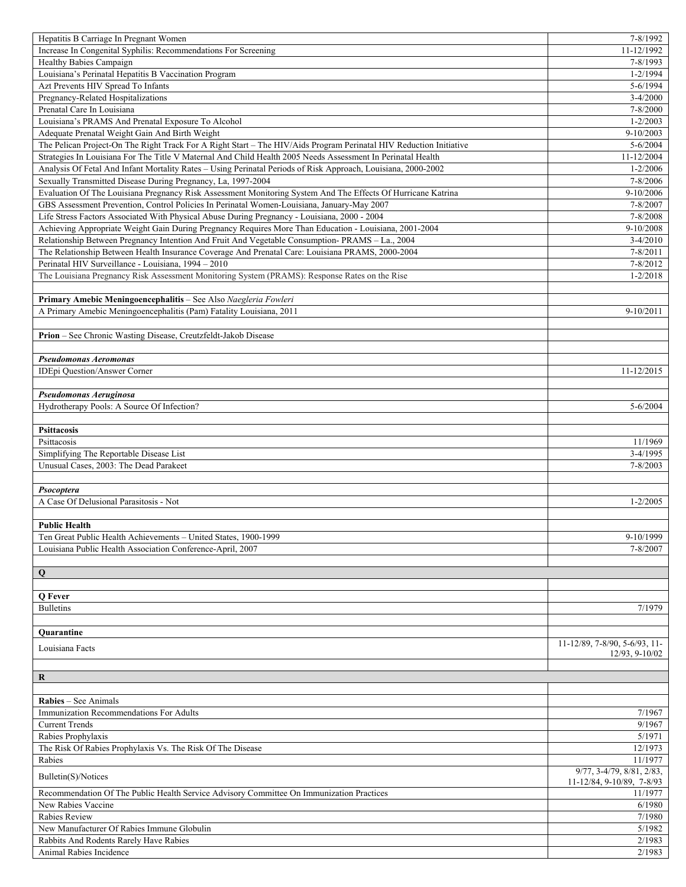| Hepatitis B Carriage In Pregnant Women                                                                             | 7-8/1992                         |
|--------------------------------------------------------------------------------------------------------------------|----------------------------------|
| Increase In Congenital Syphilis: Recommendations For Screening                                                     | 11-12/1992                       |
| Healthy Babies Campaign                                                                                            | 7-8/1993                         |
| Louisiana's Perinatal Hepatitis B Vaccination Program                                                              | $1 - 2/1994$                     |
| Azt Prevents HIV Spread To Infants                                                                                 | 5-6/1994                         |
| Pregnancy-Related Hospitalizations                                                                                 | $3-4/2000$                       |
| Prenatal Care In Louisiana                                                                                         | 7-8/2000                         |
| Louisiana's PRAMS And Prenatal Exposure To Alcohol                                                                 | $1 - 2/2003$                     |
| Adequate Prenatal Weight Gain And Birth Weight                                                                     | 9-10/2003                        |
| The Pelican Project-On The Right Track For A Right Start - The HIV/Aids Program Perinatal HIV Reduction Initiative | 5-6/2004                         |
| Strategies In Louisiana For The Title V Maternal And Child Health 2005 Needs Assessment In Perinatal Health        | 11-12/2004                       |
| Analysis Of Fetal And Infant Mortality Rates - Using Perinatal Periods of Risk Approach, Louisiana, 2000-2002      | $1 - 2/2006$                     |
| Sexually Transmitted Disease During Pregnancy, La, 1997-2004                                                       | 7-8/2006                         |
| Evaluation Of The Louisiana Pregnancy Risk Assessment Monitoring System And The Effects Of Hurricane Katrina       | 9-10/2006                        |
| GBS Assessment Prevention, Control Policies In Perinatal Women-Louisiana, January-May 2007                         | 7-8/2007                         |
| Life Stress Factors Associated With Physical Abuse During Pregnancy - Louisiana, 2000 - 2004                       | 7-8/2008                         |
| Achieving Appropriate Weight Gain During Pregnancy Requires More Than Education - Louisiana, 2001-2004             | 9-10/2008                        |
| Relationship Between Pregnancy Intention And Fruit And Vegetable Consumption-PRAMS - La., 2004                     | $3-4/2010$                       |
| The Relationship Between Health Insurance Coverage And Prenatal Care: Louisiana PRAMS, 2000-2004                   | $7 - 8/2011$                     |
| Perinatal HIV Surveillance - Louisiana, 1994 - 2010                                                                | $7 - 8/2012$                     |
| The Louisiana Pregnancy Risk Assessment Monitoring System (PRAMS): Response Rates on the Rise                      | $1 - 2/2018$                     |
|                                                                                                                    |                                  |
| Primary Amebic Meningoencephalitis - See Also Naegleria Fowleri                                                    |                                  |
| A Primary Amebic Meningoencephalitis (Pam) Fatality Louisiana, 2011                                                | $9 - 10/2011$                    |
|                                                                                                                    |                                  |
| Prion - See Chronic Wasting Disease, Creutzfeldt-Jakob Disease                                                     |                                  |
|                                                                                                                    |                                  |
| Pseudomonas Aeromonas                                                                                              |                                  |
| <b>IDEpi Question/Answer Corner</b>                                                                                | 11-12/2015                       |
|                                                                                                                    |                                  |
| Pseudomonas Aeruginosa                                                                                             |                                  |
| Hydrotherapy Pools: A Source Of Infection?                                                                         | $5 - 6/2004$                     |
|                                                                                                                    |                                  |
| <b>Psittacosis</b>                                                                                                 |                                  |
| Psittacosis                                                                                                        | 11/1969                          |
| Simplifying The Reportable Disease List                                                                            | $3-4/1995$                       |
| Unusual Cases, 2003: The Dead Parakeet                                                                             | 7-8/2003                         |
|                                                                                                                    |                                  |
| Psocoptera                                                                                                         |                                  |
| A Case Of Delusional Parasitosis - Not                                                                             | $1 - 2/2005$                     |
|                                                                                                                    |                                  |
| <b>Public Health</b>                                                                                               |                                  |
| Ten Great Public Health Achievements – United States, 1900-1999                                                    | 9-10/1999                        |
| Louisiana Public Health Association Conference-April, 2007                                                         | 7-8/2007                         |
|                                                                                                                    |                                  |
| $\mathbf Q$                                                                                                        |                                  |
|                                                                                                                    |                                  |
| Q Fever                                                                                                            |                                  |
| <b>Bulletins</b>                                                                                                   | 7/1979                           |
|                                                                                                                    |                                  |
| Quarantine                                                                                                         | $11-12/89$ , 7-8/90, 5-6/93, 11- |
| Louisiana Facts                                                                                                    | 12/93, 9-10/02                   |
|                                                                                                                    |                                  |
| $\bf R$                                                                                                            |                                  |
|                                                                                                                    |                                  |
| <b>Rabies</b> – See Animals                                                                                        |                                  |
| Immunization Recommendations For Adults                                                                            | 7/1967                           |
| <b>Current Trends</b>                                                                                              | 9/1967                           |
| Rabies Prophylaxis                                                                                                 | 5/1971                           |
| The Risk Of Rabies Prophylaxis Vs. The Risk Of The Disease                                                         | 12/1973                          |
| Rabies                                                                                                             | 11/1977                          |
|                                                                                                                    | 9/77, 3-4/79, 8/81, 2/83,        |
| Bulletin(S)/Notices                                                                                                | 11-12/84, 9-10/89, 7-8/93        |
| Recommendation Of The Public Health Service Advisory Committee On Immunization Practices                           | 11/1977                          |
| New Rabies Vaccine                                                                                                 | 6/1980                           |
| Rabies Review                                                                                                      | 7/1980                           |
| New Manufacturer Of Rabies Immune Globulin                                                                         | 5/1982                           |
| Rabbits And Rodents Rarely Have Rabies                                                                             |                                  |
|                                                                                                                    | 2/1983                           |
| Animal Rabies Incidence                                                                                            | 2/1983                           |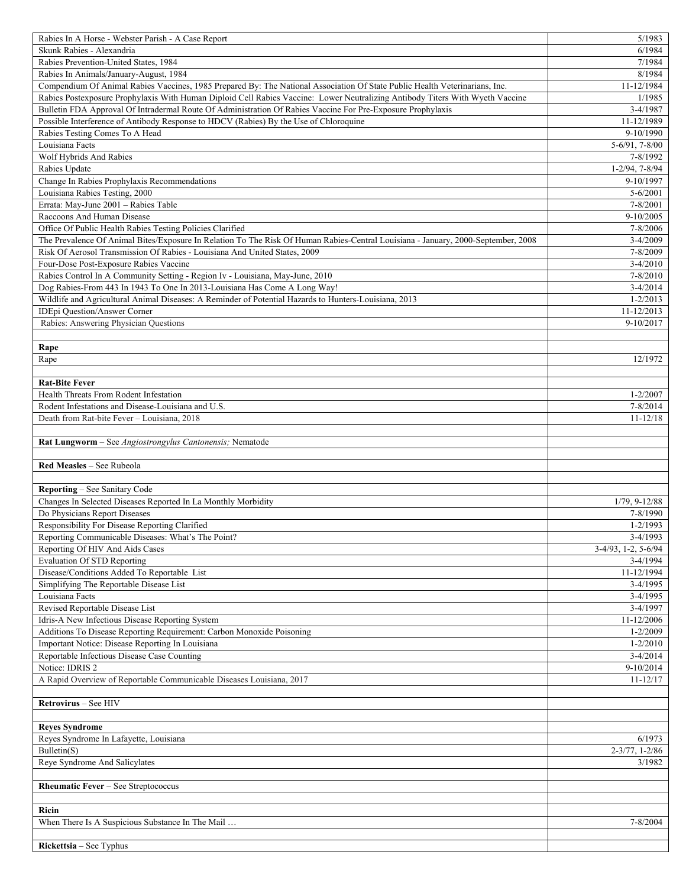| Rabies In A Horse - Webster Parish - A Case Report                                                                                | 5/1983                  |
|-----------------------------------------------------------------------------------------------------------------------------------|-------------------------|
| Skunk Rabies - Alexandria                                                                                                         | 6/1984                  |
| Rabies Prevention-United States, 1984                                                                                             | 7/1984                  |
| Rabies In Animals/January-August, 1984                                                                                            | 8/1984                  |
| Compendium Of Animal Rabies Vaccines, 1985 Prepared By: The National Association Of State Public Health Veterinarians, Inc.       | 11-12/1984              |
| Rabies Postexposure Prophylaxis With Human Diploid Cell Rabies Vaccine: Lower Neutralizing Antibody Titers With Wyeth Vaccine     | 1/1985                  |
| Bulletin FDA Approval Of Intradermal Route Of Administration Of Rabies Vaccine For Pre-Exposure Prophylaxis                       | $3-4/1987$              |
| Possible Interference of Antibody Response to HDCV (Rabies) By the Use of Chloroquine                                             | 11-12/1989              |
| Rabies Testing Comes To A Head                                                                                                    | 9-10/1990               |
| Louisiana Facts                                                                                                                   | $5-6/91, 7-8/00$        |
| Wolf Hybrids And Rabies                                                                                                           | 7-8/1992                |
| Rabies Update                                                                                                                     | $1 - 2/94, 7 - 8/94$    |
| Change In Rabies Prophylaxis Recommendations                                                                                      | 9-10/1997               |
| Louisiana Rabies Testing, 2000                                                                                                    | $5 - 6/2001$            |
| Errata: May-June 2001 - Rabies Table                                                                                              | 7-8/2001                |
| Raccoons And Human Disease                                                                                                        | $9-10/2005$             |
| Office Of Public Health Rabies Testing Policies Clarified                                                                         | 7-8/2006                |
| The Prevalence Of Animal Bites/Exposure In Relation To The Risk Of Human Rabies-Central Louisiana - January, 2000-September, 2008 | $3-4/2009$              |
| Risk Of Aerosol Transmission Of Rabies - Louisiana And United States, 2009                                                        | 7-8/2009                |
| Four-Dose Post-Exposure Rabies Vaccine                                                                                            | $3-4/2010$              |
| Rabies Control In A Community Setting - Region Iv - Louisiana, May-June, 2010                                                     | $7 - 8/2010$            |
| Dog Rabies-From 443 In 1943 To One In 2013-Louisiana Has Come A Long Way!                                                         | $3-4/2014$              |
| Wildlife and Agricultural Animal Diseases: A Reminder of Potential Hazards to Hunters-Louisiana, 2013                             | $1 - 2/2013$            |
| IDEpi Question/Answer Corner                                                                                                      | 11-12/2013              |
| Rabies: Answering Physician Questions                                                                                             | 9-10/2017               |
|                                                                                                                                   |                         |
| Rape                                                                                                                              |                         |
| Rape                                                                                                                              | 12/1972                 |
|                                                                                                                                   |                         |
| <b>Rat-Bite Fever</b>                                                                                                             |                         |
| Health Threats From Rodent Infestation                                                                                            | $1 - 2/2007$            |
| Rodent Infestations and Disease-Louisiana and U.S.                                                                                | 7-8/2014                |
| Death from Rat-bite Fever - Louisiana, 2018                                                                                       | $11 - 12/18$            |
|                                                                                                                                   |                         |
|                                                                                                                                   |                         |
|                                                                                                                                   |                         |
| Rat Lungworm - See Angiostrongylus Cantonensis; Nematode                                                                          |                         |
|                                                                                                                                   |                         |
| Red Measles - See Rubeola                                                                                                         |                         |
|                                                                                                                                   |                         |
| Reporting - See Sanitary Code                                                                                                     |                         |
| Changes In Selected Diseases Reported In La Monthly Morbidity                                                                     | $1/79, 9-12/88$         |
| Do Physicians Report Diseases                                                                                                     | 7-8/1990                |
| Responsibility For Disease Reporting Clarified                                                                                    | $1 - 2/1993$            |
| Reporting Communicable Diseases: What's The Point?                                                                                | 3-4/1993                |
| Reporting Of HIV And Aids Cases                                                                                                   | $3-4/93$ , 1-2, 5-6/94  |
| <b>Evaluation Of STD Reporting</b>                                                                                                | $3-4/1994$              |
| Disease/Conditions Added To Reportable List                                                                                       | 11-12/1994              |
| Simplifying The Reportable Disease List                                                                                           | $3-4/1995$              |
| Louisiana Facts                                                                                                                   | $3-4/1995$              |
| Revised Reportable Disease List                                                                                                   | $3-4/1997$              |
| Idris-A New Infectious Disease Reporting System                                                                                   | 11-12/2006              |
| Additions To Disease Reporting Requirement: Carbon Monoxide Poisoning                                                             | $1 - 2/2009$            |
| Important Notice: Disease Reporting In Louisiana                                                                                  | $1 - 2/2010$            |
| Reportable Infectious Disease Case Counting                                                                                       | $3-4/2014$              |
| Notice: IDRIS 2                                                                                                                   | 9-10/2014               |
| A Rapid Overview of Reportable Communicable Diseases Louisiana, 2017                                                              | $11 - 12/17$            |
|                                                                                                                                   |                         |
| Retrovirus - See HIV                                                                                                              |                         |
|                                                                                                                                   |                         |
| <b>Reyes Syndrome</b>                                                                                                             |                         |
| Reyes Syndrome In Lafayette, Louisiana                                                                                            | 6/1973                  |
| Bulletin(S)                                                                                                                       | $2 - 3/77$ , $1 - 2/86$ |
| Reye Syndrome And Salicylates                                                                                                     | 3/1982                  |
|                                                                                                                                   |                         |
| Rheumatic Fever - See Streptococcus                                                                                               |                         |
|                                                                                                                                   |                         |
| Ricin                                                                                                                             |                         |
| When There Is A Suspicious Substance In The Mail                                                                                  | 7-8/2004                |
| Rickettsia – See Typhus                                                                                                           |                         |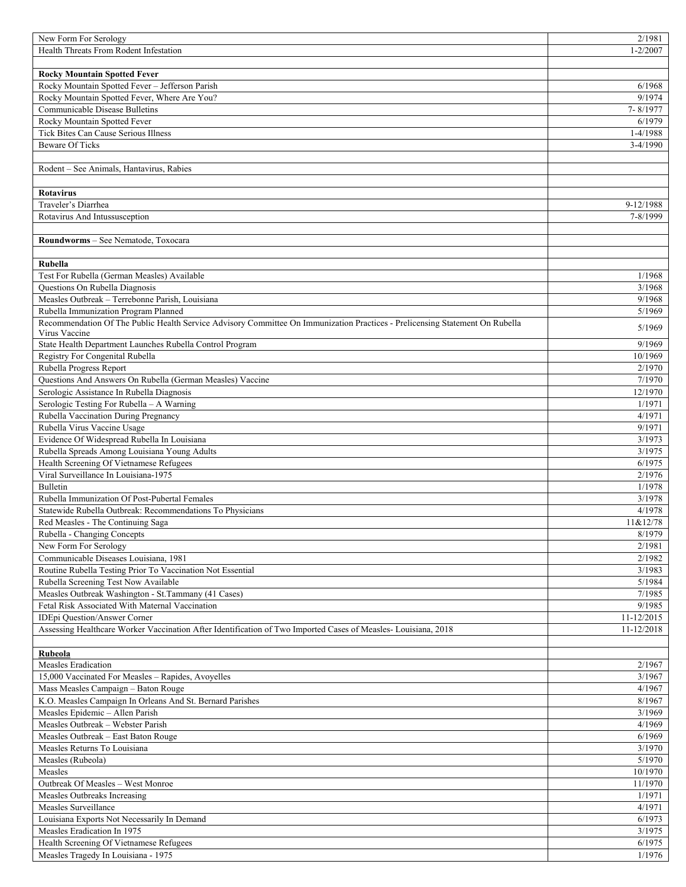| New Form For Serology                                                                                                        | 2/1981           |
|------------------------------------------------------------------------------------------------------------------------------|------------------|
| Health Threats From Rodent Infestation                                                                                       | $1 - 2/2007$     |
|                                                                                                                              |                  |
| <b>Rocky Mountain Spotted Fever</b>                                                                                          |                  |
| Rocky Mountain Spotted Fever - Jefferson Parish                                                                              | 6/1968           |
| Rocky Mountain Spotted Fever, Where Are You?                                                                                 | 9/1974           |
| Communicable Disease Bulletins                                                                                               | 7-8/1977         |
| Rocky Mountain Spotted Fever                                                                                                 | 6/1979           |
|                                                                                                                              |                  |
| Tick Bites Can Cause Serious Illness                                                                                         | 1-4/1988         |
| <b>Beware Of Ticks</b>                                                                                                       | $3-4/1990$       |
|                                                                                                                              |                  |
| Rodent – See Animals, Hantavirus, Rabies                                                                                     |                  |
|                                                                                                                              |                  |
| <b>Rotavirus</b>                                                                                                             |                  |
| Traveler's Diarrhea                                                                                                          | 9-12/1988        |
| Rotavirus And Intussusception                                                                                                | 7-8/1999         |
|                                                                                                                              |                  |
| Roundworms - See Nematode, Toxocara                                                                                          |                  |
|                                                                                                                              |                  |
| Rubella                                                                                                                      |                  |
| Test For Rubella (German Measles) Available                                                                                  | 1/1968           |
| Questions On Rubella Diagnosis                                                                                               | 3/1968           |
| Measles Outbreak - Terrebonne Parish, Louisiana                                                                              | 9/1968           |
| Rubella Immunization Program Planned                                                                                         | 5/1969           |
| Recommendation Of The Public Health Service Advisory Committee On Immunization Practices - Prelicensing Statement On Rubella |                  |
| Virus Vaccine                                                                                                                | 5/1969           |
| State Health Department Launches Rubella Control Program                                                                     | 9/1969           |
| Registry For Congenital Rubella                                                                                              | 10/1969          |
| Rubella Progress Report                                                                                                      | 2/1970           |
| Questions And Answers On Rubella (German Measles) Vaccine                                                                    | 7/1970           |
| Serologic Assistance In Rubella Diagnosis                                                                                    | 12/1970          |
| Serologic Testing For Rubella - A Warning                                                                                    | 1/1971           |
|                                                                                                                              |                  |
| Rubella Vaccination During Pregnancy                                                                                         | 4/1971           |
| Rubella Virus Vaccine Usage                                                                                                  | 9/1971           |
| Evidence Of Widespread Rubella In Louisiana                                                                                  | 3/1973           |
| Rubella Spreads Among Louisiana Young Adults                                                                                 | 3/1975           |
| Health Screening Of Vietnamese Refugees                                                                                      | 6/1975           |
| Viral Surveillance In Louisiana-1975                                                                                         | 2/1976           |
| Bulletin                                                                                                                     | 1/1978           |
| Rubella Immunization Of Post-Pubertal Females                                                                                | 3/1978           |
| Statewide Rubella Outbreak: Recommendations To Physicians                                                                    | 4/1978           |
| Red Measles - The Continuing Saga                                                                                            | 11&12/78         |
| Rubella - Changing Concepts                                                                                                  | 8/1979           |
| New Form For Serology                                                                                                        | 2/1981           |
| Communicable Diseases Louisiana, 1981                                                                                        | 2/1982           |
| Routine Rubella Testing Prior To Vaccination Not Essential                                                                   | 3/1983           |
| Rubella Screening Test Now Available                                                                                         | 5/1984           |
| Measles Outbreak Washington - St. Tammany (41 Cases)                                                                         | 7/1985           |
| Fetal Risk Associated With Maternal Vaccination                                                                              | 9/1985           |
| IDEpi Question/Answer Corner                                                                                                 | 11-12/2015       |
| Assessing Healthcare Worker Vaccination After Identification of Two Imported Cases of Measles-Louisiana, 2018                | 11-12/2018       |
|                                                                                                                              |                  |
| <b>Rubeola</b>                                                                                                               |                  |
| Measles Eradication                                                                                                          | 2/1967           |
| 15,000 Vaccinated For Measles - Rapides, Avoyelles                                                                           | 3/1967           |
| Mass Measles Campaign - Baton Rouge                                                                                          | 4/1967           |
|                                                                                                                              |                  |
| K.O. Measles Campaign In Orleans And St. Bernard Parishes<br>Measles Epidemic - Allen Parish                                 | 8/1967<br>3/1969 |
|                                                                                                                              |                  |
| Measles Outbreak - Webster Parish                                                                                            | 4/1969           |
| Measles Outbreak - East Baton Rouge                                                                                          | 6/1969           |
| Measles Returns To Louisiana                                                                                                 | 3/1970           |
| Measles (Rubeola)                                                                                                            | 5/1970           |
| Measles                                                                                                                      | 10/1970          |
| Outbreak Of Measles - West Monroe                                                                                            | 11/1970          |
| Measles Outbreaks Increasing                                                                                                 | 1/1971           |
| Measles Surveillance                                                                                                         | 4/1971           |
| Louisiana Exports Not Necessarily In Demand                                                                                  | 6/1973           |
| Measles Eradication In 1975                                                                                                  | 3/1975           |
| Health Screening Of Vietnamese Refugees                                                                                      | 6/1975           |
| Measles Tragedy In Louisiana - 1975                                                                                          | 1/1976           |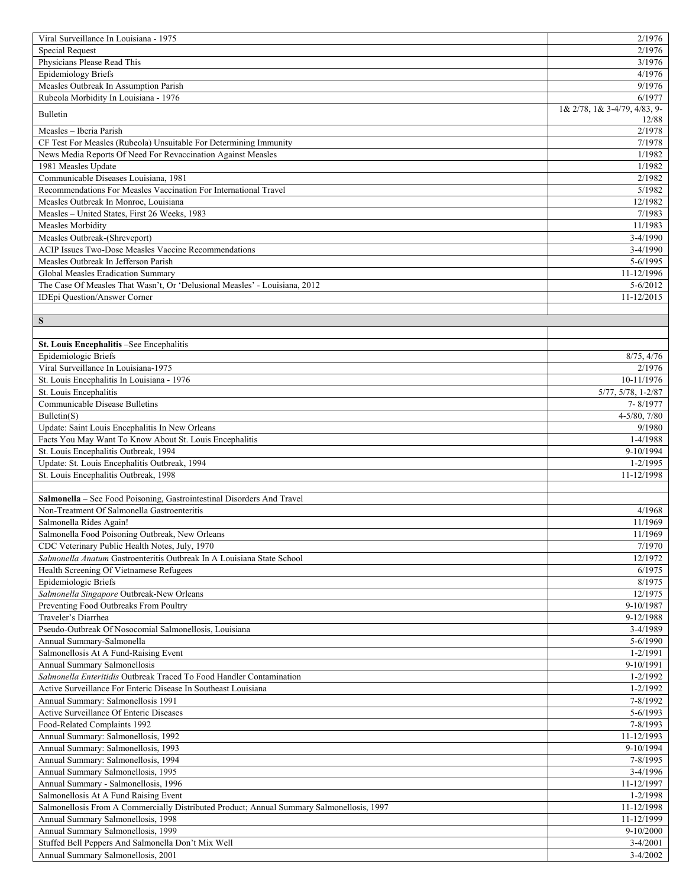| Viral Surveillance In Louisiana - 1975                                                    | 2/1976                       |
|-------------------------------------------------------------------------------------------|------------------------------|
| <b>Special Request</b>                                                                    | 2/1976                       |
| Physicians Please Read This                                                               | 3/1976                       |
| <b>Epidemiology Briefs</b>                                                                | 4/1976                       |
| Measles Outbreak In Assumption Parish                                                     | 9/1976                       |
| Rubeola Morbidity In Louisiana - 1976                                                     | 6/1977                       |
| <b>Bulletin</b>                                                                           | 1& 2/78, 1& 3-4/79, 4/83, 9- |
|                                                                                           | 12/88                        |
| Measles - Iberia Parish                                                                   | 2/1978                       |
| CF Test For Measles (Rubeola) Unsuitable For Determining Immunity                         | 7/1978                       |
| News Media Reports Of Need For Revaccination Against Measles                              | 1/1982                       |
| 1981 Measles Update                                                                       | 1/1982                       |
| Communicable Diseases Louisiana, 1981                                                     | 2/1982                       |
| Recommendations For Measles Vaccination For International Travel                          | 5/1982                       |
| Measles Outbreak In Monroe, Louisiana                                                     | 12/1982                      |
| Measles - United States, First 26 Weeks, 1983                                             | 7/1983                       |
| Measles Morbidity                                                                         | 11/1983                      |
| Measles Outbreak-(Shreveport)                                                             | $3-4/1990$                   |
| ACIP Issues Two-Dose Measles Vaccine Recommendations                                      | $3-4/1990$                   |
| Measles Outbreak In Jefferson Parish                                                      | 5-6/1995                     |
| Global Measles Eradication Summary                                                        | 11-12/1996                   |
| The Case Of Measles That Wasn't, Or 'Delusional Measles' - Louisiana, 2012                | $5 - 6/2012$                 |
| <b>IDEpi Question/Answer Corner</b>                                                       | 11-12/2015                   |
|                                                                                           |                              |
| ${\bf S}$                                                                                 |                              |
|                                                                                           |                              |
| St. Louis Encephalitis -See Encephalitis                                                  |                              |
| Epidemiologic Briefs                                                                      | 8/75, 4/76                   |
| Viral Surveillance In Louisiana-1975                                                      | 2/1976                       |
| St. Louis Encephalitis In Louisiana - 1976                                                | 10-11/1976                   |
| St. Louis Encephalitis                                                                    | 5/77, 5/78, 1-2/87           |
| Communicable Disease Bulletins                                                            | 7-8/1977                     |
| Bulletin(S)                                                                               | $4 - 5/80, 7/80$             |
| Update: Saint Louis Encephalitis In New Orleans                                           | 9/1980                       |
| Facts You May Want To Know About St. Louis Encephalitis                                   | 1-4/1988                     |
| St. Louis Encephalitis Outbreak, 1994                                                     | 9-10/1994                    |
| Update: St. Louis Encephalitis Outbreak, 1994                                             | $1 - 2/1995$                 |
| St. Louis Encephalitis Outbreak, 1998                                                     | 11-12/1998                   |
|                                                                                           |                              |
| Salmonella - See Food Poisoning, Gastrointestinal Disorders And Travel                    |                              |
| Non-Treatment Of Salmonella Gastroenteritis                                               | 4/1968                       |
| Salmonella Rides Again!                                                                   | 11/1969                      |
| Salmonella Food Poisoning Outbreak, New Orleans                                           | 11/1969                      |
| CDC Veterinary Public Health Notes, July, 1970                                            | 7/1970                       |
| Salmonella Anatum Gastroenteritis Outbreak In A Louisiana State School                    | 12/1972                      |
| Health Screening Of Vietnamese Refugees                                                   | 6/1975                       |
| Epidemiologic Briefs                                                                      | 8/1975                       |
| Salmonella Singapore Outbreak-New Orleans                                                 | 12/1975                      |
| Preventing Food Outbreaks From Poultry                                                    | 9-10/1987                    |
| Traveler's Diarrhea                                                                       | 9-12/1988                    |
| Pseudo-Outbreak Of Nosocomial Salmonellosis, Louisiana                                    | $3-4/1989$                   |
| Annual Summary-Salmonella                                                                 | 5-6/1990                     |
| Salmonellosis At A Fund-Raising Event                                                     | 1-2/1991                     |
| Annual Summary Salmonellosis                                                              | 9-10/1991                    |
| Salmonella Enteritidis Outbreak Traced To Food Handler Contamination                      | $1 - 2/1992$                 |
| Active Surveillance For Enteric Disease In Southeast Louisiana                            | $1 - 2/1992$                 |
| Annual Summary: Salmonellosis 1991                                                        | 7-8/1992                     |
| Active Surveillance Of Enteric Diseases                                                   | $5 - 6/1993$                 |
| Food-Related Complaints 1992                                                              | 7-8/1993                     |
| Annual Summary: Salmonellosis, 1992                                                       | 11-12/1993                   |
| Annual Summary: Salmonellosis, 1993                                                       | 9-10/1994                    |
| Annual Summary: Salmonellosis, 1994                                                       | 7-8/1995                     |
| Annual Summary Salmonellosis, 1995                                                        | $3-4/1996$                   |
| Annual Summary - Salmonellosis, 1996                                                      | 11-12/1997                   |
| Salmonellosis At A Fund Raising Event                                                     | $1 - 2/1998$                 |
| Salmonellosis From A Commercially Distributed Product; Annual Summary Salmonellosis, 1997 | 11-12/1998                   |
| Annual Summary Salmonellosis, 1998                                                        | 11-12/1999                   |
| Annual Summary Salmonellosis, 1999                                                        | 9-10/2000                    |
| Stuffed Bell Peppers And Salmonella Don't Mix Well                                        | $3-4/2001$                   |
| Annual Summary Salmonellosis, 2001                                                        | $3-4/2002$                   |
|                                                                                           |                              |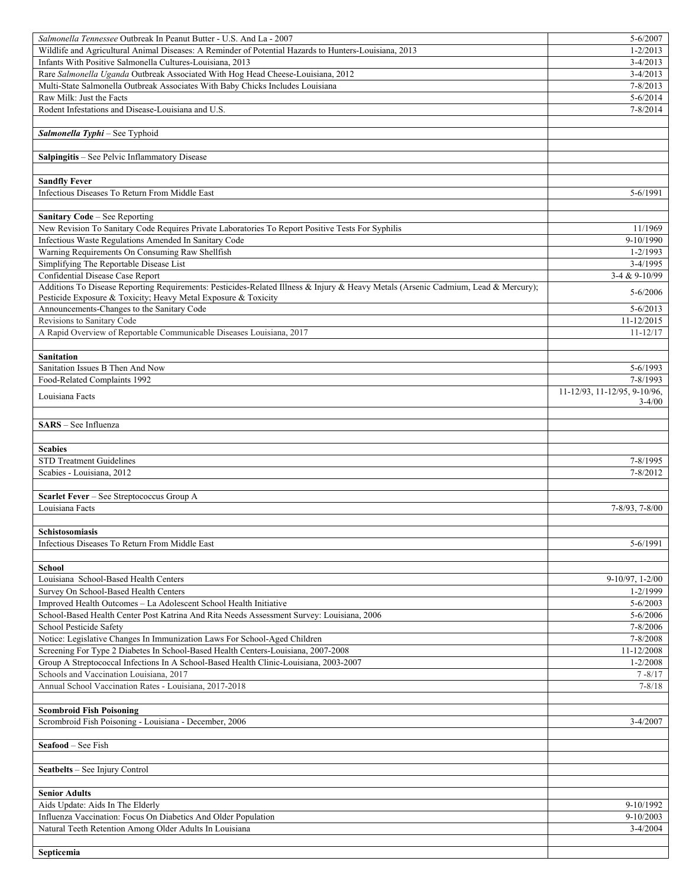| Salmonella Tennessee Outbreak In Peanut Butter - U.S. And La - 2007                                                                | 5-6/2007                     |
|------------------------------------------------------------------------------------------------------------------------------------|------------------------------|
| Wildlife and Agricultural Animal Diseases: A Reminder of Potential Hazards to Hunters-Louisiana, 2013                              | $1 - 2/2013$                 |
| Infants With Positive Salmonella Cultures-Louisiana, 2013                                                                          | $3-4/2013$                   |
| Rare Salmonella Uganda Outbreak Associated With Hog Head Cheese-Louisiana, 2012                                                    | $3-4/2013$                   |
| Multi-State Salmonella Outbreak Associates With Baby Chicks Includes Louisiana                                                     | $7 - 8/2013$                 |
| Raw Milk: Just the Facts                                                                                                           | $5 - 6/2014$                 |
| Rodent Infestations and Disease-Louisiana and U.S.                                                                                 | $7 - 8/2014$                 |
|                                                                                                                                    |                              |
| Salmonella Typhi - See Typhoid                                                                                                     |                              |
|                                                                                                                                    |                              |
| Salpingitis - See Pelvic Inflammatory Disease                                                                                      |                              |
|                                                                                                                                    |                              |
| <b>Sandfly Fever</b>                                                                                                               |                              |
| Infectious Diseases To Return From Middle East                                                                                     | 5-6/1991                     |
|                                                                                                                                    |                              |
| <b>Sanitary Code - See Reporting</b>                                                                                               |                              |
| New Revision To Sanitary Code Requires Private Laboratories To Report Positive Tests For Syphilis                                  | 11/1969                      |
| Infectious Waste Regulations Amended In Sanitary Code                                                                              | 9-10/1990                    |
| Warning Requirements On Consuming Raw Shellfish                                                                                    | $1 - 2/1993$                 |
| Simplifying The Reportable Disease List                                                                                            | $3-4/1995$                   |
| Confidential Disease Case Report                                                                                                   | 3-4 & 9-10/99                |
| Additions To Disease Reporting Requirements: Pesticides-Related Illness & Injury & Heavy Metals (Arsenic Cadmium, Lead & Mercury); |                              |
| Pesticide Exposure & Toxicity; Heavy Metal Exposure & Toxicity                                                                     | $5 - 6/2006$                 |
| Announcements-Changes to the Sanitary Code                                                                                         | $5 - 6/2013$                 |
| Revisions to Sanitary Code                                                                                                         | 11-12/2015                   |
| A Rapid Overview of Reportable Communicable Diseases Louisiana, 2017                                                               | $11 - 12/17$                 |
|                                                                                                                                    |                              |
| <b>Sanitation</b>                                                                                                                  |                              |
| Sanitation Issues B Then And Now                                                                                                   | 5-6/1993                     |
| Food-Related Complaints 1992                                                                                                       | 7-8/1993                     |
|                                                                                                                                    | 11-12/93, 11-12/95, 9-10/96, |
| Louisiana Facts                                                                                                                    | $3 - 4/00$                   |
|                                                                                                                                    |                              |
| SARS - See Influenza                                                                                                               |                              |
|                                                                                                                                    |                              |
| <b>Scabies</b>                                                                                                                     |                              |
|                                                                                                                                    |                              |
|                                                                                                                                    |                              |
| <b>STD Treatment Guidelines</b>                                                                                                    | 7-8/1995                     |
| Scabies - Louisiana, 2012                                                                                                          | $7 - 8/2012$                 |
|                                                                                                                                    |                              |
| Scarlet Fever - See Streptococcus Group A                                                                                          |                              |
| Louisiana Facts                                                                                                                    | 7-8/93, 7-8/00               |
|                                                                                                                                    |                              |
| Schistosomiasis                                                                                                                    |                              |
| Infectious Diseases To Return From Middle East                                                                                     | 5-6/1991                     |
|                                                                                                                                    |                              |
| <b>School</b>                                                                                                                      |                              |
| Louisiana School-Based Health Centers                                                                                              | $9-10/97, 1-2/00$            |
| Survey On School-Based Health Centers                                                                                              | 1-2/1999                     |
| Improved Health Outcomes - La Adolescent School Health Initiative                                                                  | $5 - 6/2003$                 |
| School-Based Health Center Post Katrina And Rita Needs Assessment Survey: Louisiana, 2006                                          | $5 - 6/2006$                 |
| School Pesticide Safety                                                                                                            | 7-8/2006                     |
| Notice: Legislative Changes In Immunization Laws For School-Aged Children                                                          | 7-8/2008                     |
| Screening For Type 2 Diabetes In School-Based Health Centers-Louisiana, 2007-2008                                                  | 11-12/2008                   |
| Group A Streptococcal Infections In A School-Based Health Clinic-Louisiana, 2003-2007                                              | $1 - 2/2008$                 |
| Schools and Vaccination Louisiana, 2017                                                                                            | $7 - 8/17$                   |
| Annual School Vaccination Rates - Louisiana, 2017-2018                                                                             | $7 - 8/18$                   |
|                                                                                                                                    |                              |
| <b>Scombroid Fish Poisoning</b>                                                                                                    |                              |
| Scrombroid Fish Poisoning - Louisiana - December, 2006                                                                             | $3-4/2007$                   |
|                                                                                                                                    |                              |
| <b>Seafood</b> – See Fish                                                                                                          |                              |
|                                                                                                                                    |                              |
| Seatbelts - See Injury Control                                                                                                     |                              |
|                                                                                                                                    |                              |
| <b>Senior Adults</b>                                                                                                               |                              |
| Aids Update: Aids In The Elderly                                                                                                   | 9-10/1992                    |
| Influenza Vaccination: Focus On Diabetics And Older Population                                                                     | $9-10/2003$                  |
| Natural Teeth Retention Among Older Adults In Louisiana                                                                            | $3-4/2004$                   |
| Septicemia                                                                                                                         |                              |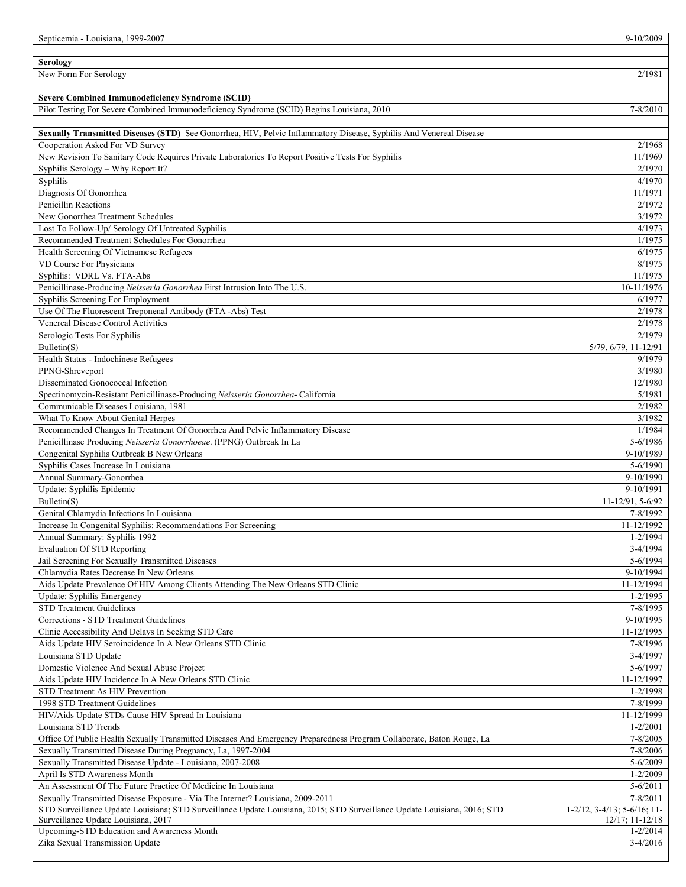| Septicemia - Louisiana, 1999-2007                                                                                                                                                                          | 9-10/2009                                                  |
|------------------------------------------------------------------------------------------------------------------------------------------------------------------------------------------------------------|------------------------------------------------------------|
|                                                                                                                                                                                                            |                                                            |
| <b>Serology</b>                                                                                                                                                                                            |                                                            |
| New Form For Serology                                                                                                                                                                                      | 2/1981                                                     |
| <b>Severe Combined Immunodeficiency Syndrome (SCID)</b>                                                                                                                                                    |                                                            |
| Pilot Testing For Severe Combined Immunodeficiency Syndrome (SCID) Begins Louisiana, 2010                                                                                                                  | $7 - 8/2010$                                               |
|                                                                                                                                                                                                            |                                                            |
| Sexually Transmitted Diseases (STD)-See Gonorrhea, HIV, Pelvic Inflammatory Disease, Syphilis And Venereal Disease                                                                                         |                                                            |
| Cooperation Asked For VD Survey                                                                                                                                                                            | 2/1968                                                     |
| New Revision To Sanitary Code Requires Private Laboratories To Report Positive Tests For Syphilis                                                                                                          | 11/1969                                                    |
| Syphilis Serology - Why Report It?                                                                                                                                                                         | 2/1970                                                     |
| Syphilis                                                                                                                                                                                                   | 4/1970                                                     |
| Diagnosis Of Gonorrhea                                                                                                                                                                                     | 11/1971                                                    |
| Penicillin Reactions                                                                                                                                                                                       | 2/1972                                                     |
| New Gonorrhea Treatment Schedules                                                                                                                                                                          | 3/1972                                                     |
| Lost To Follow-Up/ Serology Of Untreated Syphilis<br>Recommended Treatment Schedules For Gonorrhea                                                                                                         | 4/1973<br>1/1975                                           |
| Health Screening Of Vietnamese Refugees                                                                                                                                                                    | 6/1975                                                     |
| VD Course For Physicians                                                                                                                                                                                   | 8/1975                                                     |
| Syphilis: VDRL Vs. FTA-Abs                                                                                                                                                                                 | 11/1975                                                    |
| Penicillinase-Producing Neisseria Gonorrhea First Intrusion Into The U.S.                                                                                                                                  | 10-11/1976                                                 |
| Syphilis Screening For Employment                                                                                                                                                                          | 6/1977                                                     |
| Use Of The Fluorescent Treponenal Antibody (FTA -Abs) Test                                                                                                                                                 | 2/1978                                                     |
| Venereal Disease Control Activities                                                                                                                                                                        | 2/1978                                                     |
| Serologic Tests For Syphilis                                                                                                                                                                               | 2/1979                                                     |
| Bulletin(S)                                                                                                                                                                                                | 5/79, 6/79, 11-12/91                                       |
| Health Status - Indochinese Refugees                                                                                                                                                                       | 9/1979                                                     |
| PPNG-Shreveport<br>Disseminated Gonococcal Infection                                                                                                                                                       | 3/1980<br>12/1980                                          |
| Spectinomycin-Resistant Penicillinase-Producing Neisseria Gonorrhea-California                                                                                                                             | 5/1981                                                     |
| Communicable Diseases Louisiana, 1981                                                                                                                                                                      | 2/1982                                                     |
| What To Know About Genital Herpes                                                                                                                                                                          | 3/1982                                                     |
| Recommended Changes In Treatment Of Gonorrhea And Pelvic Inflammatory Disease                                                                                                                              | 1/1984                                                     |
| Penicillinase Producing Neisseria Gonorrhoeae. (PPNG) Outbreak In La                                                                                                                                       | 5-6/1986                                                   |
| Congenital Syphilis Outbreak B New Orleans                                                                                                                                                                 | 9-10/1989                                                  |
| Syphilis Cases Increase In Louisiana                                                                                                                                                                       | $5 - 6/1990$                                               |
| Annual Summary-Gonorrhea                                                                                                                                                                                   | 9-10/1990                                                  |
| Update: Syphilis Epidemic                                                                                                                                                                                  | 9-10/1991                                                  |
| Bulletin(S)                                                                                                                                                                                                | 11-12/91, 5-6/92                                           |
| Genital Chlamydia Infections In Louisiana<br>Increase In Congenital Syphilis: Recommendations For Screening                                                                                                | 7-8/1992<br>11-12/1992                                     |
| Annual Summary: Syphilis 1992                                                                                                                                                                              | 1-2/1994                                                   |
| <b>Evaluation Of STD Reporting</b>                                                                                                                                                                         | 3-4/1994                                                   |
| Jail Screening For Sexually Transmitted Diseases                                                                                                                                                           | 5-6/1994                                                   |
| Chlamydia Rates Decrease In New Orleans                                                                                                                                                                    | 9-10/1994                                                  |
| Aids Update Prevalence Of HIV Among Clients Attending The New Orleans STD Clinic                                                                                                                           | 11-12/1994                                                 |
| Update: Syphilis Emergency                                                                                                                                                                                 | $1 - 2/1995$                                               |
| <b>STD Treatment Guidelines</b>                                                                                                                                                                            | 7-8/1995                                                   |
| Corrections - STD Treatment Guidelines                                                                                                                                                                     | 9-10/1995                                                  |
| Clinic Accessibility And Delays In Seeking STD Care                                                                                                                                                        | 11-12/1995                                                 |
| Aids Update HIV Seroincidence In A New Orleans STD Clinic                                                                                                                                                  | 7-8/1996                                                   |
| Louisiana STD Update<br>Domestic Violence And Sexual Abuse Project                                                                                                                                         | 3-4/1997<br>5-6/1997                                       |
| Aids Update HIV Incidence In A New Orleans STD Clinic                                                                                                                                                      | 11-12/1997                                                 |
| STD Treatment As HIV Prevention                                                                                                                                                                            | 1-2/1998                                                   |
| 1998 STD Treatment Guidelines                                                                                                                                                                              | 7-8/1999                                                   |
| HIV/Aids Update STDs Cause HIV Spread In Louisiana                                                                                                                                                         | 11-12/1999                                                 |
| Louisiana STD Trends                                                                                                                                                                                       | $1 - 2/2001$                                               |
| Office Of Public Health Sexually Transmitted Diseases And Emergency Preparedness Program Collaborate, Baton Rouge, La                                                                                      | 7-8/2005                                                   |
| Sexually Transmitted Disease During Pregnancy, La, 1997-2004                                                                                                                                               | 7-8/2006                                                   |
| Sexually Transmitted Disease Update - Louisiana, 2007-2008                                                                                                                                                 | 5-6/2009                                                   |
| April Is STD Awareness Month                                                                                                                                                                               | $1 - 2/2009$                                               |
| An Assessment Of The Future Practice Of Medicine In Louisiana                                                                                                                                              | $5 - 6/2011$                                               |
| Sexually Transmitted Disease Exposure - Via The Internet? Louisiana, 2009-2011<br>STD Surveillance Update Louisiana; STD Surveillance Update Louisiana, 2015; STD Surveillance Update Louisiana, 2016; STD | 7-8/2011                                                   |
| Surveillance Update Louisiana, 2017                                                                                                                                                                        | $1-2/12$ , $3-4/13$ ; $5-6/16$ ; 11-<br>$12/17$ ; 11-12/18 |
| Upcoming-STD Education and Awareness Month                                                                                                                                                                 | $1 - 2/2014$                                               |
| Zika Sexual Transmission Update                                                                                                                                                                            | $3-4/2016$                                                 |
|                                                                                                                                                                                                            |                                                            |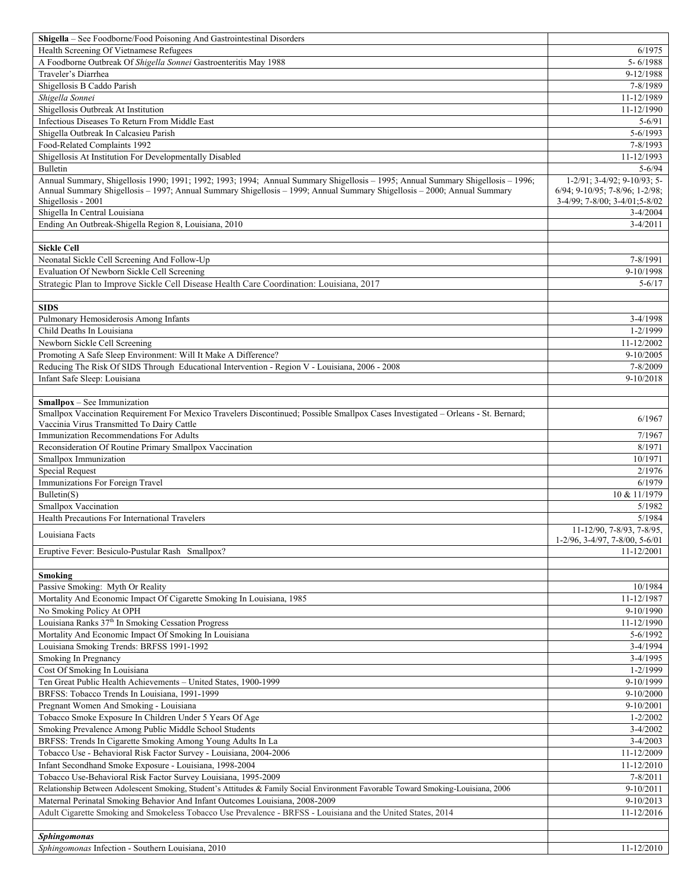| <b>Shigella</b> – See Foodborne/Food Poisoning And Gastrointestinal Disorders                                                     |                                      |
|-----------------------------------------------------------------------------------------------------------------------------------|--------------------------------------|
| Health Screening Of Vietnamese Refugees                                                                                           | 6/1975                               |
| A Foodborne Outbreak Of Shigella Sonnei Gastroenteritis May 1988                                                                  | $5 - 6/1988$                         |
| Traveler's Diarrhea                                                                                                               | 9-12/1988                            |
| Shigellosis B Caddo Parish                                                                                                        | 7-8/1989                             |
| Shigella Sonnei                                                                                                                   | 11-12/1989                           |
| Shigellosis Outbreak At Institution                                                                                               | 11-12/1990                           |
| Infectious Diseases To Return From Middle East                                                                                    | $5 - 6/91$                           |
| Shigella Outbreak In Calcasieu Parish                                                                                             | $5 - 6/1993$                         |
| Food-Related Complaints 1992                                                                                                      | 7-8/1993                             |
| Shigellosis At Institution For Developmentally Disabled                                                                           | 11-12/1993                           |
| Bulletin                                                                                                                          | $5 - 6/94$                           |
| Annual Summary, Shigellosis 1990; 1991; 1992; 1993; 1994; Annual Summary Shigellosis - 1995; Annual Summary Shigellosis - 1996;   | $1-2/91$ ; $3-4/92$ ; $9-10/93$ ; 5- |
| Annual Summary Shigellosis - 1997; Annual Summary Shigellosis - 1999; Annual Summary Shigellosis - 2000; Annual Summary           | 6/94; 9-10/95; 7-8/96; 1-2/98;       |
| Shigellosis - 2001                                                                                                                | 3-4/99; 7-8/00; 3-4/01;5-8/02        |
| Shigella In Central Louisiana                                                                                                     | $3-4/2004$                           |
| Ending An Outbreak-Shigella Region 8, Louisiana, 2010                                                                             | $3-4/2011$                           |
|                                                                                                                                   |                                      |
| <b>Sickle Cell</b>                                                                                                                |                                      |
| Neonatal Sickle Cell Screening And Follow-Up                                                                                      | 7-8/1991                             |
| Evaluation Of Newborn Sickle Cell Screening                                                                                       | 9-10/1998                            |
| Strategic Plan to Improve Sickle Cell Disease Health Care Coordination: Louisiana, 2017                                           | $5 - 6/17$                           |
|                                                                                                                                   |                                      |
|                                                                                                                                   |                                      |
| <b>SIDS</b>                                                                                                                       |                                      |
| Pulmonary Hemosiderosis Among Infants                                                                                             | 3-4/1998                             |
| Child Deaths In Louisiana                                                                                                         | 1-2/1999                             |
| Newborn Sickle Cell Screening                                                                                                     | 11-12/2002                           |
| Promoting A Safe Sleep Environment: Will It Make A Difference?                                                                    | $9-10/2005$                          |
| Reducing The Risk Of SIDS Through Educational Intervention - Region V - Louisiana, 2006 - 2008                                    | 7-8/2009                             |
| Infant Safe Sleep: Louisiana                                                                                                      | 9-10/2018                            |
|                                                                                                                                   |                                      |
| <b>Smallpox</b> – See Immunization                                                                                                |                                      |
| Smallpox Vaccination Requirement For Mexico Travelers Discontinued; Possible Smallpox Cases Investigated - Orleans - St. Bernard; | 6/1967                               |
| Vaccinia Virus Transmitted To Dairy Cattle                                                                                        |                                      |
| Immunization Recommendations For Adults                                                                                           | 7/1967                               |
| Reconsideration Of Routine Primary Smallpox Vaccination                                                                           | 8/1971                               |
| Smallpox Immunization                                                                                                             | 10/1971                              |
| <b>Special Request</b>                                                                                                            | 2/1976                               |
| Immunizations For Foreign Travel                                                                                                  | 6/1979                               |
| Bulletin(S)                                                                                                                       | 10 & 11/1979                         |
| Smallpox Vaccination                                                                                                              | 5/1982                               |
| Health Precautions For International Travelers                                                                                    | 5/1984                               |
|                                                                                                                                   | 11-12/90, 7-8/93, 7-8/95,            |
| Louisiana Facts                                                                                                                   | 1-2/96, 3-4/97, 7-8/00, 5-6/01       |
| Eruptive Fever: Besiculo-Pustular Rash Smallpox?                                                                                  | 11-12/2001                           |
|                                                                                                                                   |                                      |
| <b>Smoking</b>                                                                                                                    |                                      |
| Passive Smoking: Myth Or Reality                                                                                                  | 10/1984                              |
| Mortality And Economic Impact Of Cigarette Smoking In Louisiana, 1985                                                             | 11-12/1987                           |
| No Smoking Policy At OPH                                                                                                          | 9-10/1990                            |
| Louisiana Ranks 37th In Smoking Cessation Progress                                                                                | 11-12/1990                           |
| Mortality And Economic Impact Of Smoking In Louisiana                                                                             | 5-6/1992                             |
| Louisiana Smoking Trends: BRFSS 1991-1992                                                                                         | 3-4/1994                             |
| Smoking In Pregnancy                                                                                                              | 3-4/1995                             |
| Cost Of Smoking In Louisiana                                                                                                      | 1-2/1999                             |
| Ten Great Public Health Achievements - United States, 1900-1999                                                                   | 9-10/1999                            |
| BRFSS: Tobacco Trends In Louisiana, 1991-1999                                                                                     | 9-10/2000                            |
|                                                                                                                                   | 9-10/2001                            |
| Pregnant Women And Smoking - Louisiana<br>Tobacco Smoke Exposure In Children Under 5 Years Of Age                                 | $1 - 2/2002$                         |
|                                                                                                                                   | $3-4/2002$                           |
| Smoking Prevalence Among Public Middle School Students                                                                            |                                      |
| BRFSS: Trends In Cigarette Smoking Among Young Adults In La                                                                       | $3 - 4/2003$                         |
| Tobacco Use - Behavioral Risk Factor Survey - Louisiana, 2004-2006                                                                | 11-12/2009                           |
| Infant Secondhand Smoke Exposure - Louisiana, 1998-2004                                                                           | 11-12/2010                           |
| Tobacco Use-Behavioral Risk Factor Survey Louisiana, 1995-2009                                                                    | 7-8/2011                             |
| Relationship Between Adolescent Smoking, Student's Attitudes & Family Social Environment Favorable Toward Smoking-Louisiana, 2006 | $9-10/2011$                          |
| Maternal Perinatal Smoking Behavior And Infant Outcomes Louisiana, 2008-2009                                                      | 9-10/2013                            |
| Adult Cigarette Smoking and Smokeless Tobacco Use Prevalence - BRFSS - Louisiana and the United States, 2014                      | 11-12/2016                           |
|                                                                                                                                   |                                      |
|                                                                                                                                   |                                      |
| <b>Sphingomonas</b><br>Sphingomonas Infection - Southern Louisiana, 2010                                                          | 11-12/2010                           |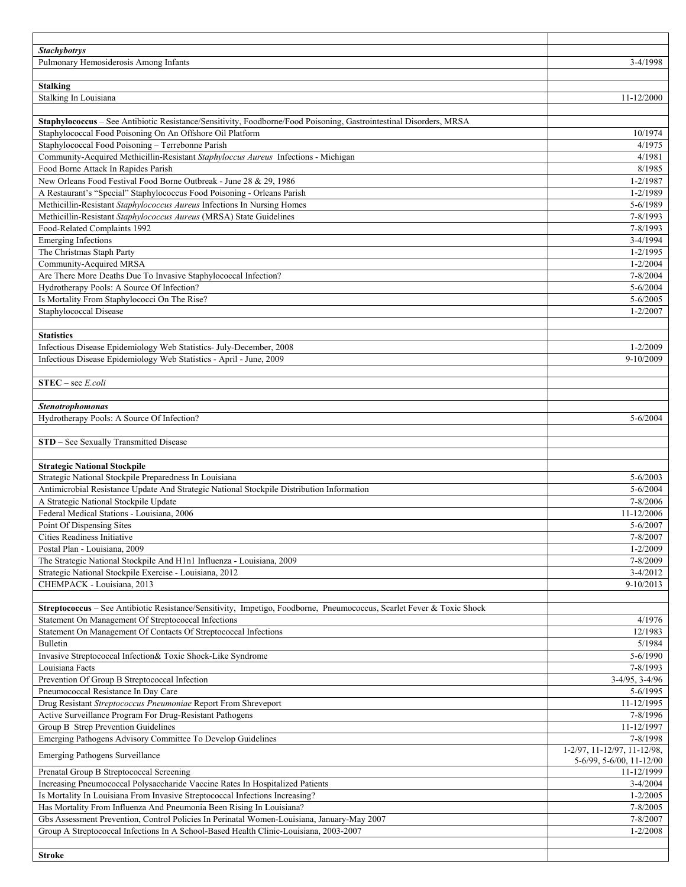| <b>Stachybotrys</b>                                                                                                                                                          |                                         |
|------------------------------------------------------------------------------------------------------------------------------------------------------------------------------|-----------------------------------------|
| Pulmonary Hemosiderosis Among Infants                                                                                                                                        | 3-4/1998                                |
|                                                                                                                                                                              |                                         |
| <b>Stalking</b><br>Stalking In Louisiana                                                                                                                                     | 11-12/2000                              |
|                                                                                                                                                                              |                                         |
| Staphylococcus - See Antibiotic Resistance/Sensitivity, Foodborne/Food Poisoning, Gastrointestinal Disorders, MRSA                                                           |                                         |
| Staphylococcal Food Poisoning On An Offshore Oil Platform                                                                                                                    | 10/1974                                 |
| Staphylococcal Food Poisoning - Terrebonne Parish                                                                                                                            | 4/1975                                  |
| Community-Acquired Methicillin-Resistant Staphyloccus Aureus Infections - Michigan                                                                                           | 4/1981                                  |
| Food Borne Attack In Rapides Parish                                                                                                                                          | 8/1985                                  |
| New Orleans Food Festival Food Borne Outbreak - June 28 & 29, 1986                                                                                                           | $1 - 2/1987$                            |
| A Restaurant's "Special" Staphylococcus Food Poisoning - Orleans Parish                                                                                                      | $1 - 2/1989$                            |
| Methicillin-Resistant Staphylococcus Aureus Infections In Nursing Homes                                                                                                      | 5-6/1989                                |
| Methicillin-Resistant Staphylococcus Aureus (MRSA) State Guidelines<br>Food-Related Complaints 1992                                                                          | 7-8/1993<br>7-8/1993                    |
| <b>Emerging Infections</b>                                                                                                                                                   | 3-4/1994                                |
| The Christmas Staph Party                                                                                                                                                    | $1 - 2/1995$                            |
| Community-Acquired MRSA                                                                                                                                                      | $1 - 2/2004$                            |
| Are There More Deaths Due To Invasive Staphylococcal Infection?                                                                                                              | 7-8/2004                                |
| Hydrotherapy Pools: A Source Of Infection?                                                                                                                                   | $5 - 6/2004$                            |
| Is Mortality From Staphylococci On The Rise?                                                                                                                                 | $5 - 6/2005$                            |
| Staphylococcal Disease                                                                                                                                                       | $1 - 2/2007$                            |
|                                                                                                                                                                              |                                         |
| <b>Statistics</b>                                                                                                                                                            |                                         |
| Infectious Disease Epidemiology Web Statistics- July-December, 2008                                                                                                          | $1 - 2/2009$                            |
| Infectious Disease Epidemiology Web Statistics - April - June, 2009                                                                                                          | 9-10/2009                               |
| $STEC - see E. coli$                                                                                                                                                         |                                         |
|                                                                                                                                                                              |                                         |
| <b>Stenotrophomonas</b>                                                                                                                                                      |                                         |
| Hydrotherapy Pools: A Source Of Infection?                                                                                                                                   | $5 - 6/2004$                            |
|                                                                                                                                                                              |                                         |
| STD - See Sexually Transmitted Disease                                                                                                                                       |                                         |
|                                                                                                                                                                              |                                         |
| <b>Strategic National Stockpile</b>                                                                                                                                          |                                         |
| Strategic National Stockpile Preparedness In Louisiana<br>Antimicrobial Resistance Update And Strategic National Stockpile Distribution Information                          | $5 - 6/2003$<br>$5 - 6/2004$            |
| A Strategic National Stockpile Update                                                                                                                                        | 7-8/2006                                |
| Federal Medical Stations - Louisiana, 2006                                                                                                                                   | 11-12/2006                              |
| Point Of Dispensing Sites                                                                                                                                                    | 5-6/2007                                |
| Cities Readiness Initiative                                                                                                                                                  | $7 - 8/2007$                            |
| Postal Plan - Louisiana, 2009                                                                                                                                                | $1 - 2/2009$                            |
| The Strategic National Stockpile And H1n1 Influenza - Louisiana, 2009                                                                                                        | 7-8/2009                                |
| Strategic National Stockpile Exercise - Louisiana, 2012                                                                                                                      | $3-4/2012$                              |
| CHEMPACK - Louisiana, 2013                                                                                                                                                   | 9-10/2013                               |
|                                                                                                                                                                              |                                         |
| Streptococcus – See Antibiotic Resistance/Sensitivity, Impetigo, Foodborne, Pneumococcus, Scarlet Fever & Toxic Shock<br>Statement On Management Of Streptococcal Infections | 4/1976                                  |
| Statement On Management Of Contacts Of Streptococcal Infections                                                                                                              | 12/1983                                 |
| Bulletin                                                                                                                                                                     | 5/1984                                  |
| Invasive Streptococcal Infection& Toxic Shock-Like Syndrome                                                                                                                  | 5-6/1990                                |
| Louisiana Facts                                                                                                                                                              | 7-8/1993                                |
| Prevention Of Group B Streptococcal Infection                                                                                                                                | $3-4/95, 3-4/96$                        |
| Pneumococcal Resistance In Day Care                                                                                                                                          | 5-6/1995                                |
| Drug Resistant Streptococcus Pneumoniae Report From Shreveport                                                                                                               | 11-12/1995                              |
| Active Surveillance Program For Drug-Resistant Pathogens                                                                                                                     | 7-8/1996                                |
| Group B Strep Prevention Guidelines                                                                                                                                          | 11-12/1997                              |
| Emerging Pathogens Advisory Committee To Develop Guidelines                                                                                                                  | 7-8/1998<br>1-2/97, 11-12/97, 11-12/98, |
| <b>Emerging Pathogens Surveillance</b>                                                                                                                                       | 5-6/99, 5-6/00, 11-12/00                |
| Prenatal Group B Streptococcal Screening                                                                                                                                     | 11-12/1999                              |
| Increasing Pneumococcal Polysaccharide Vaccine Rates In Hospitalized Patients                                                                                                | $3-4/2004$                              |
| Is Mortality In Louisiana From Invasive Streptococcal Infections Increasing?                                                                                                 | $1 - 2/2005$                            |
| Has Mortality From Influenza And Pneumonia Been Rising In Louisiana?                                                                                                         | 7-8/2005                                |
| Gbs Assessment Prevention, Control Policies In Perinatal Women-Louisiana, January-May 2007                                                                                   | 7-8/2007                                |
| Group A Streptococcal Infections In A School-Based Health Clinic-Louisiana, 2003-2007                                                                                        | $1 - 2/2008$                            |
|                                                                                                                                                                              |                                         |
| <b>Stroke</b>                                                                                                                                                                |                                         |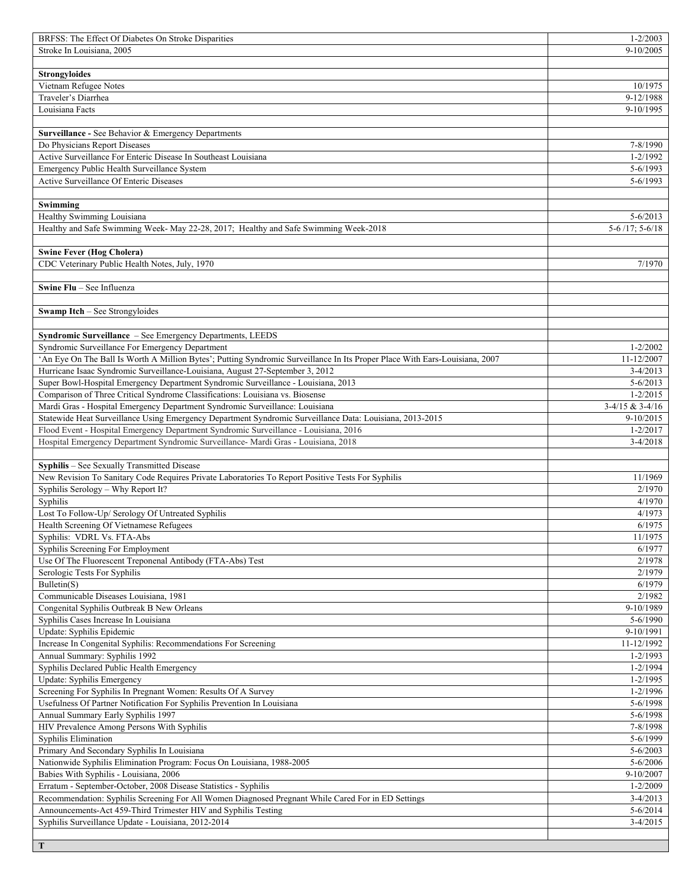| BRFSS: The Effect Of Diabetes On Stroke Disparities                                                                         | $1 - 2/2003$        |
|-----------------------------------------------------------------------------------------------------------------------------|---------------------|
| Stroke In Louisiana, 2005                                                                                                   | $9-10/2005$         |
|                                                                                                                             |                     |
| <b>Strongyloides</b>                                                                                                        |                     |
| Vietnam Refugee Notes                                                                                                       | 10/1975             |
| Traveler's Diarrhea                                                                                                         | 9-12/1988           |
| Louisiana Facts                                                                                                             | 9-10/1995           |
|                                                                                                                             |                     |
| Surveillance - See Behavior & Emergency Departments                                                                         |                     |
| Do Physicians Report Diseases                                                                                               | 7-8/1990            |
| Active Surveillance For Enteric Disease In Southeast Louisiana                                                              | $1 - 2/1992$        |
| Emergency Public Health Surveillance System                                                                                 | $5 - 6/1993$        |
| Active Surveillance Of Enteric Diseases                                                                                     | $5 - 6/1993$        |
|                                                                                                                             |                     |
| Swimming                                                                                                                    |                     |
| Healthy Swimming Louisiana                                                                                                  | $5 - 6/2013$        |
| Healthy and Safe Swimming Week- May 22-28, 2017; Healthy and Safe Swimming Week-2018                                        | $5-6/17$ ; $5-6/18$ |
|                                                                                                                             |                     |
| <b>Swine Fever (Hog Cholera)</b>                                                                                            |                     |
| CDC Veterinary Public Health Notes, July, 1970                                                                              | 7/1970              |
|                                                                                                                             |                     |
| Swine Flu - See Influenza                                                                                                   |                     |
|                                                                                                                             |                     |
| <b>Swamp Itch</b> – See Strongyloides                                                                                       |                     |
|                                                                                                                             |                     |
| Syndromic Surveillance - See Emergency Departments, LEEDS                                                                   |                     |
| Syndromic Surveillance For Emergency Department                                                                             | $1 - 2/2002$        |
| 'An Eye On The Ball Is Worth A Million Bytes'; Putting Syndromic Surveillance In Its Proper Place With Ears-Louisiana, 2007 | 11-12/2007          |
| Hurricane Isaac Syndromic Surveillance-Louisiana, August 27-September 3, 2012                                               | $3-4/2013$          |
| Super Bowl-Hospital Emergency Department Syndromic Surveillance - Louisiana, 2013                                           | $5 - 6/2013$        |
| Comparison of Three Critical Syndrome Classifications: Louisiana vs. Biosense                                               | $1 - 2/2015$        |
| Mardi Gras - Hospital Emergency Department Syndromic Surveillance: Louisiana                                                | $3-4/15 & 3-4/16$   |
| Statewide Heat Surveillance Using Emergency Department Syndromic Surveillance Data: Louisiana, 2013-2015                    | $9-10/2015$         |
|                                                                                                                             |                     |
| Flood Event - Hospital Emergency Department Syndromic Surveillance - Louisiana, 2016                                        | $1 - 2/2017$        |
| Hospital Emergency Department Syndromic Surveillance- Mardi Gras - Louisiana, 2018                                          | $3-4/2018$          |
|                                                                                                                             |                     |
| Syphilis - See Sexually Transmitted Disease                                                                                 |                     |
| New Revision To Sanitary Code Requires Private Laboratories To Report Positive Tests For Syphilis                           | 11/1969             |
| Syphilis Serology - Why Report It?                                                                                          | 2/1970              |
| Syphilis                                                                                                                    | 4/1970              |
| Lost To Follow-Up/ Serology Of Untreated Syphilis                                                                           | 4/1973              |
| Health Screening Of Vietnamese Refugees                                                                                     | 6/1975              |
|                                                                                                                             | 11/1975             |
| Syphilis: VDRL Vs. FTA-Abs                                                                                                  |                     |
| Syphilis Screening For Employment                                                                                           | 6/1977              |
| Use Of The Fluorescent Treponenal Antibody (FTA-Abs) Test                                                                   | 2/1978              |
| Serologic Tests For Syphilis                                                                                                | 2/1979              |
| Bulletin(S)                                                                                                                 | 6/1979              |
| Communicable Diseases Louisiana, 1981                                                                                       | 2/1982              |
| Congenital Syphilis Outbreak B New Orleans                                                                                  | 9-10/1989           |
| Syphilis Cases Increase In Louisiana                                                                                        | 5-6/1990            |
| Update: Syphilis Epidemic                                                                                                   | 9-10/1991           |
| Increase In Congenital Syphilis: Recommendations For Screening                                                              | 11-12/1992          |
| Annual Summary: Syphilis 1992                                                                                               | $1 - 2/1993$        |
| Syphilis Declared Public Health Emergency                                                                                   | $1 - 2/1994$        |
| Update: Syphilis Emergency                                                                                                  | $1 - 2/1995$        |
| Screening For Syphilis In Pregnant Women: Results Of A Survey                                                               | $1 - 2/1996$        |
| Usefulness Of Partner Notification For Syphilis Prevention In Louisiana                                                     | 5-6/1998            |
| Annual Summary Early Syphilis 1997                                                                                          | $5 - 6/1998$        |
| HIV Prevalence Among Persons With Syphilis                                                                                  | 7-8/1998            |
| Syphilis Elimination                                                                                                        | 5-6/1999            |
| Primary And Secondary Syphilis In Louisiana                                                                                 | $5 - 6/2003$        |
| Nationwide Syphilis Elimination Program: Focus On Louisiana, 1988-2005                                                      | $5 - 6/2006$        |
| Babies With Syphilis - Louisiana, 2006                                                                                      | 9-10/2007           |
| Erratum - September-October, 2008 Disease Statistics - Syphilis                                                             | $1 - 2/2009$        |
| Recommendation: Syphilis Screening For All Women Diagnosed Pregnant While Cared For in ED Settings                          | $3-4/2013$          |
| Announcements-Act 459-Third Trimester HIV and Syphilis Testing                                                              | $5 - 6/2014$        |
| Syphilis Surveillance Update - Louisiana, 2012-2014                                                                         | $3-4/2015$          |
|                                                                                                                             |                     |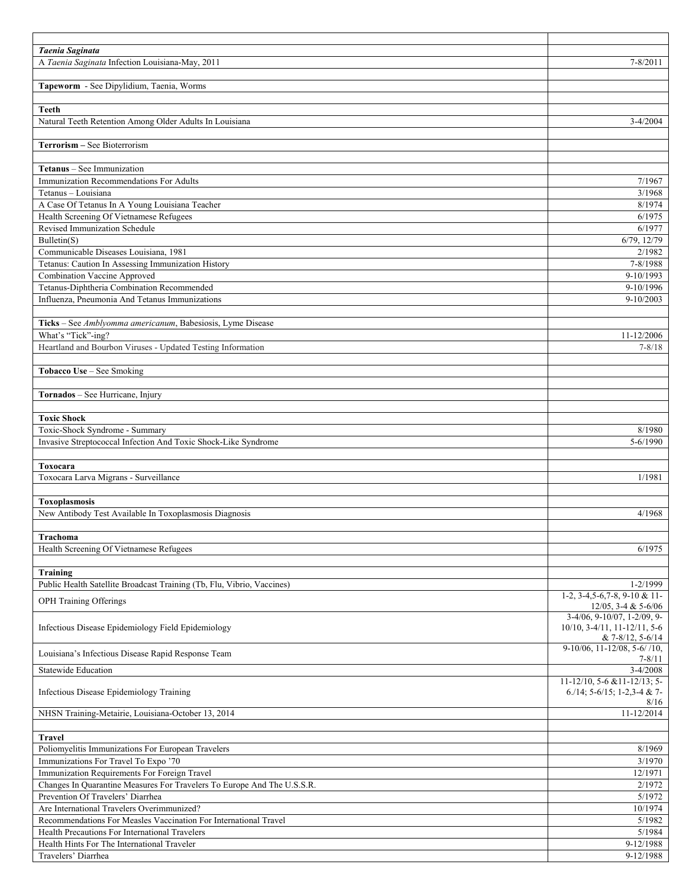| Taenia Saginata                                                          |                                                               |
|--------------------------------------------------------------------------|---------------------------------------------------------------|
| A Taenia Saginata Infection Louisiana-May, 2011                          | 7-8/2011                                                      |
|                                                                          |                                                               |
| Tapeworm - See Dipylidium, Taenia, Worms                                 |                                                               |
| <b>Teeth</b>                                                             |                                                               |
| Natural Teeth Retention Among Older Adults In Louisiana                  | $3-4/2004$                                                    |
|                                                                          |                                                               |
| Terrorism - See Bioterrorism                                             |                                                               |
|                                                                          |                                                               |
| Tetanus - See Immunization                                               |                                                               |
| Immunization Recommendations For Adults                                  | 7/1967                                                        |
| Tetanus - Louisiana                                                      | 3/1968                                                        |
| A Case Of Tetanus In A Young Louisiana Teacher                           | 8/1974                                                        |
| Health Screening Of Vietnamese Refugees<br>Revised Immunization Schedule | 6/1975<br>6/1977                                              |
| Bulletin(S)                                                              | 6/79, 12/79                                                   |
| Communicable Diseases Louisiana, 1981                                    | 2/1982                                                        |
| Tetanus: Caution In Assessing Immunization History                       | 7-8/1988                                                      |
| <b>Combination Vaccine Approved</b>                                      | 9-10/1993                                                     |
| Tetanus-Diphtheria Combination Recommended                               | 9-10/1996                                                     |
| Influenza, Pneumonia And Tetanus Immunizations                           | $9-10/2003$                                                   |
|                                                                          |                                                               |
| Ticks - See Amblyomma americanum, Babesiosis, Lyme Disease               |                                                               |
| What's "Tick"-ing?                                                       | 11-12/2006                                                    |
| Heartland and Bourbon Viruses - Updated Testing Information              | $7 - 8/18$                                                    |
|                                                                          |                                                               |
| Tobacco Use - See Smoking                                                |                                                               |
|                                                                          |                                                               |
| Tornados - See Hurricane, Injury                                         |                                                               |
| <b>Toxic Shock</b>                                                       |                                                               |
| Toxic-Shock Syndrome - Summary                                           | 8/1980                                                        |
| Invasive Streptococcal Infection And Toxic Shock-Like Syndrome           | 5-6/1990                                                      |
|                                                                          |                                                               |
| Toxocara                                                                 |                                                               |
| Toxocara Larva Migrans - Surveillance                                    | 1/1981                                                        |
|                                                                          |                                                               |
| <b>Toxoplasmosis</b>                                                     |                                                               |
| New Antibody Test Available In Toxoplasmosis Diagnosis                   | 4/1968                                                        |
|                                                                          |                                                               |
| Trachoma                                                                 |                                                               |
| Health Screening Of Vietnamese Refugees                                  | 6/1975                                                        |
| Training                                                                 |                                                               |
| Public Health Satellite Broadcast Training (Tb, Flu, Vibrio, Vaccines)   | 1-2/1999                                                      |
|                                                                          | $1-2$ , $3-4$ , $5-6$ , $7-8$ , $9-10$ & $11-$                |
| OPH Training Offerings                                                   | $12/05$ , 3-4 & 5-6/06                                        |
|                                                                          | 3-4/06, 9-10/07, 1-2/09, 9-                                   |
| Infectious Disease Epidemiology Field Epidemiology                       | $10/10$ , 3-4/11, 11-12/11, 5-6                               |
|                                                                          | $& 7 - 8/12, 5 - 6/14$<br>$9-10/06$ , $11-12/08$ , $5-6/10$ , |
| Louisiana's Infectious Disease Rapid Response Team                       | $7 - 8/11$                                                    |
| <b>Statewide Education</b>                                               | $3 - 4/2008$                                                  |
|                                                                          | $11-12/10$ , 5-6 & 11-12/13; 5-                               |
| Infectious Disease Epidemiology Training                                 | 6./14; 5-6/15; 1-2,3-4 & 7-                                   |
| NHSN Training-Metairie, Louisiana-October 13, 2014                       | 8/16<br>11-12/2014                                            |
|                                                                          |                                                               |
| <b>Travel</b>                                                            |                                                               |
| Poliomyelitis Immunizations For European Travelers                       | 8/1969                                                        |
| Immunizations For Travel To Expo '70                                     | 3/1970                                                        |
| Immunization Requirements For Foreign Travel                             | 12/1971                                                       |
| Changes In Quarantine Measures For Travelers To Europe And The U.S.S.R.  | 2/1972                                                        |
| Prevention Of Travelers' Diarrhea                                        | 5/1972                                                        |
| Are International Travelers Overimmunized?                               | 10/1974                                                       |
| Recommendations For Measles Vaccination For International Travel         | 5/1982                                                        |
| Health Precautions For International Travelers                           | 5/1984                                                        |
| Health Hints For The International Traveler                              | 9-12/1988                                                     |
| Travelers' Diarrhea                                                      | 9-12/1988                                                     |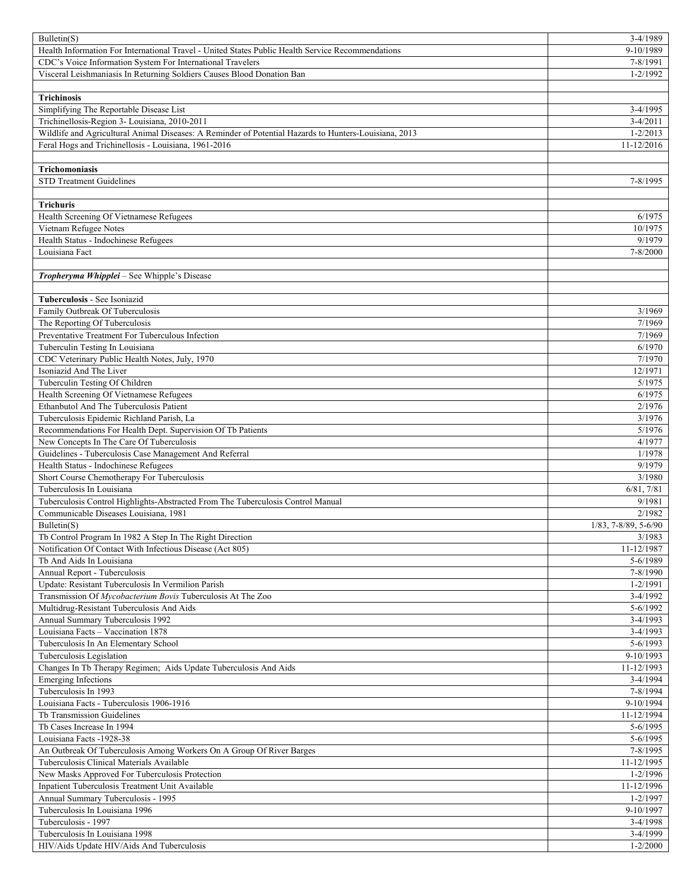| Bulletin(S)                                                                                                                                            | $3-4/1989$                     |
|--------------------------------------------------------------------------------------------------------------------------------------------------------|--------------------------------|
| Health Information For International Travel - United States Public Health Service Recommendations                                                      | 9-10/1989                      |
| CDC's Voice Information System For International Travelers                                                                                             | 7-8/1991                       |
| Visceral Leishmaniasis In Returning Soldiers Causes Blood Donation Ban                                                                                 | $1 - 2/1992$                   |
|                                                                                                                                                        |                                |
| <b>Trichinosis</b>                                                                                                                                     |                                |
| Simplifying The Reportable Disease List                                                                                                                | $3-4/1995$                     |
| Trichinellosis-Region 3- Louisiana, 2010-2011<br>Wildlife and Agricultural Animal Diseases: A Reminder of Potential Hazards to Hunters-Louisiana, 2013 | $3-4/2011$                     |
| Feral Hogs and Trichinellosis - Louisiana, 1961-2016                                                                                                   | $1 - 2/2013$<br>$11 - 12/2016$ |
|                                                                                                                                                        |                                |
| <b>Trichomoniasis</b>                                                                                                                                  |                                |
| <b>STD Treatment Guidelines</b>                                                                                                                        | 7-8/1995                       |
|                                                                                                                                                        |                                |
| <b>Trichuris</b>                                                                                                                                       |                                |
| Health Screening Of Vietnamese Refugees                                                                                                                | 6/1975                         |
| Vietnam Refugee Notes                                                                                                                                  | 10/1975                        |
| Health Status - Indochinese Refugees                                                                                                                   | 9/1979                         |
| Louisiana Fact                                                                                                                                         | 7-8/2000                       |
|                                                                                                                                                        |                                |
| Tropheryma Whipplei - See Whipple's Disease                                                                                                            |                                |
|                                                                                                                                                        |                                |
| Tuberculosis - See Isoniazid                                                                                                                           |                                |
| Family Outbreak Of Tuberculosis                                                                                                                        | 3/1969                         |
| The Reporting Of Tuberculosis<br>Preventative Treatment For Tuberculous Infection                                                                      | 7/1969                         |
| Tuberculin Testing In Louisiana                                                                                                                        | 7/1969<br>6/1970               |
| CDC Veterinary Public Health Notes, July, 1970                                                                                                         | 7/1970                         |
| Isoniazid And The Liver                                                                                                                                | 12/1971                        |
| Tuberculin Testing Of Children                                                                                                                         | 5/1975                         |
| Health Screening Of Vietnamese Refugees                                                                                                                | 6/1975                         |
| Ethanbutol And The Tuberculosis Patient                                                                                                                | 2/1976                         |
| Tuberculosis Epidemic Richland Parish, La                                                                                                              | 3/1976                         |
| Recommendations For Health Dept. Supervision Of Tb Patients                                                                                            | 5/1976                         |
| New Concepts In The Care Of Tuberculosis                                                                                                               | 4/1977                         |
| Guidelines - Tuberculosis Case Management And Referral                                                                                                 | 1/1978                         |
| Health Status - Indochinese Refugees                                                                                                                   | 9/1979                         |
| Short Course Chemotherapy For Tuberculosis                                                                                                             | 3/1980                         |
| Tuberculosis In Louisiana                                                                                                                              | 6/81, 7/81                     |
| Tuberculosis Control Highlights-Abstracted From The Tuberculosis Control Manual                                                                        | 9/1981                         |
| Communicable Diseases Louisiana, 1981                                                                                                                  | 2/1982                         |
| Bulletin(S)                                                                                                                                            | 1/83, 7-8/89, 5-6/90           |
| Tb Control Program In 1982 A Step In The Right Direction<br>Notification Of Contact With Infectious Disease (Act 805)                                  | 3/1983<br>11-12/1987           |
| Tb And Aids In Louisiana                                                                                                                               | 5-6/1989                       |
| Annual Report - Tuberculosis                                                                                                                           | 7-8/1990                       |
| Update: Resistant Tuberculosis In Vermilion Parish                                                                                                     | $1 - 2/1991$                   |
| Transmission Of Mycobacterium Bovis Tuberculosis At The Zoo                                                                                            | $3-4/1992$                     |
| Multidrug-Resistant Tuberculosis And Aids                                                                                                              | 5-6/1992                       |
| Annual Summary Tuberculosis 1992                                                                                                                       | $3-4/1993$                     |
| Louisiana Facts - Vaccination 1878                                                                                                                     | $3-4/1993$                     |
| Tuberculosis In An Elementary School                                                                                                                   | 5-6/1993                       |
| Tuberculosis Legislation                                                                                                                               | 9-10/1993                      |
| Changes In Tb Therapy Regimen; Aids Update Tuberculosis And Aids                                                                                       | 11-12/1993                     |
| <b>Emerging Infections</b>                                                                                                                             | 3-4/1994                       |
| Tuberculosis In 1993                                                                                                                                   | 7-8/1994                       |
| Louisiana Facts - Tuberculosis 1906-1916                                                                                                               | 9-10/1994                      |
| Tb Transmission Guidelines<br>Tb Cases Increase In 1994                                                                                                | 11-12/1994                     |
| Louisiana Facts -1928-38                                                                                                                               | $5 - 6/1995$<br>5-6/1995       |
| An Outbreak Of Tuberculosis Among Workers On A Group Of River Barges                                                                                   | 7-8/1995                       |
| Tuberculosis Clinical Materials Available                                                                                                              | 11-12/1995                     |
| New Masks Approved For Tuberculosis Protection                                                                                                         | $1 - 2/1996$                   |
| Inpatient Tuberculosis Treatment Unit Available                                                                                                        | 11-12/1996                     |
| Annual Summary Tuberculosis - 1995                                                                                                                     | $1 - 2/1997$                   |
| Tuberculosis In Louisiana 1996                                                                                                                         | 9-10/1997                      |
| Tuberculosis - 1997                                                                                                                                    | $3-4/1998$                     |
| Tuberculosis In Louisiana 1998                                                                                                                         | $3-4/1999$                     |
| HIV/Aids Update HIV/Aids And Tuberculosis                                                                                                              | $1 - 2/2000$                   |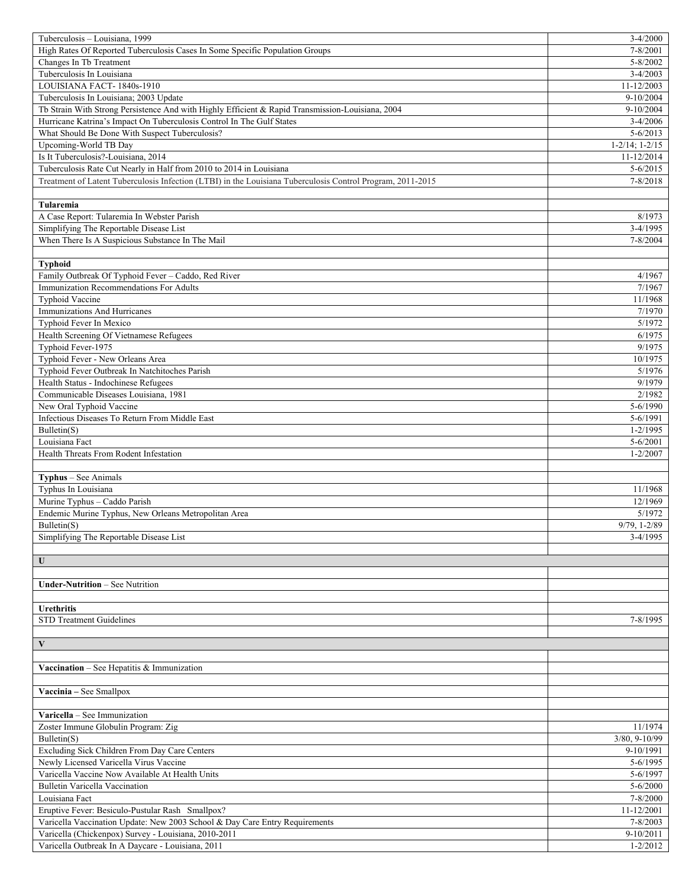| Tuberculosis - Louisiana, 1999                                                                             | $3-4/2000$                |
|------------------------------------------------------------------------------------------------------------|---------------------------|
| High Rates Of Reported Tuberculosis Cases In Some Specific Population Groups                               | 7-8/2001                  |
| Changes In Tb Treatment                                                                                    | $5 - 8/2002$              |
| Tuberculosis In Louisiana                                                                                  | $3 - 4/2003$              |
| LOUISIANA FACT-1840s-1910                                                                                  | 11-12/2003                |
| Tuberculosis In Louisiana; 2003 Update                                                                     | $9-10/2004$               |
| Tb Strain With Strong Persistence And with Highly Efficient & Rapid Transmission-Louisiana, 2004           | $9-10/2004$               |
| Hurricane Katrina's Impact On Tuberculosis Control In The Gulf States                                      | $3-4/2006$                |
| What Should Be Done With Suspect Tuberculosis?                                                             | $5 - 6/2013$              |
| Upcoming-World TB Day                                                                                      | $1 - 2/14$ ; $1 - 2/15$   |
| Is It Tuberculosis?-Louisiana, 2014                                                                        | 11-12/2014                |
| Tuberculosis Rate Cut Nearly in Half from 2010 to 2014 in Louisiana                                        | $5 - 6/2015$              |
| Treatment of Latent Tuberculosis Infection (LTBI) in the Louisiana Tuberculosis Control Program, 2011-2015 | $7 - 8/2018$              |
|                                                                                                            |                           |
| Tularemia                                                                                                  |                           |
| A Case Report: Tularemia In Webster Parish                                                                 | 8/1973                    |
| Simplifying The Reportable Disease List                                                                    | 3-4/1995                  |
| When There Is A Suspicious Substance In The Mail                                                           | 7-8/2004                  |
|                                                                                                            |                           |
| <b>Typhoid</b>                                                                                             |                           |
| Family Outbreak Of Typhoid Fever - Caddo, Red River                                                        | 4/1967                    |
| Immunization Recommendations For Adults                                                                    | 7/1967                    |
| Typhoid Vaccine                                                                                            | 11/1968                   |
| Immunizations And Hurricanes                                                                               | 7/1970                    |
| Typhoid Fever In Mexico                                                                                    | 5/1972                    |
| Health Screening Of Vietnamese Refugees                                                                    | 6/1975                    |
| Typhoid Fever-1975                                                                                         | 9/1975                    |
| Typhoid Fever - New Orleans Area                                                                           | 10/1975                   |
| Typhoid Fever Outbreak In Natchitoches Parish                                                              | 5/1976                    |
| Health Status - Indochinese Refugees                                                                       | 9/1979                    |
| Communicable Diseases Louisiana, 1981                                                                      | 2/1982                    |
| New Oral Typhoid Vaccine                                                                                   | 5-6/1990                  |
| Infectious Diseases To Return From Middle East                                                             | 5-6/1991                  |
| Bulletin(S)                                                                                                | $1 - 2/1995$              |
| Louisiana Fact                                                                                             | 5-6/2001                  |
| Health Threats From Rodent Infestation                                                                     | $1 - 2/2007$              |
|                                                                                                            |                           |
| Typhus - See Animals                                                                                       |                           |
| Typhus In Louisiana                                                                                        | 11/1968                   |
| Murine Typhus - Caddo Parish                                                                               | 12/1969                   |
| Endemic Murine Typhus, New Orleans Metropolitan Area                                                       | 5/1972                    |
| Bulletin(S)                                                                                                | 9/79, 1-2/89              |
| Simplifying The Reportable Disease List                                                                    | 3-4/1995                  |
|                                                                                                            |                           |
| $\mathbf U$                                                                                                |                           |
|                                                                                                            |                           |
| <b>Under-Nutrition - See Nutrition</b>                                                                     |                           |
|                                                                                                            |                           |
| <b>Urethritis</b>                                                                                          |                           |
| STD Treatment Guidelines                                                                                   | 7-8/1995                  |
|                                                                                                            |                           |
| $\mathbf{V}$                                                                                               |                           |
|                                                                                                            |                           |
| Vaccination - See Hepatitis & Immunization                                                                 |                           |
|                                                                                                            |                           |
| Vaccinia - See Smallpox                                                                                    |                           |
|                                                                                                            |                           |
| Varicella - See Immunization                                                                               |                           |
|                                                                                                            | 11/1974                   |
| Zoster Immune Globulin Program: Zig<br>Bulletin(S)                                                         | $3/80, 9-10/99$           |
| Excluding Sick Children From Day Care Centers                                                              | 9-10/1991                 |
|                                                                                                            |                           |
| Newly Licensed Varicella Virus Vaccine<br>Varicella Vaccine Now Available At Health Units                  | 5-6/1995<br>5-6/1997      |
|                                                                                                            |                           |
| Bulletin Varicella Vaccination                                                                             | $5 - 6/2000$              |
| Louisiana Fact                                                                                             | 7-8/2000                  |
| Eruptive Fever: Besiculo-Pustular Rash Smallpox?                                                           | 11-12/2001                |
| Varicella Vaccination Update: New 2003 School & Day Care Entry Requirements                                | $7 - 8/2003$              |
|                                                                                                            |                           |
| Varicella (Chickenpox) Survey - Louisiana, 2010-2011<br>Varicella Outbreak In A Daycare - Louisiana, 2011  | 9-10/2011<br>$1 - 2/2012$ |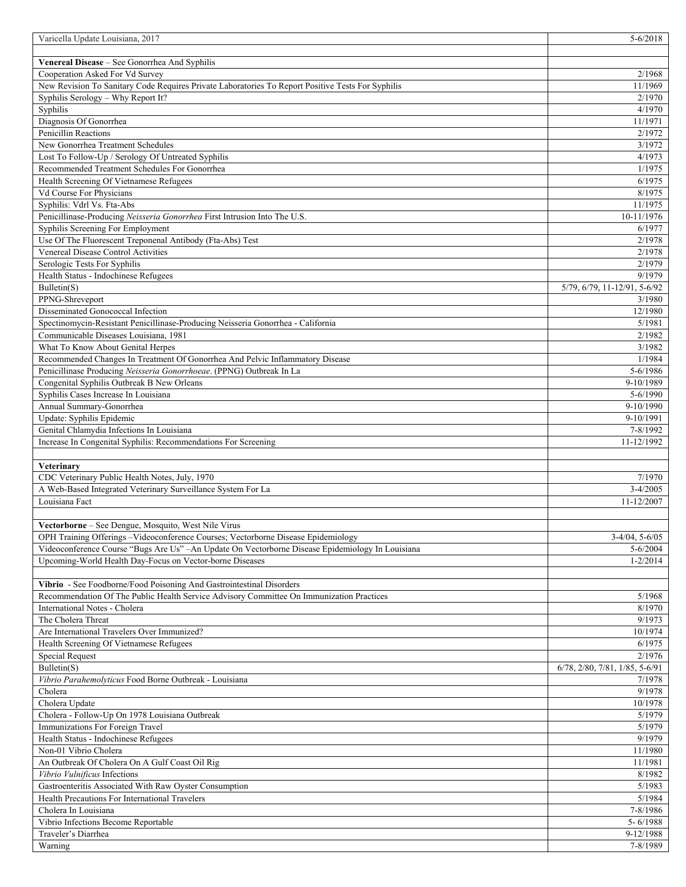| Varicella Update Louisiana, 2017                                                                                                          | $5 - 6/2018$                             |
|-------------------------------------------------------------------------------------------------------------------------------------------|------------------------------------------|
|                                                                                                                                           |                                          |
| Venereal Disease - See Gonorrhea And Syphilis                                                                                             |                                          |
| Cooperation Asked For Vd Survey                                                                                                           | 2/1968                                   |
| New Revision To Sanitary Code Requires Private Laboratories To Report Positive Tests For Syphilis<br>Syphilis Serology - Why Report It?   | 11/1969<br>2/1970                        |
| Syphilis                                                                                                                                  | 4/1970                                   |
| Diagnosis Of Gonorrhea                                                                                                                    | 11/1971                                  |
| Penicillin Reactions                                                                                                                      | 2/1972                                   |
| New Gonorrhea Treatment Schedules                                                                                                         | 3/1972                                   |
| Lost To Follow-Up / Serology Of Untreated Syphilis                                                                                        | 4/1973                                   |
| Recommended Treatment Schedules For Gonorrhea                                                                                             | 1/1975                                   |
| Health Screening Of Vietnamese Refugees                                                                                                   | 6/1975                                   |
| Vd Course For Physicians                                                                                                                  | 8/1975                                   |
| Syphilis: Vdrl Vs. Fta-Abs                                                                                                                | 11/1975                                  |
| Penicillinase-Producing Neisseria Gonorrhea First Intrusion Into The U.S.                                                                 | 10-11/1976                               |
| Syphilis Screening For Employment                                                                                                         | 6/1977                                   |
| Use Of The Fluorescent Treponenal Antibody (Fta-Abs) Test                                                                                 | 2/1978                                   |
| Venereal Disease Control Activities                                                                                                       | 2/1978                                   |
| Serologic Tests For Syphilis                                                                                                              | 2/1979                                   |
| Health Status - Indochinese Refugees<br>Bulletin(S)                                                                                       | 9/1979<br>$5/79, 6/79, 11-12/91, 5-6/92$ |
| PPNG-Shreveport                                                                                                                           | 3/1980                                   |
| Disseminated Gonococcal Infection                                                                                                         | 12/1980                                  |
| Spectinomycin-Resistant Penicillinase-Producing Neisseria Gonorrhea - California                                                          | 5/1981                                   |
| Communicable Diseases Louisiana, 1981                                                                                                     | 2/1982                                   |
| What To Know About Genital Herpes                                                                                                         | 3/1982                                   |
| Recommended Changes In Treatment Of Gonorrhea And Pelvic Inflammatory Disease                                                             | 1/1984                                   |
| Penicillinase Producing Neisseria Gonorrhoeae. (PPNG) Outbreak In La                                                                      | 5-6/1986                                 |
| Congenital Syphilis Outbreak B New Orleans                                                                                                | 9-10/1989                                |
| Syphilis Cases Increase In Louisiana                                                                                                      | 5-6/1990                                 |
| Annual Summary-Gonorrhea                                                                                                                  | 9-10/1990                                |
| Update: Syphilis Epidemic                                                                                                                 | 9-10/1991                                |
| Genital Chlamydia Infections In Louisiana                                                                                                 | 7-8/1992                                 |
|                                                                                                                                           |                                          |
| Increase In Congenital Syphilis: Recommendations For Screening                                                                            | 11-12/1992                               |
|                                                                                                                                           |                                          |
| Veterinary                                                                                                                                |                                          |
| CDC Veterinary Public Health Notes, July, 1970                                                                                            | 7/1970                                   |
| A Web-Based Integrated Veterinary Surveillance System For La                                                                              | $3-4/2005$                               |
| Louisiana Fact                                                                                                                            | 11-12/2007                               |
|                                                                                                                                           |                                          |
| Vectorborne - See Dengue, Mosquito, West Nile Virus<br>OPH Training Offerings – Videoconference Courses; Vectorborne Disease Epidemiology |                                          |
| Videoconference Course "Bugs Are Us" - An Update On Vectorborne Disease Epidemiology In Louisiana                                         | $3-4/04$ , 5-6/05<br>$5 - 6/2004$        |
| Upcoming-World Health Day-Focus on Vector-borne Diseases                                                                                  | $1 - 2/2014$                             |
|                                                                                                                                           |                                          |
| Vibrio - See Foodborne/Food Poisoning And Gastrointestinal Disorders                                                                      |                                          |
| Recommendation Of The Public Health Service Advisory Committee On Immunization Practices                                                  | 5/1968                                   |
| International Notes - Cholera                                                                                                             | 8/1970                                   |
| The Cholera Threat                                                                                                                        | 9/1973                                   |
| Are International Travelers Over Immunized?                                                                                               | 10/1974                                  |
| Health Screening Of Vietnamese Refugees                                                                                                   | 6/1975                                   |
| Special Request                                                                                                                           | 2/1976                                   |
| Bulletin(S)                                                                                                                               | 6/78, 2/80, 7/81, 1/85, 5-6/91<br>7/1978 |
| Vibrio Parahemolyticus Food Borne Outbreak - Louisiana<br>Cholera                                                                         | 9/1978                                   |
| Cholera Update                                                                                                                            | 10/1978                                  |
| Cholera - Follow-Up On 1978 Louisiana Outbreak                                                                                            | 5/1979                                   |
| Immunizations For Foreign Travel                                                                                                          | 5/1979                                   |
| Health Status - Indochinese Refugees                                                                                                      | 9/1979                                   |
| Non-01 Vibrio Cholera                                                                                                                     | 11/1980                                  |
| An Outbreak Of Cholera On A Gulf Coast Oil Rig                                                                                            | 11/1981                                  |
| Vibrio Vulnificus Infections                                                                                                              | 8/1982                                   |
| Gastroenteritis Associated With Raw Oyster Consumption                                                                                    | 5/1983                                   |
| Health Precautions For International Travelers                                                                                            | 5/1984                                   |
| Cholera In Louisiana                                                                                                                      | 7-8/1986                                 |
| Vibrio Infections Become Reportable                                                                                                       | $5 - 6/1988$                             |
| Traveler's Diarrhea<br>Warning                                                                                                            | 9-12/1988<br>7-8/1989                    |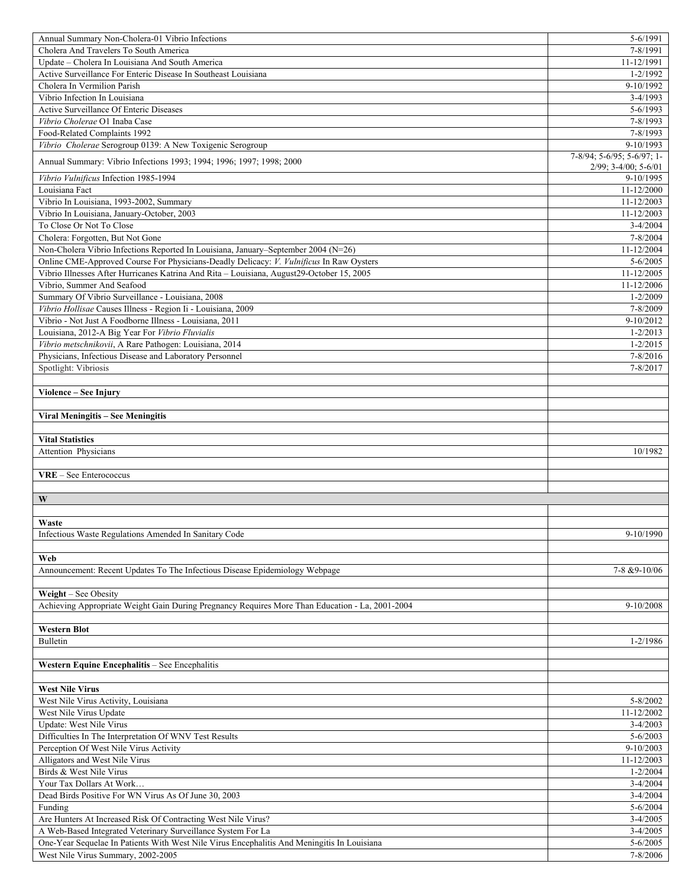| Annual Summary Non-Cholera-01 Vibrio Infections                                                                                   | 5-6/1991                     |
|-----------------------------------------------------------------------------------------------------------------------------------|------------------------------|
| Cholera And Travelers To South America                                                                                            | 7-8/1991                     |
| Update - Cholera In Louisiana And South America                                                                                   | 11-12/1991                   |
| Active Surveillance For Enteric Disease In Southeast Louisiana                                                                    | $1 - 2/1992$                 |
| Cholera In Vermilion Parish                                                                                                       | 9-10/1992                    |
| Vibrio Infection In Louisiana                                                                                                     | $3-4/1993$                   |
| Active Surveillance Of Enteric Diseases                                                                                           | $5 - 6/1993$                 |
| Vibrio Cholerae O1 Inaba Case                                                                                                     | 7-8/1993                     |
| Food-Related Complaints 1992                                                                                                      | 7-8/1993                     |
| Vibrio Cholerae Serogroup 0139: A New Toxigenic Serogroup                                                                         | 9-10/1993                    |
|                                                                                                                                   | 7-8/94; 5-6/95; 5-6/97; 1-   |
| Annual Summary: Vibrio Infections 1993; 1994; 1996; 1997; 1998; 2000                                                              | $2/99$ ; $3-4/00$ ; $5-6/01$ |
| Vibrio Vulnificus Infection 1985-1994                                                                                             | 9-10/1995                    |
| Louisiana Fact                                                                                                                    | 11-12/2000                   |
| Vibrio In Louisiana, 1993-2002, Summary                                                                                           | 11-12/2003                   |
| Vibrio In Louisiana, January-October, 2003                                                                                        | 11-12/2003                   |
| To Close Or Not To Close                                                                                                          | $3-4/2004$                   |
| Cholera: Forgotten, But Not Gone                                                                                                  | 7-8/2004                     |
| Non-Cholera Vibrio Infections Reported In Louisiana, January–September 2004 (N=26)                                                | 11-12/2004                   |
| Online CME-Approved Course For Physicians-Deadly Delicacy: V. Vulnificus In Raw Oysters                                           | $5 - 6/2005$                 |
| Vibrio Illnesses After Hurricanes Katrina And Rita - Louisiana, August29-October 15, 2005                                         | 11-12/2005                   |
| Vibrio, Summer And Seafood                                                                                                        | 11-12/2006                   |
| Summary Of Vibrio Surveillance - Louisiana, 2008                                                                                  | $1 - 2/2009$                 |
| Vibrio Hollisae Causes Illness - Region Ii - Louisiana, 2009                                                                      | 7-8/2009                     |
| Vibrio - Not Just A Foodborne Illness - Louisiana, 2011                                                                           | 9-10/2012                    |
| Louisiana, 2012-A Big Year For Vibrio Fluvialis                                                                                   | $1 - 2/2013$                 |
| Vibrio metschnikovii, A Rare Pathogen: Louisiana, 2014                                                                            | $1 - 2/2015$                 |
|                                                                                                                                   | 7-8/2016                     |
| Physicians, Infectious Disease and Laboratory Personnel                                                                           |                              |
| Spotlight: Vibriosis                                                                                                              | 7-8/2017                     |
|                                                                                                                                   |                              |
| Violence - See Injury                                                                                                             |                              |
|                                                                                                                                   |                              |
| Viral Meningitis - See Meningitis                                                                                                 |                              |
|                                                                                                                                   |                              |
| <b>Vital Statistics</b>                                                                                                           |                              |
| Attention Physicians                                                                                                              | 10/1982                      |
|                                                                                                                                   |                              |
| VRE - See Enterococcus                                                                                                            |                              |
|                                                                                                                                   |                              |
| W                                                                                                                                 |                              |
|                                                                                                                                   |                              |
| Waste                                                                                                                             |                              |
| Infectious Waste Regulations Amended In Sanitary Code                                                                             |                              |
|                                                                                                                                   | 9-10/1990                    |
|                                                                                                                                   |                              |
| Web                                                                                                                               |                              |
| Announcement: Recent Updates To The Infectious Disease Epidemiology Webpage                                                       | 7-8 & 9-10/06                |
|                                                                                                                                   |                              |
| Weight – See Obesity                                                                                                              |                              |
| Achieving Appropriate Weight Gain During Pregnancy Requires More Than Education - La, 2001-2004                                   | $9-10/2008$                  |
|                                                                                                                                   |                              |
| <b>Western Blot</b>                                                                                                               |                              |
| Bulletin                                                                                                                          | $1 - 2/1986$                 |
|                                                                                                                                   |                              |
|                                                                                                                                   |                              |
| Western Equine Encephalitis - See Encephalitis                                                                                    |                              |
|                                                                                                                                   |                              |
| <b>West Nile Virus</b>                                                                                                            |                              |
| West Nile Virus Activity, Louisiana                                                                                               | $5 - 8/2002$                 |
| West Nile Virus Update                                                                                                            | 11-12/2002                   |
| Update: West Nile Virus                                                                                                           | $3-4/2003$                   |
| Difficulties In The Interpretation Of WNV Test Results                                                                            | $5 - 6/2003$                 |
| Perception Of West Nile Virus Activity                                                                                            | $9-10/2003$                  |
| Alligators and West Nile Virus                                                                                                    | 11-12/2003                   |
| Birds & West Nile Virus                                                                                                           | $1 - 2/2004$                 |
| Your Tax Dollars At Work                                                                                                          | $3-4/2004$                   |
| Dead Birds Positive For WN Virus As Of June 30, 2003                                                                              | $3-4/2004$                   |
| Funding                                                                                                                           | $5 - 6/2004$                 |
| Are Hunters At Increased Risk Of Contracting West Nile Virus?                                                                     | $3-4/2005$                   |
| A Web-Based Integrated Veterinary Surveillance System For La                                                                      | $3-4/2005$                   |
| One-Year Sequelae In Patients With West Nile Virus Encephalitis And Meningitis In Louisiana<br>West Nile Virus Summary, 2002-2005 | $5 - 6/2005$<br>7-8/2006     |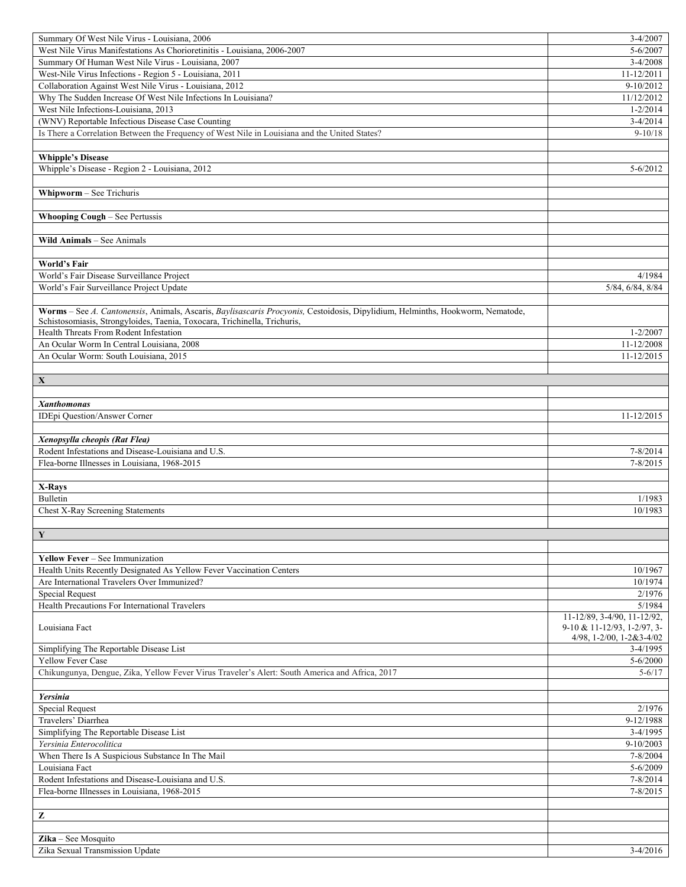| Summary Of West Nile Virus - Louisiana, 2006                                                                                   | $3-4/2007$                  |
|--------------------------------------------------------------------------------------------------------------------------------|-----------------------------|
| West Nile Virus Manifestations As Chorioretinitis - Louisiana, 2006-2007                                                       | $5 - 6/2007$                |
| Summary Of Human West Nile Virus - Louisiana, 2007                                                                             | $3-4/2008$                  |
| West-Nile Virus Infections - Region 5 - Louisiana, 2011                                                                        | 11-12/2011                  |
| Collaboration Against West Nile Virus - Louisiana, 2012                                                                        | $9-10/2012$                 |
| Why The Sudden Increase Of West Nile Infections In Louisiana?                                                                  | 11/12/2012                  |
| West Nile Infections-Louisiana, 2013                                                                                           | $1 - 2/2014$                |
| (WNV) Reportable Infectious Disease Case Counting                                                                              | $3 - 4/2014$                |
| Is There a Correlation Between the Frequency of West Nile in Louisiana and the United States?                                  | $9-10/18$                   |
|                                                                                                                                |                             |
| <b>Whipple's Disease</b>                                                                                                       |                             |
| Whipple's Disease - Region 2 - Louisiana, 2012                                                                                 | $5 - 6/2012$                |
|                                                                                                                                |                             |
| Whipworm - See Trichuris                                                                                                       |                             |
|                                                                                                                                |                             |
| <b>Whooping Cough - See Pertussis</b>                                                                                          |                             |
| Wild Animals - See Animals                                                                                                     |                             |
|                                                                                                                                |                             |
| <b>World's Fair</b>                                                                                                            |                             |
| World's Fair Disease Surveillance Project                                                                                      | 4/1984                      |
| World's Fair Surveillance Project Update                                                                                       | 5/84, 6/84, 8/84            |
|                                                                                                                                |                             |
| Worms - See A. Cantonensis, Animals, Ascaris, Baylisascaris Procyonis, Cestoidosis, Dipylidium, Helminths, Hookworm, Nematode, |                             |
| Schistosomiasis, Strongyloides, Taenia, Toxocara, Trichinella, Trichuris,                                                      |                             |
| Health Threats From Rodent Infestation                                                                                         | $1 - 2/2007$                |
| An Ocular Worm In Central Louisiana, 2008                                                                                      | 11-12/2008                  |
| An Ocular Worm: South Louisiana, 2015                                                                                          | 11-12/2015                  |
|                                                                                                                                |                             |
| $\mathbf X$                                                                                                                    |                             |
|                                                                                                                                |                             |
| <b>Xanthomonas</b>                                                                                                             |                             |
| IDEpi Question/Answer Corner                                                                                                   | 11-12/2015                  |
|                                                                                                                                |                             |
| Xenopsylla cheopis (Rat Flea)                                                                                                  |                             |
| Rodent Infestations and Disease-Louisiana and U.S.                                                                             | 7-8/2014                    |
| Flea-borne Illnesses in Louisiana, 1968-2015                                                                                   | $7 - 8/2015$                |
|                                                                                                                                |                             |
| X-Rays                                                                                                                         |                             |
| Bulletin                                                                                                                       | 1/1983                      |
| Chest X-Ray Screening Statements                                                                                               | 10/1983                     |
|                                                                                                                                |                             |
| $\overline{\mathbf{Y}}$                                                                                                        |                             |
|                                                                                                                                |                             |
| Yellow Fever - See Immunization                                                                                                |                             |
| Health Units Recently Designated As Yellow Fever Vaccination Centers                                                           | 10/1967                     |
| Are International Travelers Over Immunized?                                                                                    | 10/1974                     |
| <b>Special Request</b>                                                                                                         | 2/1976                      |
| Health Precautions For International Travelers                                                                                 | 5/1984                      |
|                                                                                                                                | 11-12/89, 3-4/90, 11-12/92, |
| Louisiana Fact                                                                                                                 | 9-10 & 11-12/93, 1-2/97, 3- |
|                                                                                                                                | 4/98, 1-2/00, 1-2&3-4/02    |
| Simplifying The Reportable Disease List                                                                                        | $3-4/1995$                  |
| <b>Yellow Fever Case</b>                                                                                                       | $5 - 6/2000$                |
| Chikungunya, Dengue, Zika, Yellow Fever Virus Traveler's Alert: South America and Africa, 2017                                 | $5 - 6/17$                  |
|                                                                                                                                |                             |
| Yersinia                                                                                                                       |                             |
| <b>Special Request</b>                                                                                                         | 2/1976                      |
| Travelers' Diarrhea                                                                                                            | 9-12/1988                   |
| Simplifying The Reportable Disease List                                                                                        | $3-4/1995$                  |
| Yersinia Enterocolitica                                                                                                        | 9-10/2003                   |
| When There Is A Suspicious Substance In The Mail                                                                               | 7-8/2004                    |
| Louisiana Fact                                                                                                                 | 5-6/2009                    |
| Rodent Infestations and Disease-Louisiana and U.S.                                                                             | 7-8/2014                    |
| Flea-borne Illnesses in Louisiana, 1968-2015                                                                                   | $7 - 8/2015$                |
|                                                                                                                                |                             |
| $\mathbf{Z}% ^{T}=\mathbf{Z}^{T}\times\mathbf{Z}^{T}$                                                                          |                             |
|                                                                                                                                |                             |
| $\chi$ ika – See Mosquito                                                                                                      |                             |
| Zika Sexual Transmission Update                                                                                                | $3-4/2016$                  |